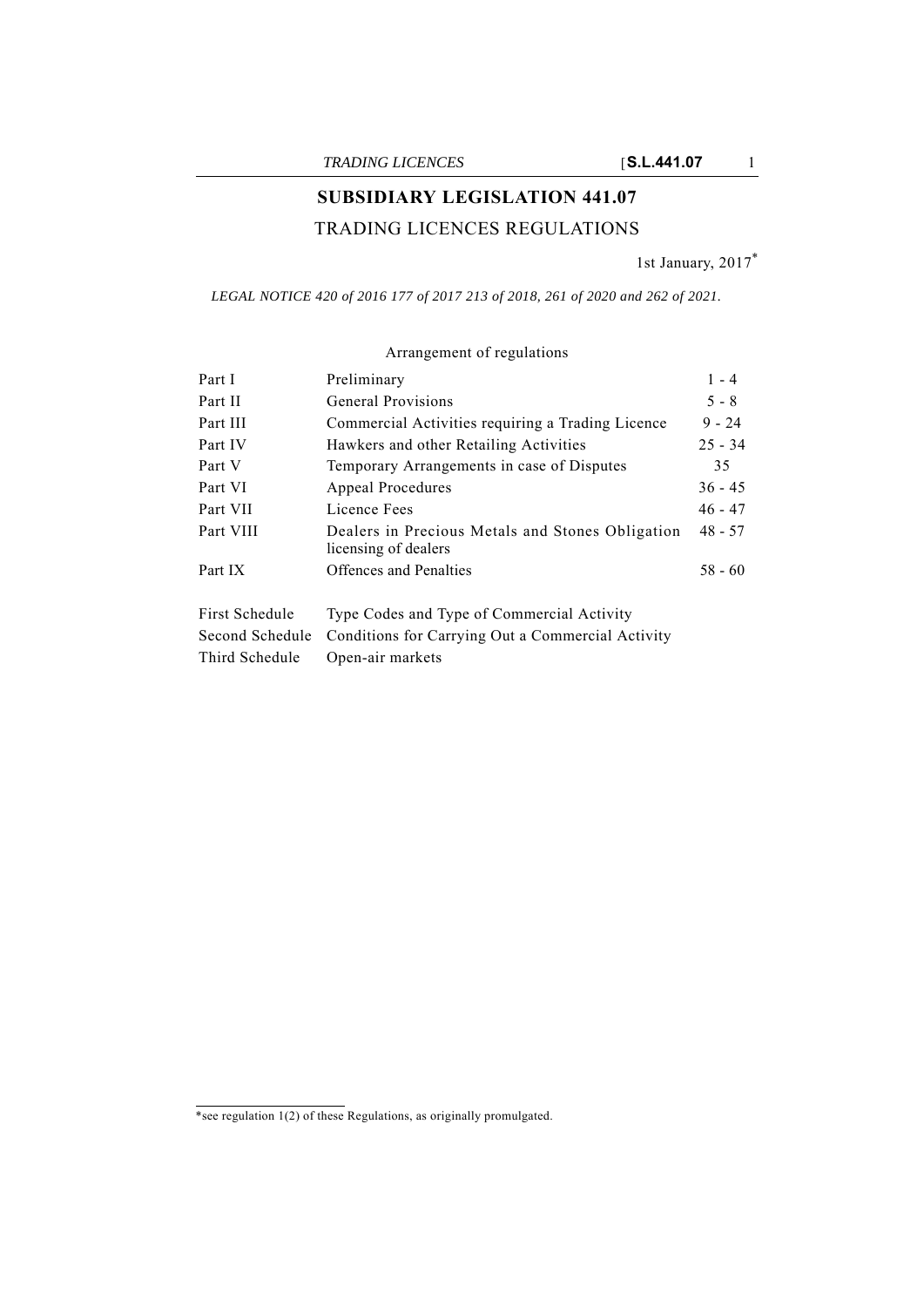# **SUBSIDIARY LEGISLATION 441.07**

## TRADING LICENCES REGULATIONS

1st January, 2017\*

*LEGAL NOTICE 420 of 2016 177 of 2017 213 of 2018, 261 of 2020 and 262 of 2021.*

| Part I          | Preliminary                                                              | $1 - 4$   |
|-----------------|--------------------------------------------------------------------------|-----------|
| Part II         | General Provisions                                                       | $5 - 8$   |
| Part III        | Commercial Activities requiring a Trading Licence                        | $9 - 24$  |
| Part IV         | Hawkers and other Retailing Activities                                   | $25 - 34$ |
| Part V          | Temporary Arrangements in case of Disputes                               | 35        |
| Part VI         | Appeal Procedures                                                        | $36 - 45$ |
| Part VII        | Licence Fees                                                             | $46 - 47$ |
| Part VIII       | Dealers in Precious Metals and Stones Obligation<br>licensing of dealers | $48 - 57$ |
| Part IX         | Offences and Penalties                                                   | $58 - 60$ |
| First Schedule  | Type Codes and Type of Commercial Activity                               |           |
| Second Schedule | Conditions for Carrying Out a Commercial Activity                        |           |
| Third Schedule  | Open-air markets                                                         |           |

## Arrangement of regulations

<sup>\*</sup>see regulation 1(2) of these Regulations, as originally promulgated.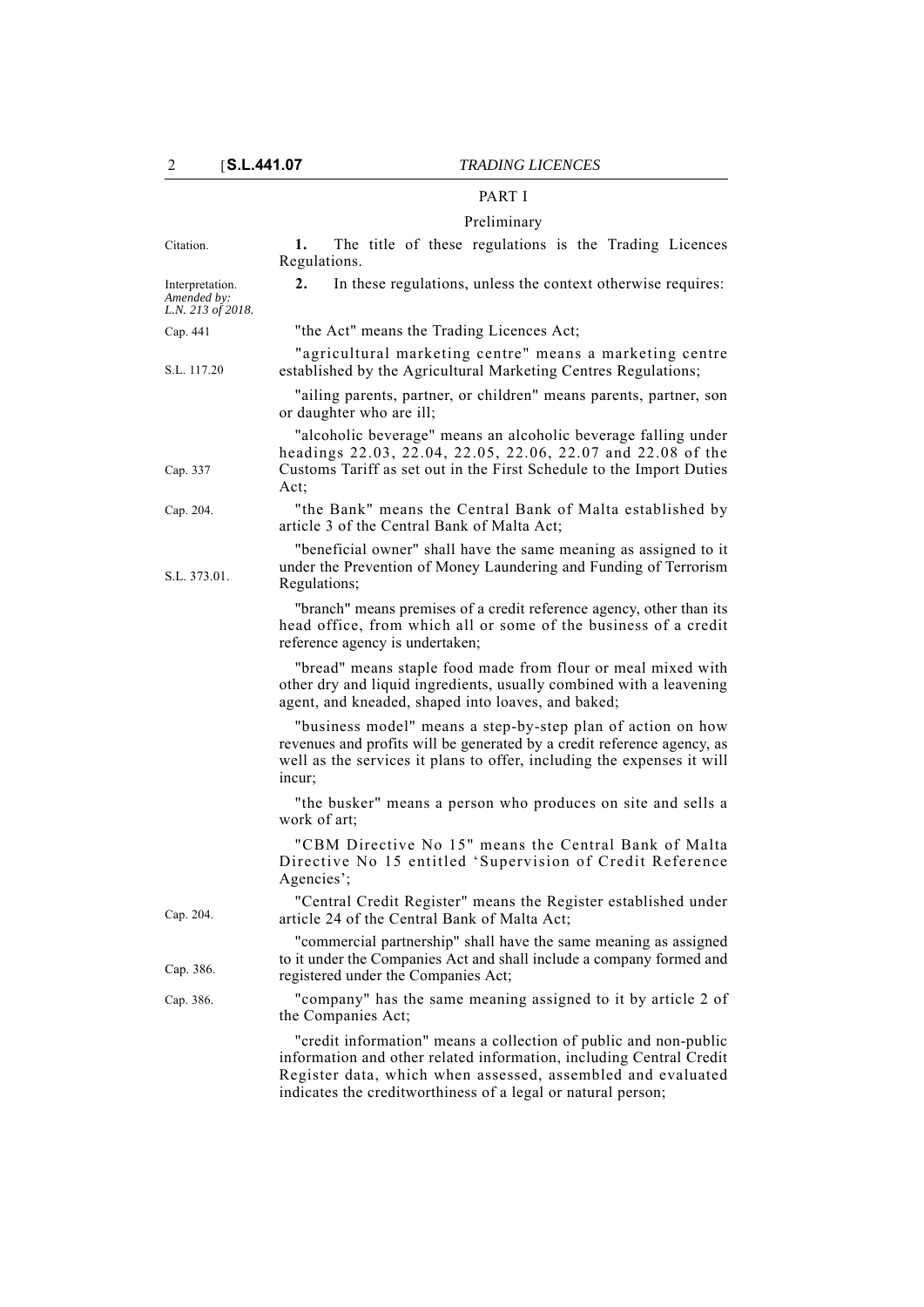## PART I

## Preliminary

| Citation.                                           | The title of these regulations is the Trading Licences<br>1.<br>Regulations.                                                                                                                                               |
|-----------------------------------------------------|----------------------------------------------------------------------------------------------------------------------------------------------------------------------------------------------------------------------------|
| Interpretation.<br>Amended by:<br>L.N. 213 of 2018. | 2.<br>In these regulations, unless the context otherwise requires:                                                                                                                                                         |
| Cap. 441                                            | "the Act" means the Trading Licences Act;                                                                                                                                                                                  |
| S.L. 117.20                                         | "agricultural marketing centre" means a marketing centre<br>established by the Agricultural Marketing Centres Regulations;                                                                                                 |
|                                                     | "ailing parents, partner, or children" means parents, partner, son<br>or daughter who are ill;                                                                                                                             |
| Cap. 337                                            | "alcoholic beverage" means an alcoholic beverage falling under<br>headings 22.03, 22.04, 22.05, 22.06, 22.07 and 22.08 of the<br>Customs Tariff as set out in the First Schedule to the Import Duties<br>Act;              |
| Cap. 204.                                           | "the Bank" means the Central Bank of Malta established by<br>article 3 of the Central Bank of Malta Act;                                                                                                                   |
| S.L. 373.01.                                        | "beneficial owner" shall have the same meaning as assigned to it<br>under the Prevention of Money Laundering and Funding of Terrorism<br>Regulations;                                                                      |
|                                                     | "branch" means premises of a credit reference agency, other than its<br>head office, from which all or some of the business of a credit<br>reference agency is undertaken;                                                 |
|                                                     | "bread" means staple food made from flour or meal mixed with<br>other dry and liquid ingredients, usually combined with a leavening<br>agent, and kneaded, shaped into loaves, and baked;                                  |
|                                                     | "business model" means a step-by-step plan of action on how<br>revenues and profits will be generated by a credit reference agency, as<br>well as the services it plans to offer, including the expenses it will<br>incur; |
|                                                     | "the busker" means a person who produces on site and sells a<br>work of art;                                                                                                                                               |
|                                                     | "CBM Directive No 15" means the Central Bank of Malta<br>Directive No 15 entitled 'Supervision of Credit Reference<br>Agencies';                                                                                           |
| Cap. 204.                                           | "Central Credit Register" means the Register established under<br>article 24 of the Central Bank of Malta Act;                                                                                                             |
| Cap. 386.                                           | "commercial partnership" shall have the same meaning as assigned<br>to it under the Companies Act and shall include a company formed and<br>registered under the Companies Act;                                            |
| Cap. 386.                                           | "company" has the same meaning assigned to it by article 2 of<br>the Companies Act;                                                                                                                                        |
|                                                     | "credit information" means a collection of public and non-public<br>information and other related information, including Central Credit                                                                                    |

Register data, which when assessed, assembled and evaluated

indicates the creditworthiness of a legal or natural person;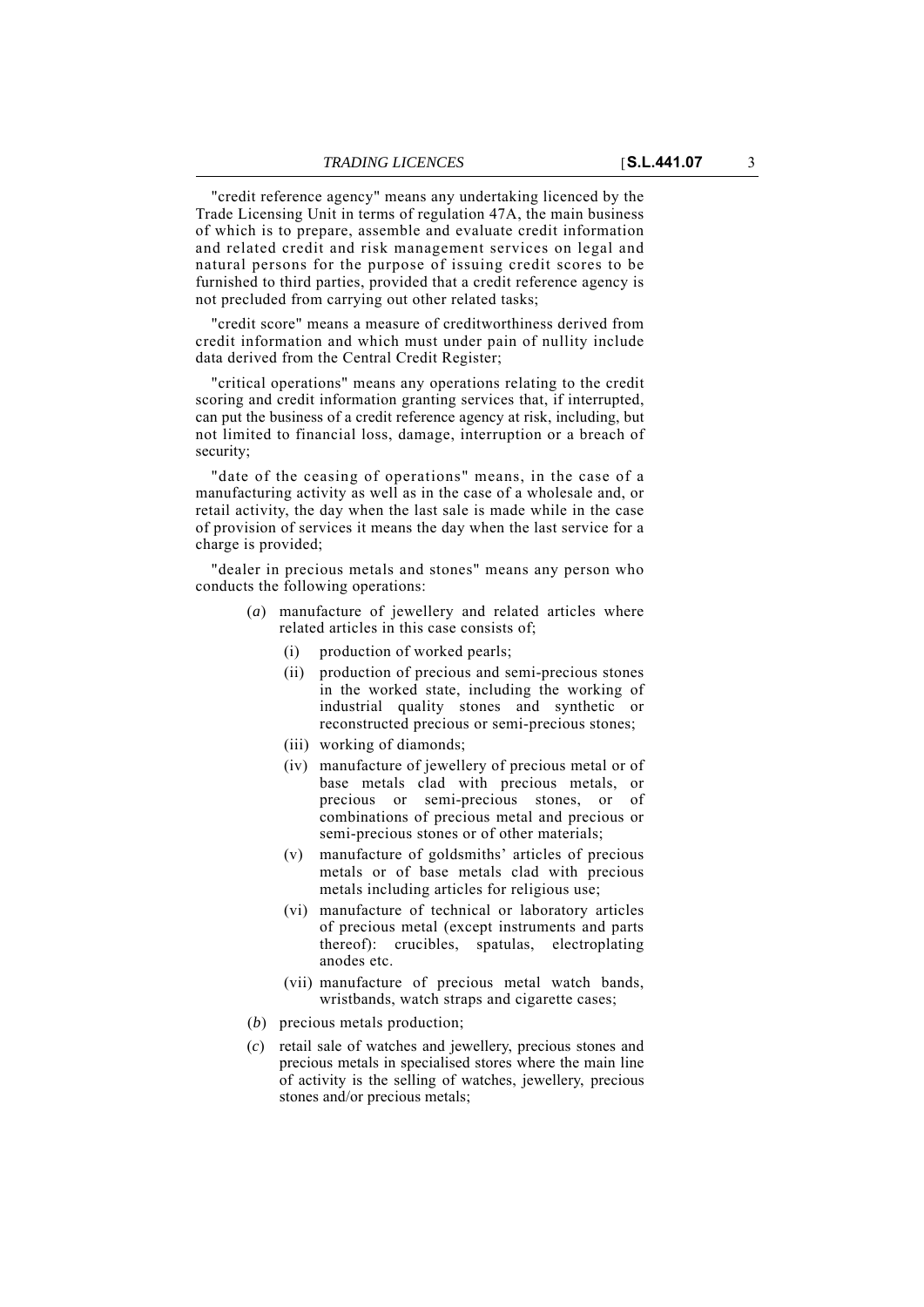"credit reference agency" means any undertaking licenced by the Trade Licensing Unit in terms of regulation 47A, the main business of which is to prepare, assemble and evaluate credit information and related credit and risk management services on legal and natural persons for the purpose of issuing credit scores to be furnished to third parties, provided that a credit reference agency is not precluded from carrying out other related tasks;

"credit score" means a measure of creditworthiness derived from credit information and which must under pain of nullity include data derived from the Central Credit Register;

"critical operations" means any operations relating to the credit scoring and credit information granting services that, if interrupted, can put the business of a credit reference agency at risk, including, but not limited to financial loss, damage, interruption or a breach of security;

"date of the ceasing of operations" means, in the case of a manufacturing activity as well as in the case of a wholesale and, or retail activity, the day when the last sale is made while in the case of provision of services it means the day when the last service for a charge is provided;

"dealer in precious metals and stones" means any person who conducts the following operations:

- (*a*) manufacture of jewellery and related articles where related articles in this case consists of;
	- (i) production of worked pearls;
	- (ii) production of precious and semi-precious stones in the worked state, including the working of industrial quality stones and synthetic or reconstructed precious or semi-precious stones;
	- (iii) working of diamonds;
	- (iv) manufacture of jewellery of precious metal or of base metals clad with precious metals, or precious or semi-precious stones, or of combinations of precious metal and precious or semi-precious stones or of other materials;
	- (v) manufacture of goldsmiths' articles of precious metals or of base metals clad with precious metals including articles for religious use;
	- (vi) manufacture of technical or laboratory articles of precious metal (except instruments and parts thereof): crucibles, spatulas, electroplating anodes etc.
	- (vii) manufacture of precious metal watch bands, wristbands, watch straps and cigarette cases;
- (*b*) precious metals production;
- (*c*) retail sale of watches and jewellery, precious stones and precious metals in specialised stores where the main line of activity is the selling of watches, jewellery, precious stones and/or precious metals;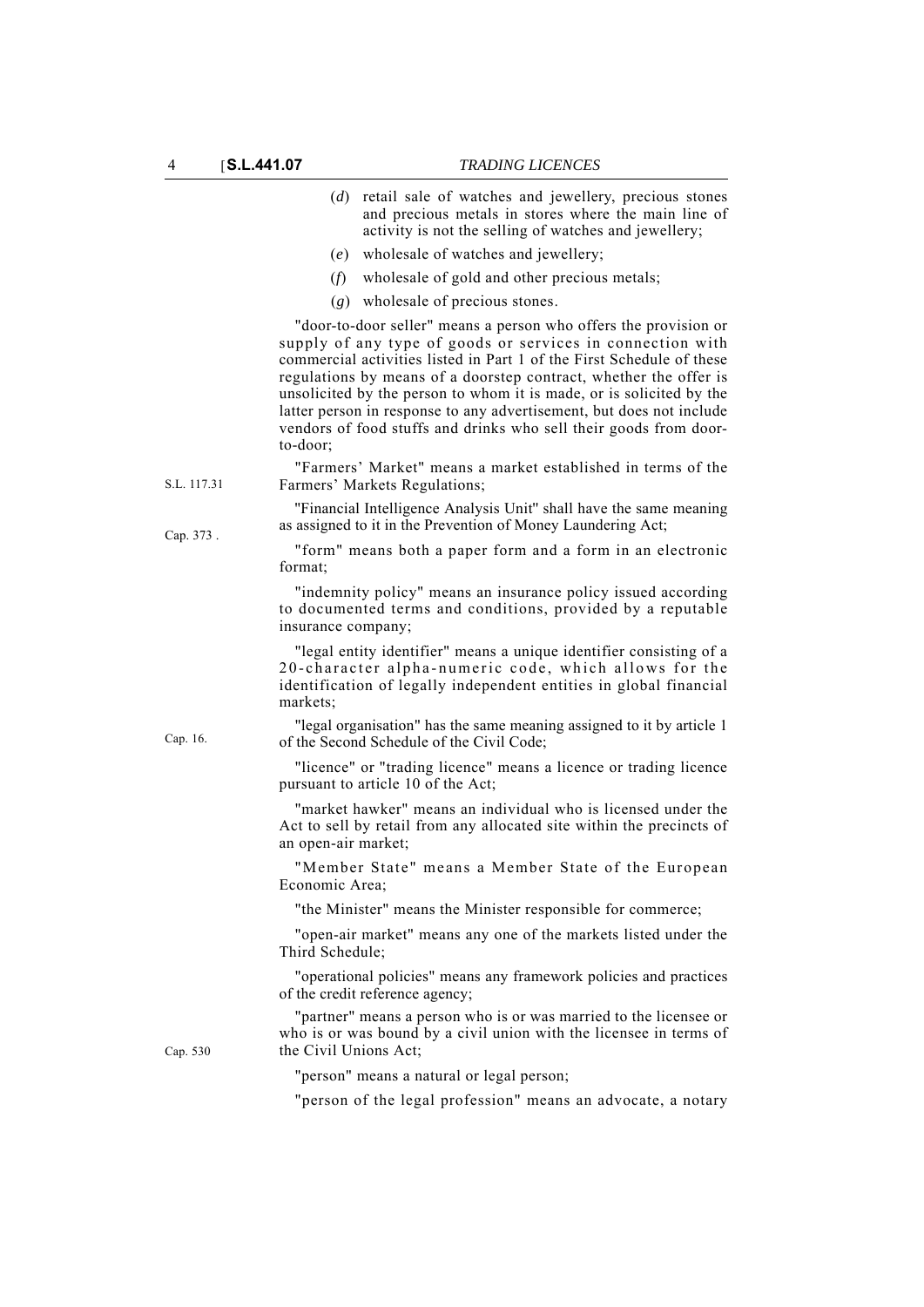|             | (d) retail sale of watches and jewellery, precious stones<br>and precious metals in stores where the main line of<br>activity is not the selling of watches and jewellery;                                                                                                                                                                                                                                                                                                                                    |
|-------------|---------------------------------------------------------------------------------------------------------------------------------------------------------------------------------------------------------------------------------------------------------------------------------------------------------------------------------------------------------------------------------------------------------------------------------------------------------------------------------------------------------------|
|             | wholesale of watches and jewellery;<br>(e)                                                                                                                                                                                                                                                                                                                                                                                                                                                                    |
|             | (f)<br>wholesale of gold and other precious metals;                                                                                                                                                                                                                                                                                                                                                                                                                                                           |
|             | $(g)$ wholesale of precious stones.                                                                                                                                                                                                                                                                                                                                                                                                                                                                           |
|             | "door-to-door seller" means a person who offers the provision or<br>supply of any type of goods or services in connection with<br>commercial activities listed in Part 1 of the First Schedule of these<br>regulations by means of a doorstep contract, whether the offer is<br>unsolicited by the person to whom it is made, or is solicited by the<br>latter person in response to any advertisement, but does not include<br>vendors of food stuffs and drinks who sell their goods from door-<br>to-door; |
| S.L. 117.31 | "Farmers' Market" means a market established in terms of the<br>Farmers' Markets Regulations;                                                                                                                                                                                                                                                                                                                                                                                                                 |
| Cap. 373.   | "Financial Intelligence Analysis Unit" shall have the same meaning<br>as assigned to it in the Prevention of Money Laundering Act;                                                                                                                                                                                                                                                                                                                                                                            |
|             | "form" means both a paper form and a form in an electronic<br>format:                                                                                                                                                                                                                                                                                                                                                                                                                                         |
|             | "indemnity policy" means an insurance policy issued according<br>to documented terms and conditions, provided by a reputable<br>insurance company;                                                                                                                                                                                                                                                                                                                                                            |
|             | "legal entity identifier" means a unique identifier consisting of a<br>20-character alpha-numeric code, which allows for the<br>identification of legally independent entities in global financial<br>markets;                                                                                                                                                                                                                                                                                                |
| Cap. 16.    | "legal organisation" has the same meaning assigned to it by article 1<br>of the Second Schedule of the Civil Code;                                                                                                                                                                                                                                                                                                                                                                                            |
|             | "licence" or "trading licence" means a licence or trading licence<br>pursuant to article 10 of the Act;                                                                                                                                                                                                                                                                                                                                                                                                       |
|             | "market hawker" means an individual who is licensed under the<br>Act to sell by retail from any allocated site within the precincts of<br>an open-air market;                                                                                                                                                                                                                                                                                                                                                 |
|             | "Member State" means a Member State of the European<br>Economic Area;                                                                                                                                                                                                                                                                                                                                                                                                                                         |
|             | "the Minister" means the Minister responsible for commerce;                                                                                                                                                                                                                                                                                                                                                                                                                                                   |
|             | "open-air market" means any one of the markets listed under the<br>Third Schedule;                                                                                                                                                                                                                                                                                                                                                                                                                            |
|             | "operational policies" means any framework policies and practices<br>of the credit reference agency;                                                                                                                                                                                                                                                                                                                                                                                                          |
| Cap. 530    | "partner" means a person who is or was married to the licensee or<br>who is or was bound by a civil union with the licensee in terms of<br>the Civil Unions Act;                                                                                                                                                                                                                                                                                                                                              |
|             | "person" means a natural or legal person;                                                                                                                                                                                                                                                                                                                                                                                                                                                                     |
|             | "person of the legal profession" means an advocate, a notary                                                                                                                                                                                                                                                                                                                                                                                                                                                  |
|             |                                                                                                                                                                                                                                                                                                                                                                                                                                                                                                               |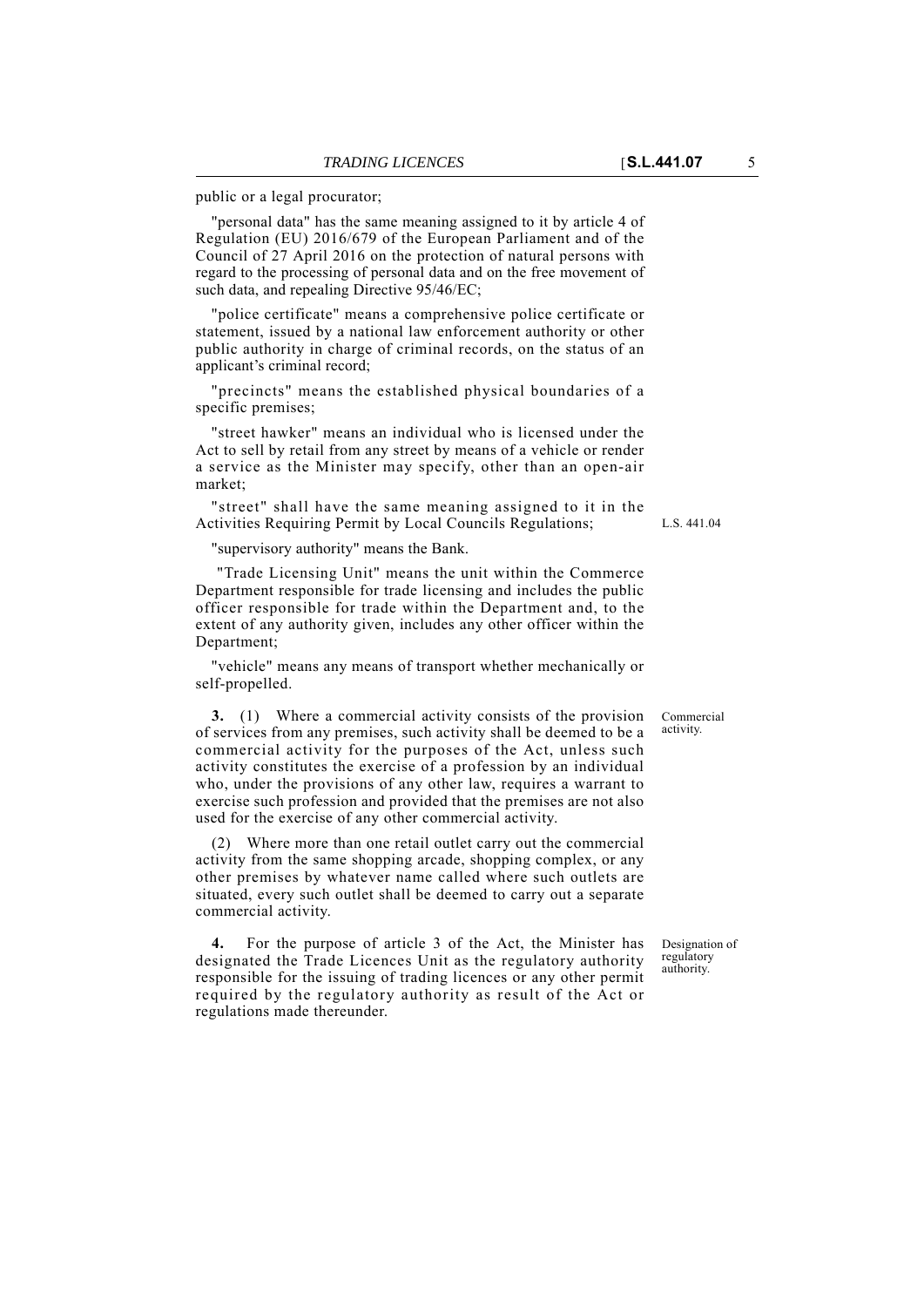public or a legal procurator;

"personal data" has the same meaning assigned to it by article 4 of Regulation (EU) 2016/679 of the European Parliament and of the Council of 27 April 2016 on the protection of natural persons with regard to the processing of personal data and on the free movement of such data, and repealing Directive 95/46/EC;

"police certificate" means a comprehensive police certificate or statement, issued by a national law enforcement authority or other public authority in charge of criminal records, on the status of an applicant's criminal record;

"precincts" means the established physical boundaries of a specific premises;

"street hawker" means an individual who is licensed under the Act to sell by retail from any street by means of a vehicle or render a service as the Minister may specify, other than an open-air market;

"street" shall have the same meaning assigned to it in the Activities Requiring Permit by Local Councils Regulations;

"supervisory authority" means the Bank.

 "Trade Licensing Unit" means the unit within the Commerce Department responsible for trade licensing and includes the public officer responsible for trade within the Department and, to the extent of any authority given, includes any other officer within the Department;

"vehicle" means any means of transport whether mechanically or self-propelled.

**3.** (1) Where a commercial activity consists of the provision of services from any premises, such activity shall be deemed to be a commercial activity for the purposes of the Act, unless such activity constitutes the exercise of a profession by an individual who, under the provisions of any other law, requires a warrant to exercise such profession and provided that the premises are not also used for the exercise of any other commercial activity.

(2) Where more than one retail outlet carry out the commercial activity from the same shopping arcade, shopping complex, or any other premises by whatever name called where such outlets are situated, every such outlet shall be deemed to carry out a separate commercial activity.

**4.** For the purpose of article 3 of the Act, the Minister has designated the Trade Licences Unit as the regulatory authority responsible for the issuing of trading licences or any other permit required by the regulatory authority as result of the Act or regulations made thereunder.

L.S. 441.04

Commercial activity.

Designation of regulatory authority.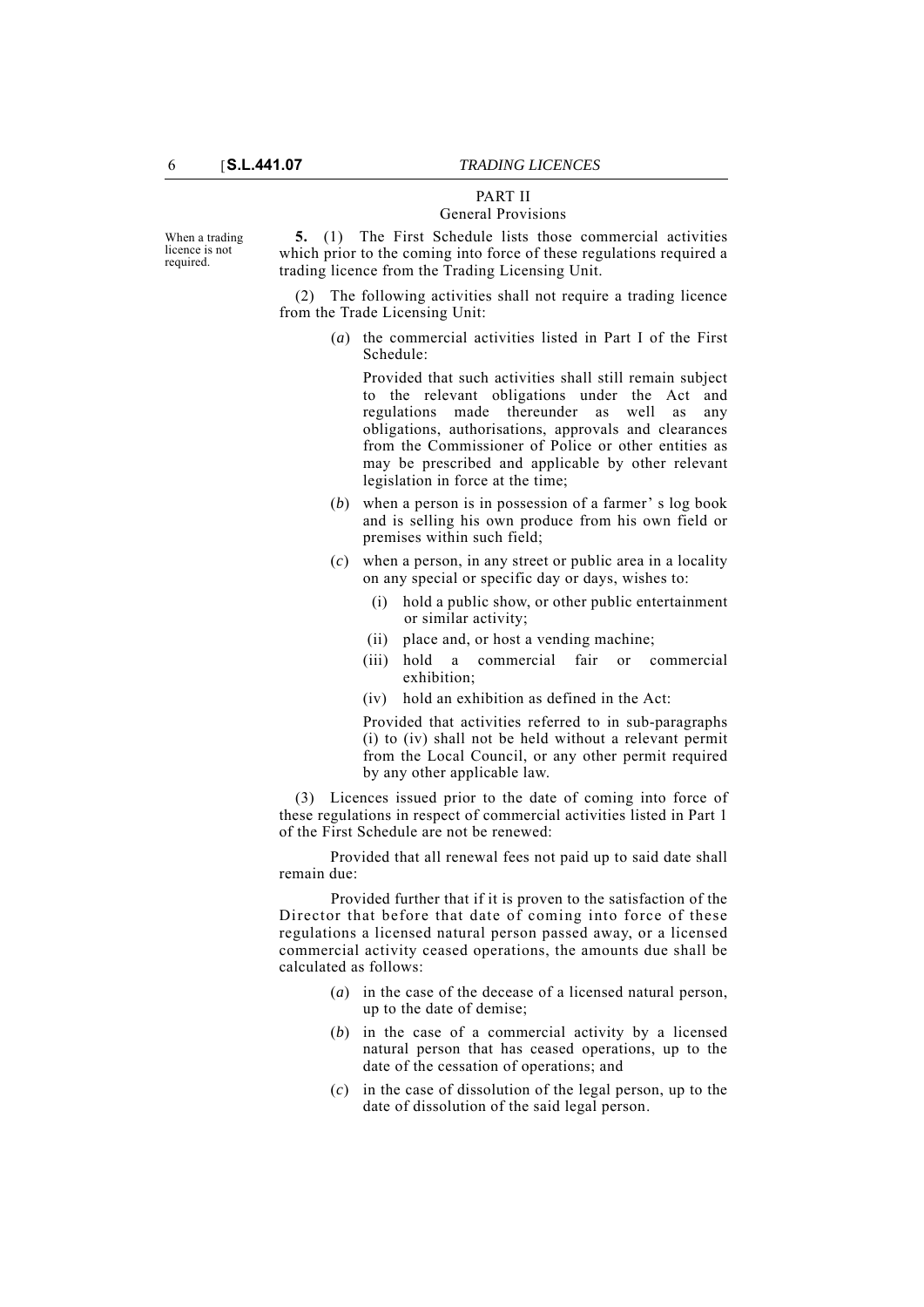#### PART II General Provisions

**5.** (1) The First Schedule lists those commercial activities which prior to the coming into force of these regulations required a trading licence from the Trading Licensing Unit.

(2) The following activities shall not require a trading licence from the Trade Licensing Unit:

> (*a*) the commercial activities listed in Part I of the First Schedule:

Provided that such activities shall still remain subject to the relevant obligations under the Act and regulations made thereunder as well as any obligations, authorisations, approvals and clearances from the Commissioner of Police or other entities as may be prescribed and applicable by other relevant legislation in force at the time;

- (*b*) when a person is in possession of a farmer' s log book and is selling his own produce from his own field or premises within such field;
- (*c*) when a person, in any street or public area in a locality on any special or specific day or days, wishes to:
	- (i) hold a public show, or other public entertainment or similar activity;
	- (ii) place and, or host a vending machine;
	- (iii) hold a commercial fair or commercial exhibition;
	- (iv) hold an exhibition as defined in the Act:

Provided that activities referred to in sub-paragraphs (i) to (iv) shall not be held without a relevant permit from the Local Council, or any other permit required by any other applicable law.

(3) Licences issued prior to the date of coming into force of these regulations in respect of commercial activities listed in Part 1 of the First Schedule are not be renewed:

Provided that all renewal fees not paid up to said date shall remain due:

Provided further that if it is proven to the satisfaction of the Director that before that date of coming into force of these regulations a licensed natural person passed away, or a licensed commercial activity ceased operations, the amounts due shall be calculated as follows:

- (*a*) in the case of the decease of a licensed natural person, up to the date of demise;
- (*b*) in the case of a commercial activity by a licensed natural person that has ceased operations, up to the date of the cessation of operations; and
- (*c*) in the case of dissolution of the legal person, up to the date of dissolution of the said legal person.

When a trading licence is not required.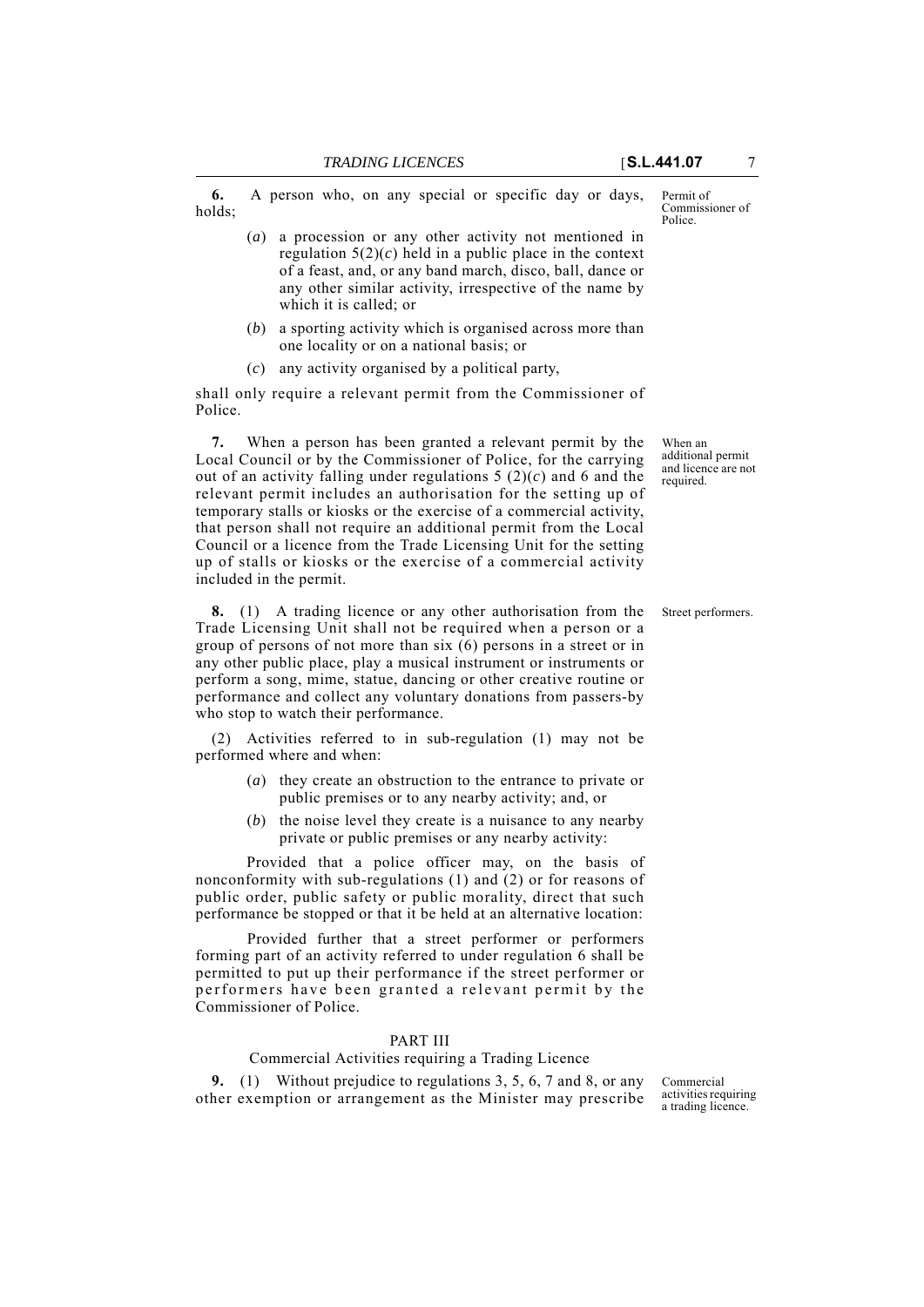**6.** A person who, on any special or specific day or days, holds;

- (*a*) a procession or any other activity not mentioned in regulation  $5(2)(c)$  held in a public place in the context of a feast, and, or any band march, disco, ball, dance or any other similar activity, irrespective of the name by which it is called; or
- (*b*) a sporting activity which is organised across more than one locality or on a national basis; or
- (*c*) any activity organised by a political party,

shall only require a relevant permit from the Commissioner of Police.

**7.** When a person has been granted a relevant permit by the Local Council or by the Commissioner of Police, for the carrying out of an activity falling under regulations 5 (2)(*c*) and 6 and the relevant permit includes an authorisation for the setting up of temporary stalls or kiosks or the exercise of a commercial activity, that person shall not require an additional permit from the Local Council or a licence from the Trade Licensing Unit for the setting up of stalls or kiosks or the exercise of a commercial activity included in the permit.

**8.** (1) A trading licence or any other authorisation from the Street performers. Trade Licensing Unit shall not be required when a person or a group of persons of not more than six (6) persons in a street or in any other public place, play a musical instrument or instruments or perform a song, mime, statue, dancing or other creative routine or performance and collect any voluntary donations from passers-by who stop to watch their performance.

(2) Activities referred to in sub-regulation (1) may not be performed where and when:

- (*a*) they create an obstruction to the entrance to private or public premises or to any nearby activity; and, or
- (*b*) the noise level they create is a nuisance to any nearby private or public premises or any nearby activity:

Provided that a police officer may, on the basis of nonconformity with sub-regulations (1) and (2) or for reasons of public order, public safety or public morality, direct that such performance be stopped or that it be held at an alternative location:

Provided further that a street performer or performers forming part of an activity referred to under regulation 6 shall be permitted to put up their performance if the street performer or performers have been granted a relevant permit by the Commissioner of Police.

#### PART III

## Commercial Activities requiring a Trading Licence

**9.** (1) Without prejudice to regulations 3, 5, 6, 7 and 8, or any other exemption or arrangement as the Minister may prescribe

Commercial activities requiring a trading licence.

When an additional permit and licence are not required.

Permit of Commissioner of Police.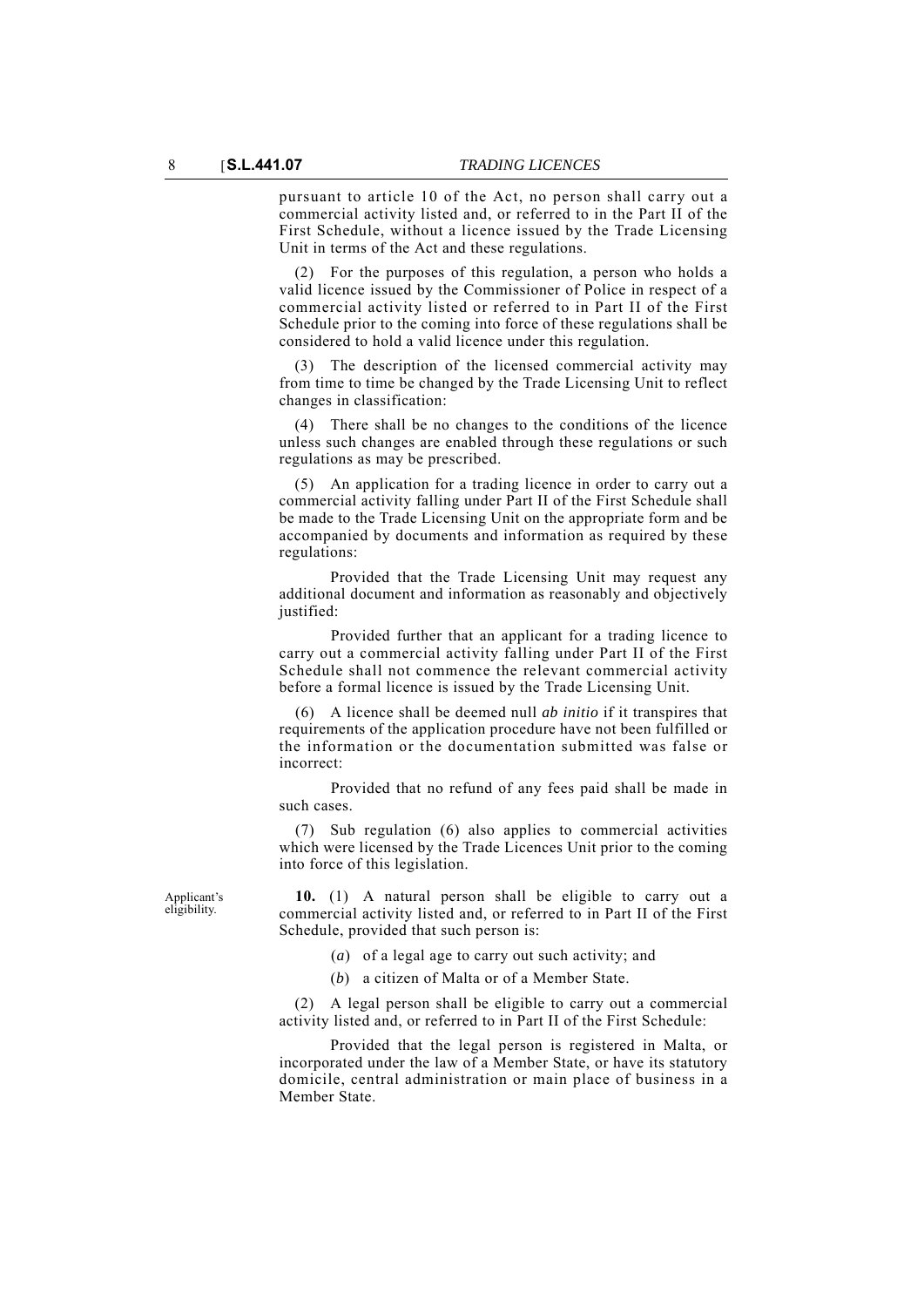pursuant to article 10 of the Act, no person shall carry out a commercial activity listed and, or referred to in the Part II of the First Schedule, without a licence issued by the Trade Licensing Unit in terms of the Act and these regulations.

For the purposes of this regulation, a person who holds a valid licence issued by the Commissioner of Police in respect of a commercial activity listed or referred to in Part II of the First Schedule prior to the coming into force of these regulations shall be considered to hold a valid licence under this regulation.

(3) The description of the licensed commercial activity may from time to time be changed by the Trade Licensing Unit to reflect changes in classification:

(4) There shall be no changes to the conditions of the licence unless such changes are enabled through these regulations or such regulations as may be prescribed.

(5) An application for a trading licence in order to carry out a commercial activity falling under Part II of the First Schedule shall be made to the Trade Licensing Unit on the appropriate form and be accompanied by documents and information as required by these regulations:

Provided that the Trade Licensing Unit may request any additional document and information as reasonably and objectively justified:

Provided further that an applicant for a trading licence to carry out a commercial activity falling under Part II of the First Schedule shall not commence the relevant commercial activity before a formal licence is issued by the Trade Licensing Unit.

(6) A licence shall be deemed null *ab initio* if it transpires that requirements of the application procedure have not been fulfilled or the information or the documentation submitted was false or incorrect:

Provided that no refund of any fees paid shall be made in such cases.

(7) Sub regulation (6) also applies to commercial activities which were licensed by the Trade Licences Unit prior to the coming into force of this legislation.

Applicant's eligibility.

**10.** (1) A natural person shall be eligible to carry out a commercial activity listed and, or referred to in Part II of the First Schedule, provided that such person is:

- (*a*) of a legal age to carry out such activity; and
- (*b*) a citizen of Malta or of a Member State.

(2) A legal person shall be eligible to carry out a commercial activity listed and, or referred to in Part II of the First Schedule:

Provided that the legal person is registered in Malta, or incorporated under the law of a Member State, or have its statutory domicile, central administration or main place of business in a Member State.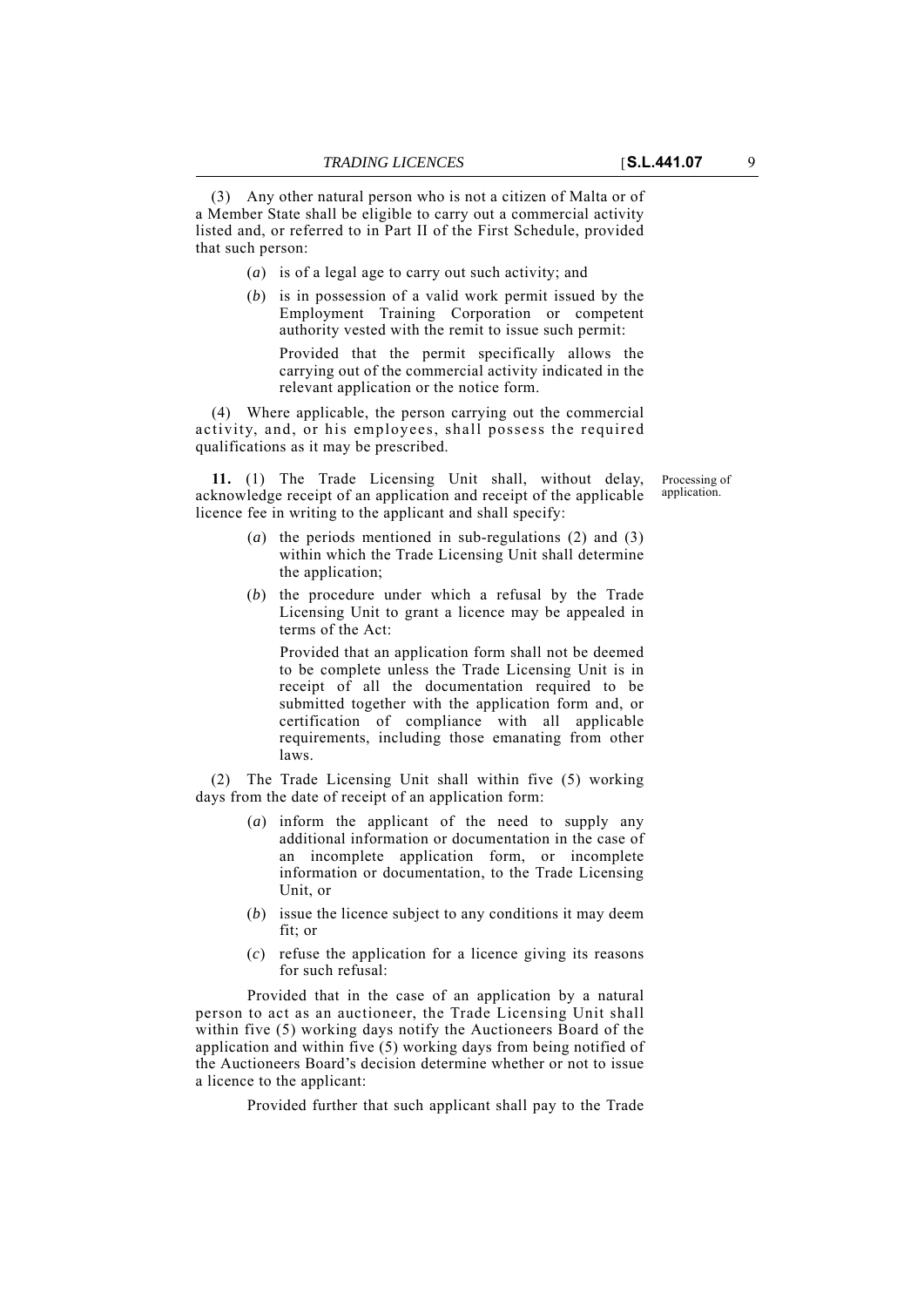(3) Any other natural person who is not a citizen of Malta or of a Member State shall be eligible to carry out a commercial activity listed and, or referred to in Part II of the First Schedule, provided that such person:

- (*a*) is of a legal age to carry out such activity; and
- (*b*) is in possession of a valid work permit issued by the Employment Training Corporation or competent authority vested with the remit to issue such permit:

Provided that the permit specifically allows the carrying out of the commercial activity indicated in the relevant application or the notice form.

(4) Where applicable, the person carrying out the commercial activity, and, or his employees, shall possess the required qualifications as it may be prescribed.

**11.** (1) The Trade Licensing Unit shall, without delay, acknowledge receipt of an application and receipt of the applicable licence fee in writing to the applicant and shall specify:

- (*a*) the periods mentioned in sub-regulations (2) and (3) within which the Trade Licensing Unit shall determine the application;
- (*b*) the procedure under which a refusal by the Trade Licensing Unit to grant a licence may be appealed in terms of the Act:

Provided that an application form shall not be deemed to be complete unless the Trade Licensing Unit is in receipt of all the documentation required to be submitted together with the application form and, or certification of compliance with all applicable requirements, including those emanating from other laws.

(2) The Trade Licensing Unit shall within five (5) working days from the date of receipt of an application form:

- (*a*) inform the applicant of the need to supply any additional information or documentation in the case of an incomplete application form, or incomplete information or documentation, to the Trade Licensing Unit, or
- (*b*) issue the licence subject to any conditions it may deem fit; or
- (*c*) refuse the application for a licence giving its reasons for such refusal:

Provided that in the case of an application by a natural person to act as an auctioneer, the Trade Licensing Unit shall within five (5) working days notify the Auctioneers Board of the application and within five (5) working days from being notified of the Auctioneers Board's decision determine whether or not to issue a licence to the applicant:

Provided further that such applicant shall pay to the Trade

Processing of application.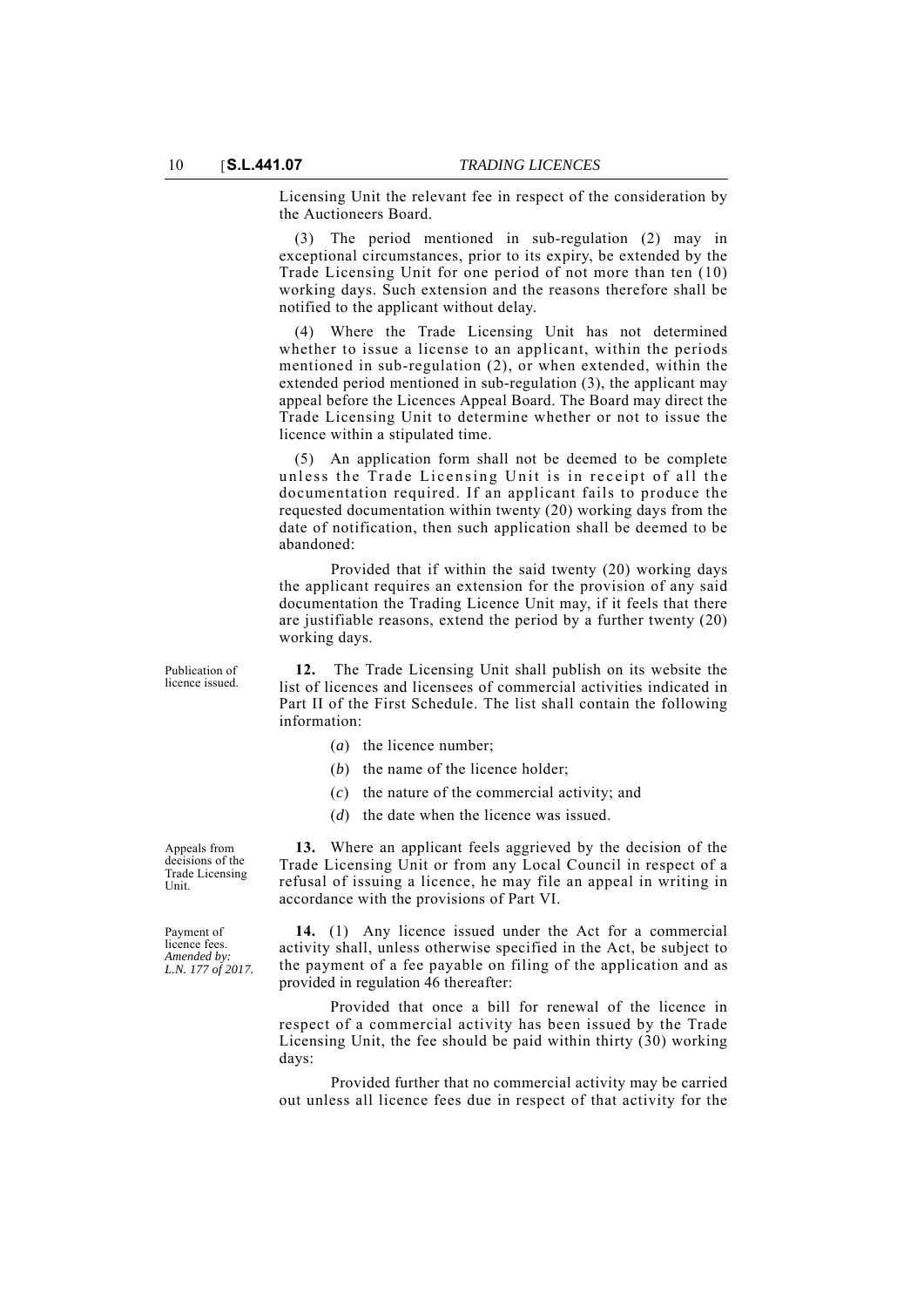Licensing Unit the relevant fee in respect of the consideration by the Auctioneers Board.

(3) The period mentioned in sub-regulation (2) may in exceptional circumstances, prior to its expiry, be extended by the Trade Licensing Unit for one period of not more than ten (10) working days. Such extension and the reasons therefore shall be notified to the applicant without delay.

(4) Where the Trade Licensing Unit has not determined whether to issue a license to an applicant, within the periods mentioned in sub-regulation (2), or when extended, within the extended period mentioned in sub-regulation (3), the applicant may appeal before the Licences Appeal Board. The Board may direct the Trade Licensing Unit to determine whether or not to issue the licence within a stipulated time.

(5) An application form shall not be deemed to be complete unless the Trade Licensing Unit is in receipt of all the documentation required. If an applicant fails to produce the requested documentation within twenty (20) working days from the date of notification, then such application shall be deemed to be abandoned:

Provided that if within the said twenty (20) working days the applicant requires an extension for the provision of any said documentation the Trading Licence Unit may, if it feels that there are justifiable reasons, extend the period by a further twenty (20) working days.

**12.** The Trade Licensing Unit shall publish on its website the list of licences and licensees of commercial activities indicated in Part II of the First Schedule. The list shall contain the following information:

- (*a*) the licence number;
- (*b*) the name of the licence holder;
- (*c*) the nature of the commercial activity; and
- (*d*) the date when the licence was issued.

**13.** Where an applicant feels aggrieved by the decision of the Trade Licensing Unit or from any Local Council in respect of a refusal of issuing a licence, he may file an appeal in writing in accordance with the provisions of Part VI.

**14.** (1) Any licence issued under the Act for a commercial activity shall, unless otherwise specified in the Act, be subject to the payment of a fee payable on filing of the application and as provided in regulation 46 thereafter:

Provided that once a bill for renewal of the licence in respect of a commercial activity has been issued by the Trade Licensing Unit, the fee should be paid within thirty (30) working days:

Provided further that no commercial activity may be carried out unless all licence fees due in respect of that activity for the

Appeals from

decisions of the

Publication of licence issued.

Trade Licensing Unit.

Payment of licence fees. *Amended by: L.N. 177 of 2017.*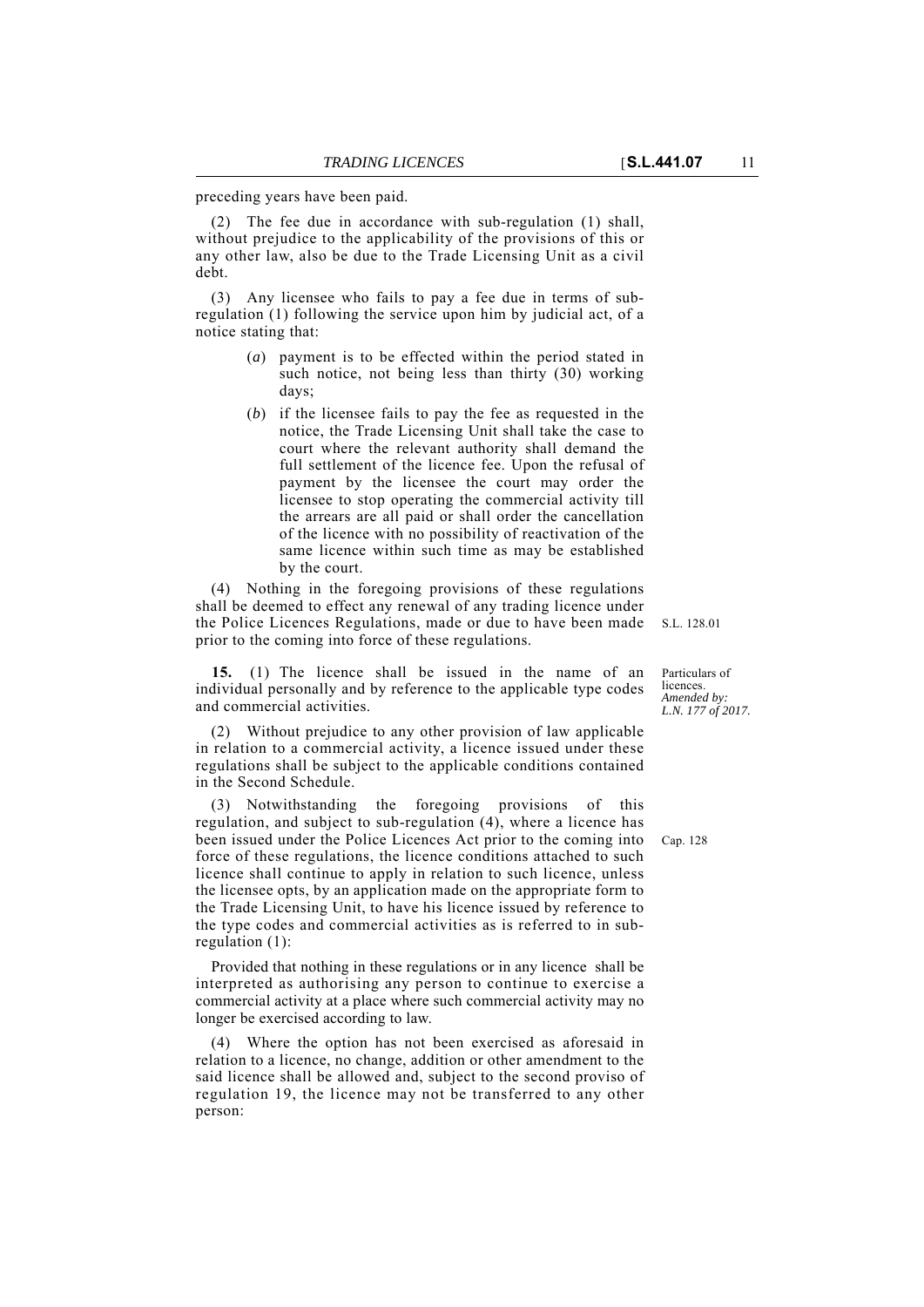(2) The fee due in accordance with sub-regulation (1) shall, without prejudice to the applicability of the provisions of this or any other law, also be due to the Trade Licensing Unit as a civil debt.

(3) Any licensee who fails to pay a fee due in terms of subregulation (1) following the service upon him by judicial act, of a notice stating that:

- (*a*) payment is to be effected within the period stated in such notice, not being less than thirty (30) working days;
- (*b*) if the licensee fails to pay the fee as requested in the notice, the Trade Licensing Unit shall take the case to court where the relevant authority shall demand the full settlement of the licence fee. Upon the refusal of payment by the licensee the court may order the licensee to stop operating the commercial activity till the arrears are all paid or shall order the cancellation of the licence with no possibility of reactivation of the same licence within such time as may be established by the court.

(4) Nothing in the foregoing provisions of these regulations shall be deemed to effect any renewal of any trading licence under the Police Licences Regulations, made or due to have been made prior to the coming into force of these regulations.

**15.** (1) The licence shall be issued in the name of an individual personally and by reference to the applicable type codes and commercial activities.

(2) Without prejudice to any other provision of law applicable in relation to a commercial activity, a licence issued under these regulations shall be subject to the applicable conditions contained in the Second Schedule.

been issued under the Police Licences Act prior to the coming into Cap. 128 (3) Notwithstanding the foregoing provisions of this regulation, and subject to sub-regulation (4), where a licence has force of these regulations, the licence conditions attached to such licence shall continue to apply in relation to such licence, unless the licensee opts, by an application made on the appropriate form to the Trade Licensing Unit, to have his licence issued by reference to the type codes and commercial activities as is referred to in subregulation (1):

Provided that nothing in these regulations or in any licence shall be interpreted as authorising any person to continue to exercise a commercial activity at a place where such commercial activity may no longer be exercised according to law.

(4) Where the option has not been exercised as aforesaid in relation to a licence, no change, addition or other amendment to the said licence shall be allowed and, subject to the second proviso of regulation 19, the licence may not be transferred to any other person:

S.L. 128.01

Particulars of licences. *Amended by: L.N. 177 of 2017.*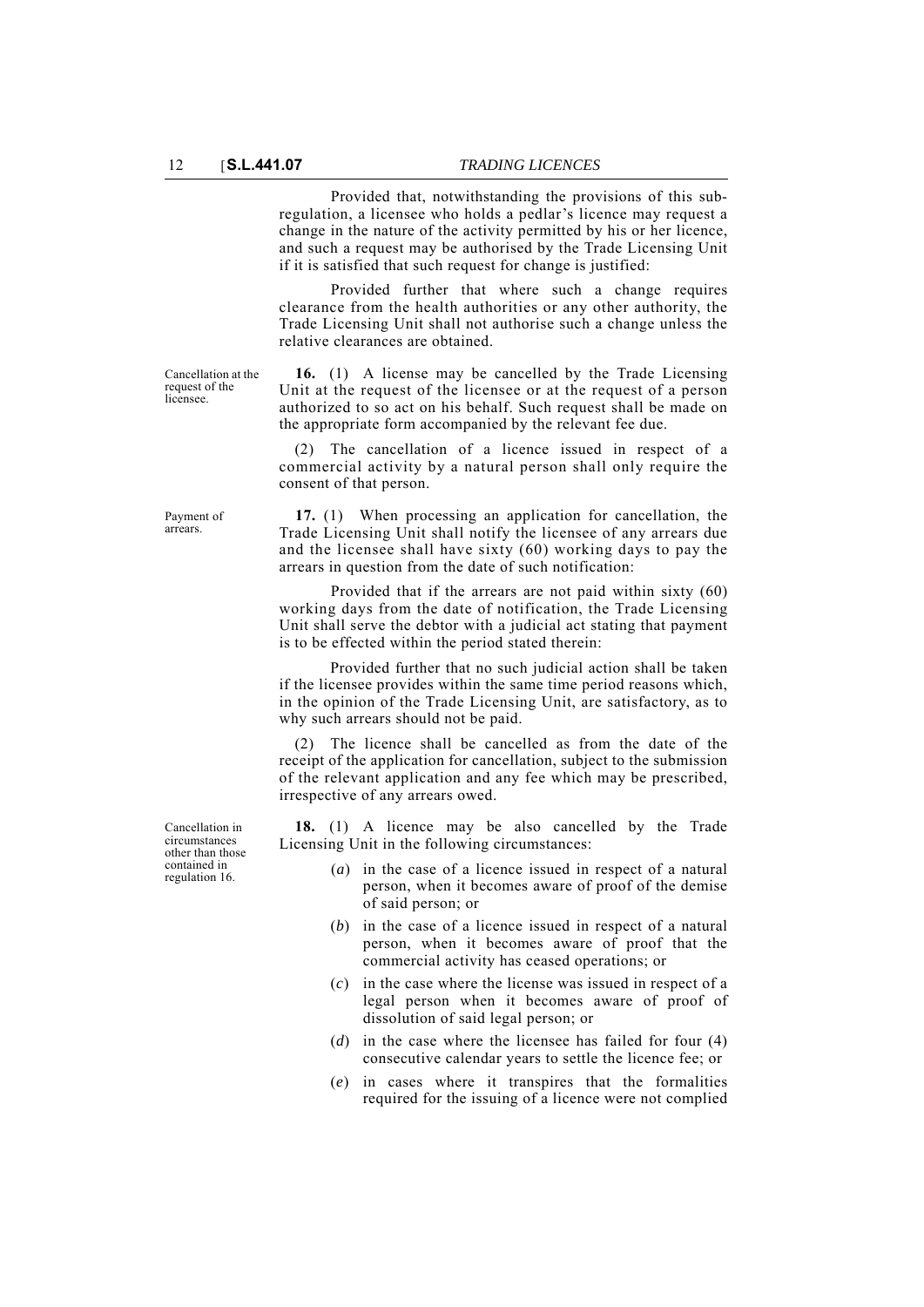Provided that, notwithstanding the provisions of this subregulation, a licensee who holds a pedlar's licence may request a change in the nature of the activity permitted by his or her licence, and such a request may be authorised by the Trade Licensing Unit if it is satisfied that such request for change is justified:

Provided further that where such a change requires clearance from the health authorities or any other authority, the Trade Licensing Unit shall not authorise such a change unless the relative clearances are obtained.

Cancellation at the request of the licensee.

**16.** (1) A license may be cancelled by the Trade Licensing Unit at the request of the licensee or at the request of a person authorized to so act on his behalf. Such request shall be made on the appropriate form accompanied by the relevant fee due.

(2) The cancellation of a licence issued in respect of a commercial activity by a natural person shall only require the consent of that person.

Payment of arrears.

**17.** (1) When processing an application for cancellation, the Trade Licensing Unit shall notify the licensee of any arrears due and the licensee shall have sixty (60) working days to pay the arrears in question from the date of such notification:

Provided that if the arrears are not paid within sixty (60) working days from the date of notification, the Trade Licensing Unit shall serve the debtor with a judicial act stating that payment is to be effected within the period stated therein:

Provided further that no such judicial action shall be taken if the licensee provides within the same time period reasons which, in the opinion of the Trade Licensing Unit, are satisfactory, as to why such arrears should not be paid.

(2) The licence shall be cancelled as from the date of the receipt of the application for cancellation, subject to the submission of the relevant application and any fee which may be prescribed, irrespective of any arrears owed.

**18.** (1) A licence may be also cancelled by the Trade Licensing Unit in the following circumstances:

- (*a*) in the case of a licence issued in respect of a natural person, when it becomes aware of proof of the demise of said person; or
- (*b*) in the case of a licence issued in respect of a natural person, when it becomes aware of proof that the commercial activity has ceased operations; or
- (*c*) in the case where the license was issued in respect of a legal person when it becomes aware of proof of dissolution of said legal person; or
- (*d*) in the case where the licensee has failed for four (4) consecutive calendar years to settle the licence fee; or
- (*e*) in cases where it transpires that the formalities required for the issuing of a licence were not complied

Cancellation in circumstances other than those contained in regulation 16.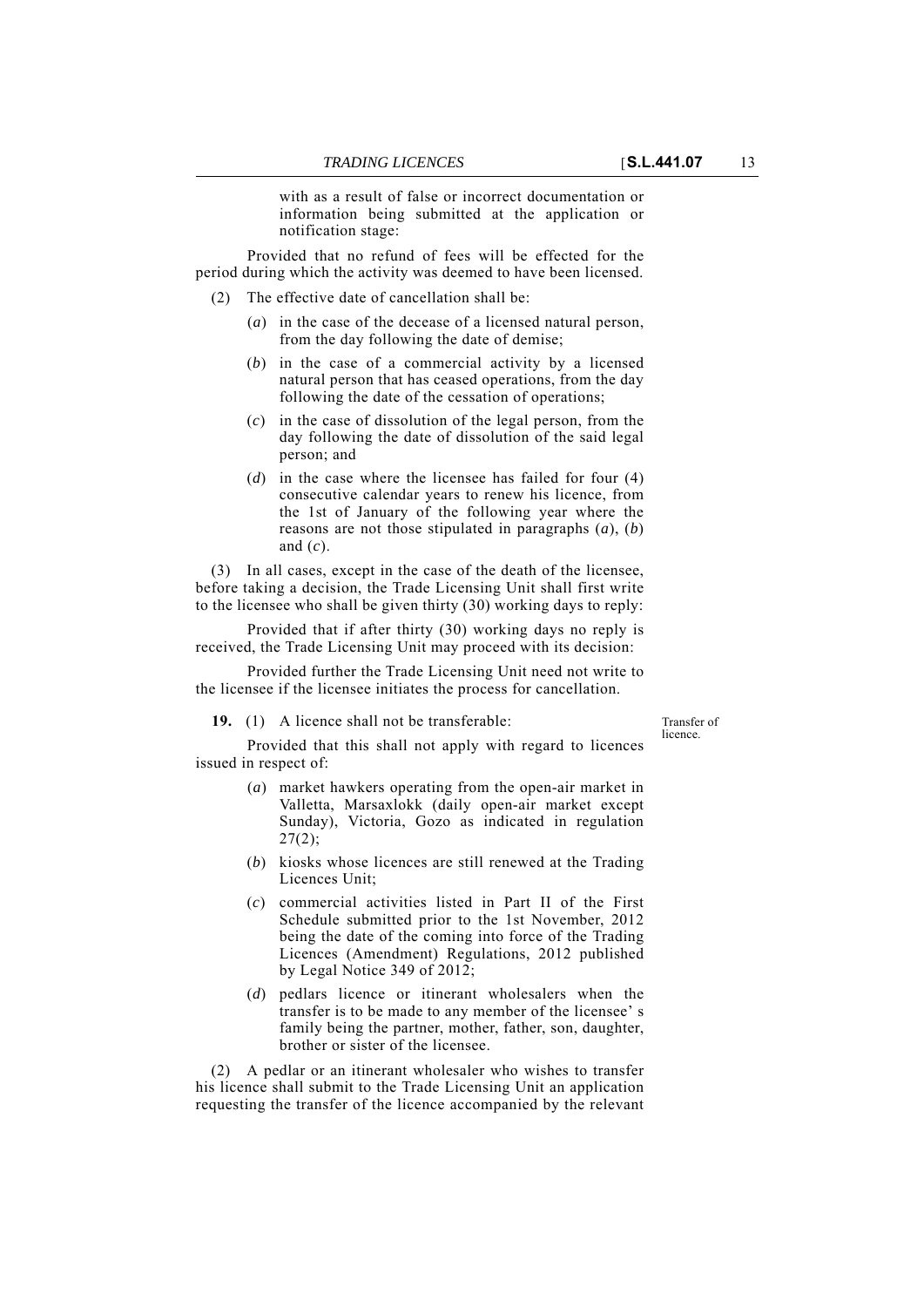with as a result of false or incorrect documentation or information being submitted at the application or notification stage:

Provided that no refund of fees will be effected for the period during which the activity was deemed to have been licensed.

- (2) The effective date of cancellation shall be:
	- (*a*) in the case of the decease of a licensed natural person, from the day following the date of demise;
	- (*b*) in the case of a commercial activity by a licensed natural person that has ceased operations, from the day following the date of the cessation of operations;
	- (*c*) in the case of dissolution of the legal person, from the day following the date of dissolution of the said legal person; and
	- (*d*) in the case where the licensee has failed for four (4) consecutive calendar years to renew his licence, from the 1st of January of the following year where the reasons are not those stipulated in paragraphs (*a*), (*b*) and (*c*).

(3) In all cases, except in the case of the death of the licensee, before taking a decision, the Trade Licensing Unit shall first write to the licensee who shall be given thirty (30) working days to reply:

Provided that if after thirty (30) working days no reply is received, the Trade Licensing Unit may proceed with its decision:

Provided further the Trade Licensing Unit need not write to the licensee if the licensee initiates the process for cancellation.

**19.** (1) A licence shall not be transferable:

Transfer of licence.

Provided that this shall not apply with regard to licences issued in respect of:

- (*a*) market hawkers operating from the open-air market in Valletta, Marsaxlokk (daily open-air market except Sunday), Victoria, Gozo as indicated in regulation  $27(2);$
- (*b*) kiosks whose licences are still renewed at the Trading Licences Unit;
- (*c*) commercial activities listed in Part II of the First Schedule submitted prior to the 1st November, 2012 being the date of the coming into force of the Trading Licences (Amendment) Regulations, 2012 published by Legal Notice 349 of 2012;
- (*d*) pedlars licence or itinerant wholesalers when the transfer is to be made to any member of the licensee' s family being the partner, mother, father, son, daughter, brother or sister of the licensee.

(2) A pedlar or an itinerant wholesaler who wishes to transfer his licence shall submit to the Trade Licensing Unit an application requesting the transfer of the licence accompanied by the relevant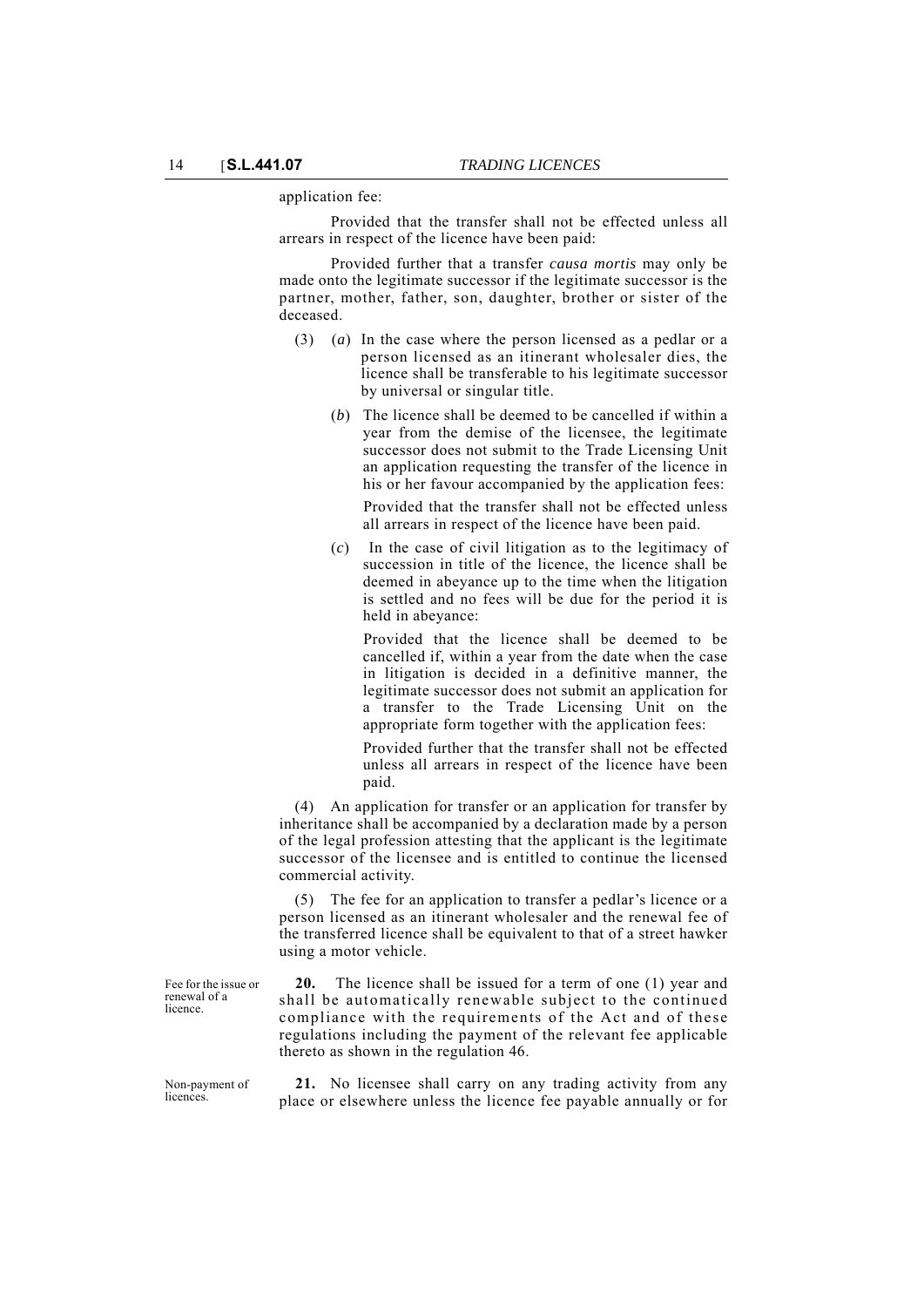application fee:

Provided that the transfer shall not be effected unless all arrears in respect of the licence have been paid:

Provided further that a transfer *causa mortis* may only be made onto the legitimate successor if the legitimate successor is the partner, mother, father, son, daughter, brother or sister of the deceased.

- (3) (*a*) In the case where the person licensed as a pedlar or a person licensed as an itinerant wholesaler dies, the licence shall be transferable to his legitimate successor by universal or singular title.
	- (*b*) The licence shall be deemed to be cancelled if within a year from the demise of the licensee, the legitimate successor does not submit to the Trade Licensing Unit an application requesting the transfer of the licence in his or her favour accompanied by the application fees:

Provided that the transfer shall not be effected unless all arrears in respect of the licence have been paid.

(*c*) In the case of civil litigation as to the legitimacy of succession in title of the licence, the licence shall be deemed in abeyance up to the time when the litigation is settled and no fees will be due for the period it is held in abeyance:

Provided that the licence shall be deemed to be cancelled if, within a year from the date when the case in litigation is decided in a definitive manner, the legitimate successor does not submit an application for a transfer to the Trade Licensing Unit on the appropriate form together with the application fees:

Provided further that the transfer shall not be effected unless all arrears in respect of the licence have been paid.

(4) An application for transfer or an application for transfer by inheritance shall be accompanied by a declaration made by a person of the legal profession attesting that the applicant is the legitimate successor of the licensee and is entitled to continue the licensed commercial activity.

(5) The fee for an application to transfer a pedlar's licence or a person licensed as an itinerant wholesaler and the renewal fee of the transferred licence shall be equivalent to that of a street hawker using a motor vehicle.

**20.** The licence shall be issued for a term of one (1) year and shall be automatically renewable subject to the continued compliance with the requirements of the Act and of these regulations including the payment of the relevant fee applicable thereto as shown in the regulation 46.

licences.

**21.** No licensee shall carry on any trading activity from any place or elsewhere unless the licence fee payable annually or for

Fee for the issue or renewal of a licence.

Non-payment of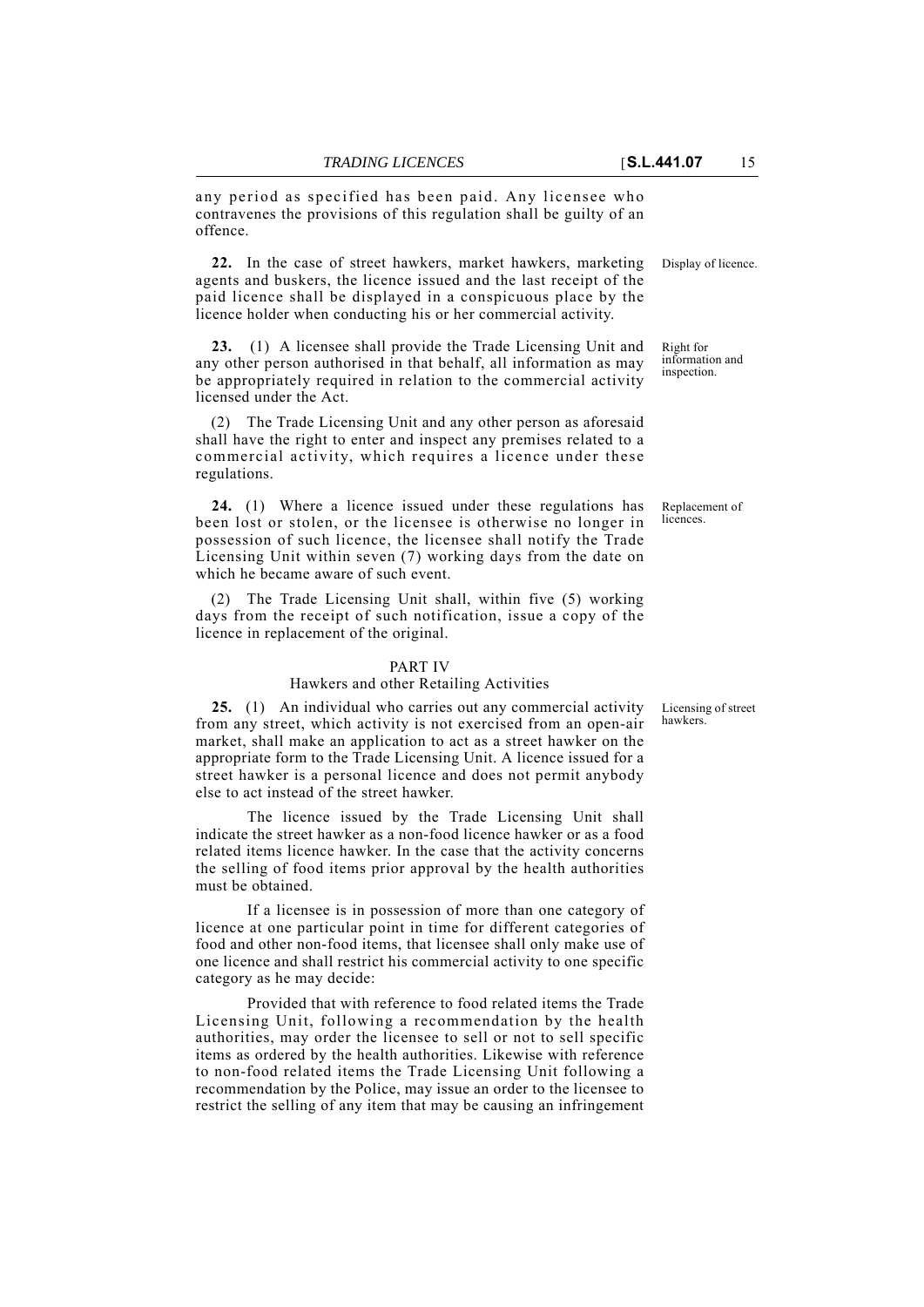any period as specified has been paid. Any licensee who contravenes the provisions of this regulation shall be guilty of an offence.

**22.** In the case of street hawkers, market hawkers, marketing Display of licence. agents and buskers, the licence issued and the last receipt of the paid licence shall be displayed in a conspicuous place by the licence holder when conducting his or her commercial activity.

**23.** (1) A licensee shall provide the Trade Licensing Unit and any other person authorised in that behalf, all information as may be appropriately required in relation to the commercial activity licensed under the Act.

(2) The Trade Licensing Unit and any other person as aforesaid shall have the right to enter and inspect any premises related to a commercial activity, which requires a licence under these regulations.

**24.** (1) Where a licence issued under these regulations has been lost or stolen, or the licensee is otherwise no longer in possession of such licence, the licensee shall notify the Trade Licensing Unit within seven (7) working days from the date on which he became aware of such event.

(2) The Trade Licensing Unit shall, within five (5) working days from the receipt of such notification, issue a copy of the licence in replacement of the original.

#### PART IV

## Hawkers and other Retailing Activities

**25.** (1) An individual who carries out any commercial activity from any street, which activity is not exercised from an open-air market, shall make an application to act as a street hawker on the appropriate form to the Trade Licensing Unit. A licence issued for a street hawker is a personal licence and does not permit anybody else to act instead of the street hawker.

The licence issued by the Trade Licensing Unit shall indicate the street hawker as a non-food licence hawker or as a food related items licence hawker. In the case that the activity concerns the selling of food items prior approval by the health authorities must be obtained.

If a licensee is in possession of more than one category of licence at one particular point in time for different categories of food and other non-food items, that licensee shall only make use of one licence and shall restrict his commercial activity to one specific category as he may decide:

Provided that with reference to food related items the Trade Licensing Unit, following a recommendation by the health authorities, may order the licensee to sell or not to sell specific items as ordered by the health authorities. Likewise with reference to non-food related items the Trade Licensing Unit following a recommendation by the Police, may issue an order to the licensee to restrict the selling of any item that may be causing an infringement

Right for information and inspection.

Replacement of licences.

Licensing of street hawkers.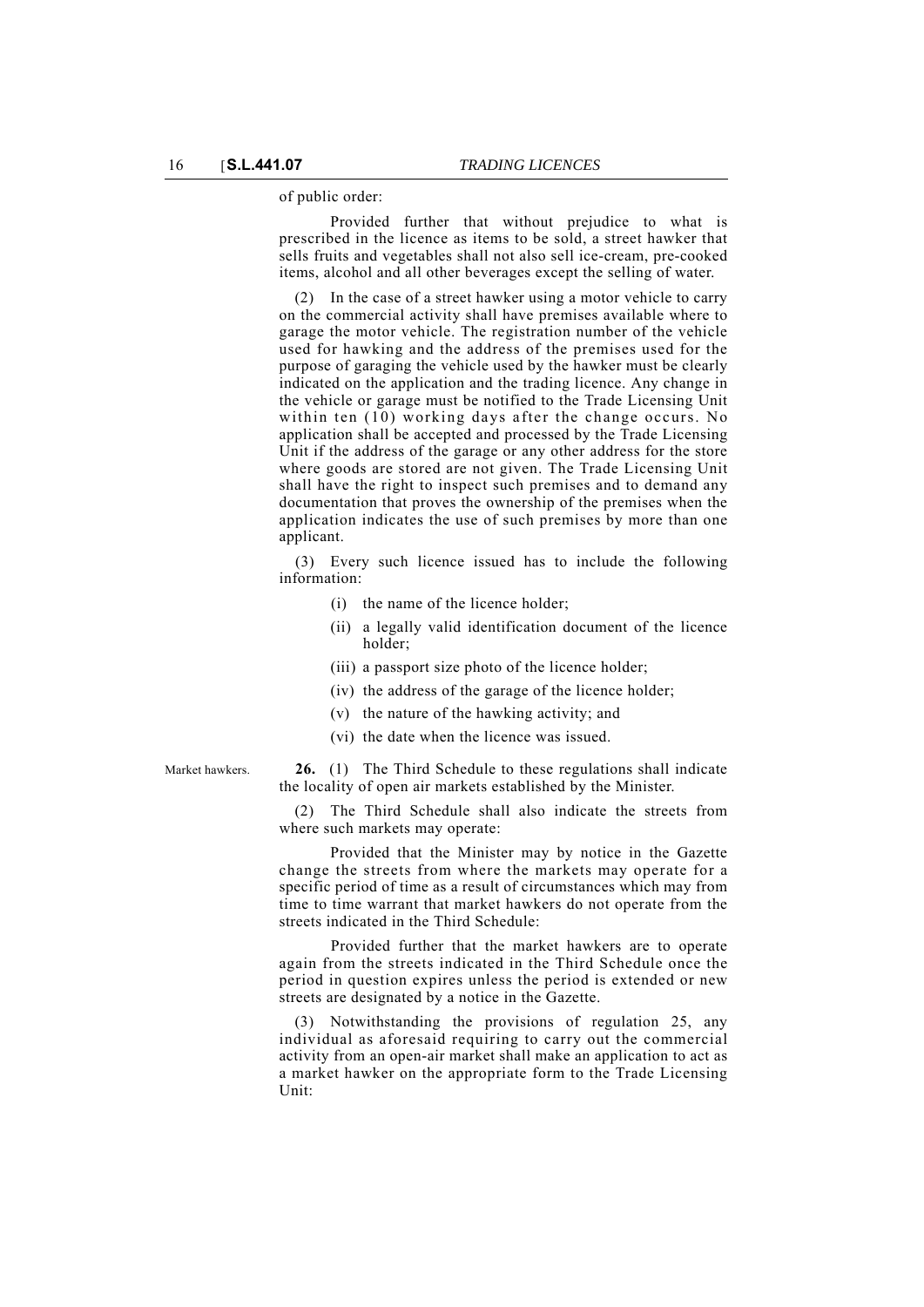of public order:

Provided further that without prejudice to what is prescribed in the licence as items to be sold, a street hawker that sells fruits and vegetables shall not also sell ice-cream, pre-cooked items, alcohol and all other beverages except the selling of water.

(2) In the case of a street hawker using a motor vehicle to carry on the commercial activity shall have premises available where to garage the motor vehicle. The registration number of the vehicle used for hawking and the address of the premises used for the purpose of garaging the vehicle used by the hawker must be clearly indicated on the application and the trading licence. Any change in the vehicle or garage must be notified to the Trade Licensing Unit within ten (10) working days after the change occurs. No application shall be accepted and processed by the Trade Licensing Unit if the address of the garage or any other address for the store where goods are stored are not given. The Trade Licensing Unit shall have the right to inspect such premises and to demand any documentation that proves the ownership of the premises when the application indicates the use of such premises by more than one applicant.

(3) Every such licence issued has to include the following information:

- (i) the name of the licence holder;
- (ii) a legally valid identification document of the licence holder;
- (iii) a passport size photo of the licence holder;
- (iv) the address of the garage of the licence holder;
- (v) the nature of the hawking activity; and
- (vi) the date when the licence was issued.

Market hawkers. **26.** (1) The Third Schedule to these regulations shall indicate the locality of open air markets established by the Minister.

> (2) The Third Schedule shall also indicate the streets from where such markets may operate:

> Provided that the Minister may by notice in the Gazette change the streets from where the markets may operate for a specific period of time as a result of circumstances which may from time to time warrant that market hawkers do not operate from the streets indicated in the Third Schedule:

> Provided further that the market hawkers are to operate again from the streets indicated in the Third Schedule once the period in question expires unless the period is extended or new streets are designated by a notice in the Gazette.

> (3) Notwithstanding the provisions of regulation 25, any individual as aforesaid requiring to carry out the commercial activity from an open-air market shall make an application to act as a market hawker on the appropriate form to the Trade Licensing Unit: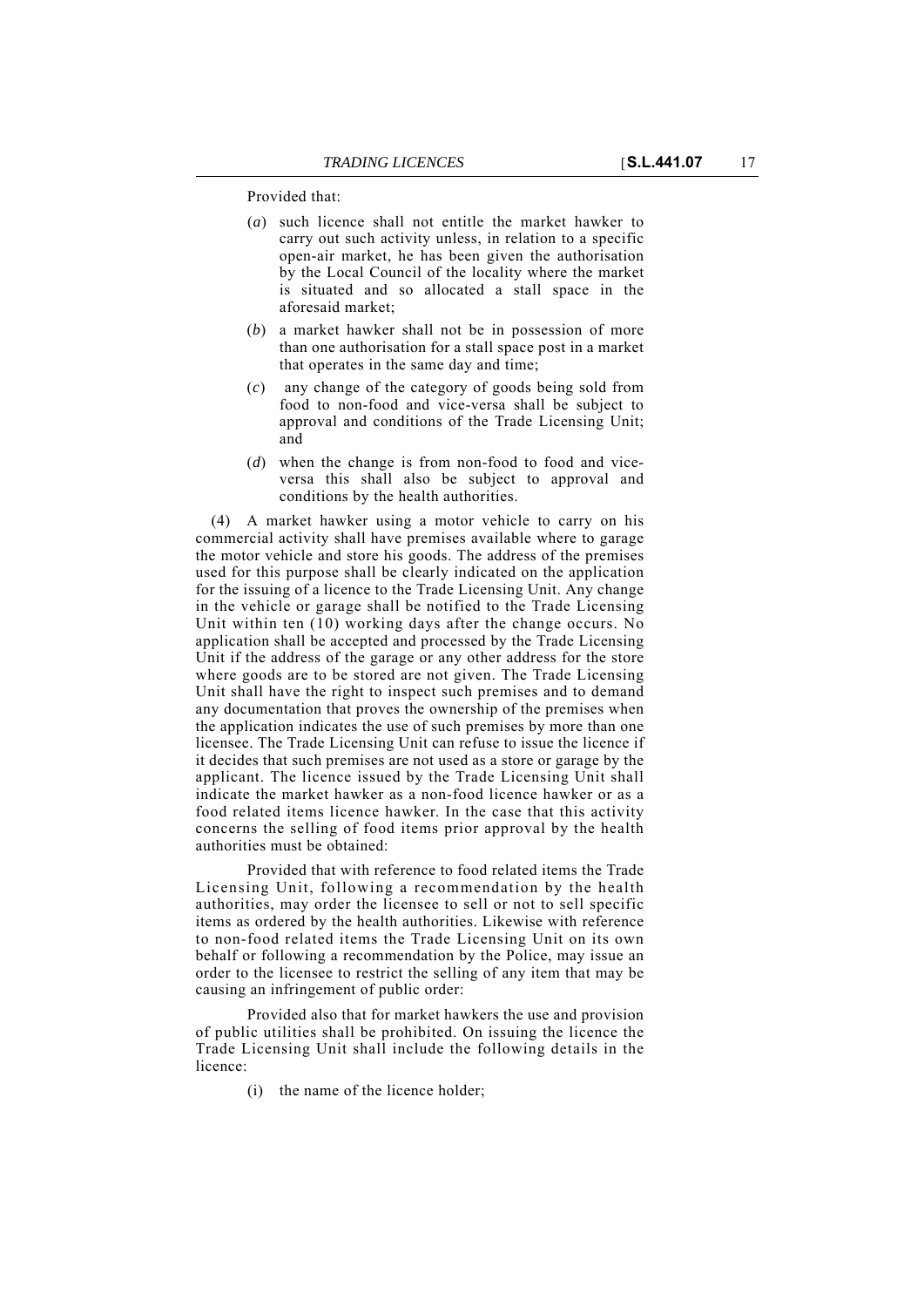Provided that:

- (*a*) such licence shall not entitle the market hawker to carry out such activity unless, in relation to a specific open-air market, he has been given the authorisation by the Local Council of the locality where the market is situated and so allocated a stall space in the aforesaid market;
- (*b*) a market hawker shall not be in possession of more than one authorisation for a stall space post in a market that operates in the same day and time;
- (*c*) any change of the category of goods being sold from food to non-food and vice-versa shall be subject to approval and conditions of the Trade Licensing Unit; and
- (*d*) when the change is from non-food to food and viceversa this shall also be subject to approval and conditions by the health authorities.

(4) A market hawker using a motor vehicle to carry on his commercial activity shall have premises available where to garage the motor vehicle and store his goods. The address of the premises used for this purpose shall be clearly indicated on the application for the issuing of a licence to the Trade Licensing Unit. Any change in the vehicle or garage shall be notified to the Trade Licensing Unit within ten  $(10)$  working days after the change occurs. No application shall be accepted and processed by the Trade Licensing Unit if the address of the garage or any other address for the store where goods are to be stored are not given. The Trade Licensing Unit shall have the right to inspect such premises and to demand any documentation that proves the ownership of the premises when the application indicates the use of such premises by more than one licensee. The Trade Licensing Unit can refuse to issue the licence if it decides that such premises are not used as a store or garage by the applicant. The licence issued by the Trade Licensing Unit shall indicate the market hawker as a non-food licence hawker or as a food related items licence hawker. In the case that this activity concerns the selling of food items prior approval by the health authorities must be obtained:

Provided that with reference to food related items the Trade Licensing Unit, following a recommendation by the health authorities, may order the licensee to sell or not to sell specific items as ordered by the health authorities. Likewise with reference to non-food related items the Trade Licensing Unit on its own behalf or following a recommendation by the Police, may issue an order to the licensee to restrict the selling of any item that may be causing an infringement of public order:

Provided also that for market hawkers the use and provision of public utilities shall be prohibited. On issuing the licence the Trade Licensing Unit shall include the following details in the licence:

(i) the name of the licence holder;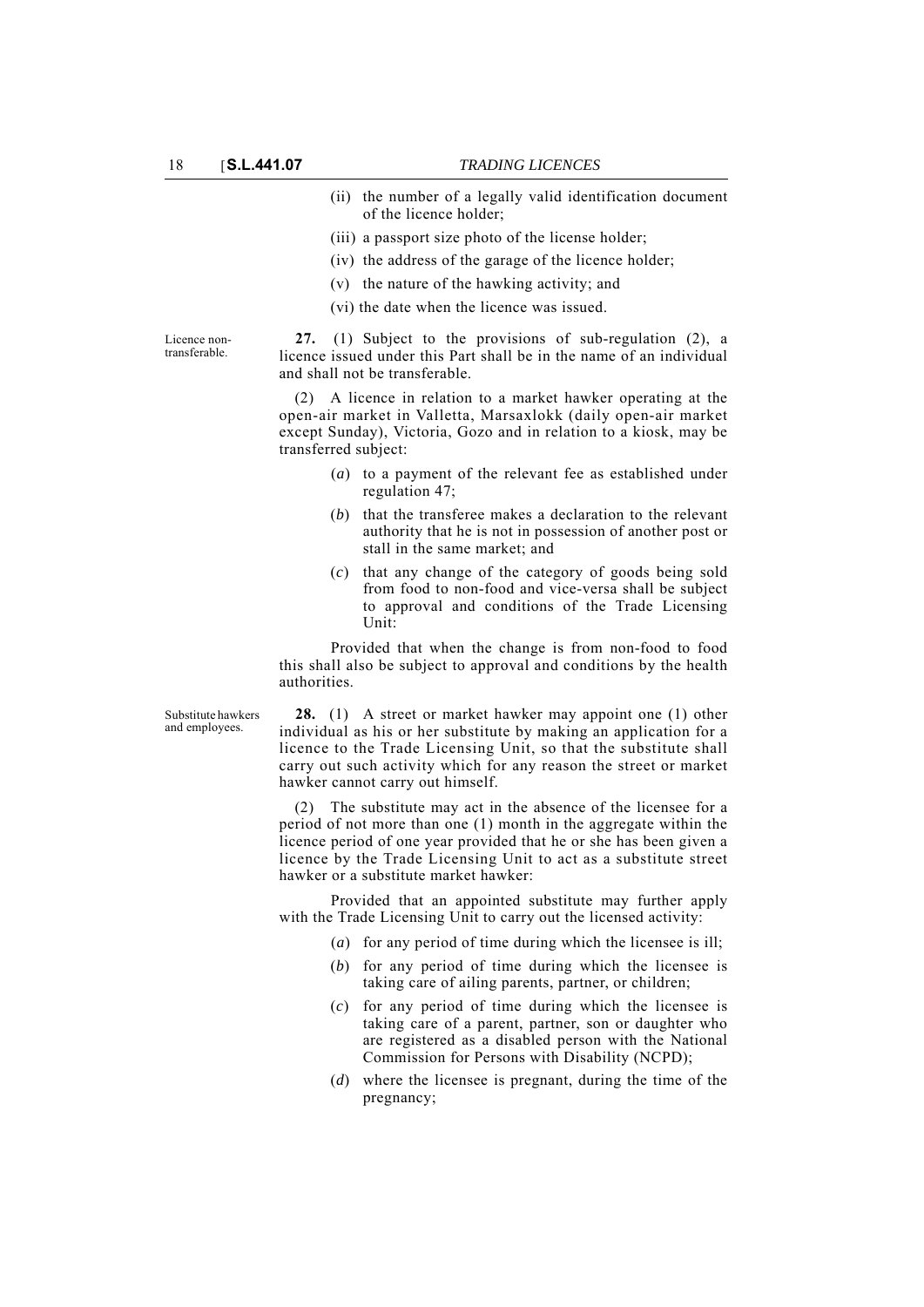- (ii) the number of a legally valid identification document of the licence holder;
- (iii) a passport size photo of the license holder;
- (iv) the address of the garage of the licence holder;
- (v) the nature of the hawking activity; and
- (vi) the date when the licence was issued.

Licence nontransferable.

**27.** (1) Subject to the provisions of sub-regulation (2), a licence issued under this Part shall be in the name of an individual and shall not be transferable.

(2) A licence in relation to a market hawker operating at the open-air market in Valletta, Marsaxlokk (daily open-air market except Sunday), Victoria, Gozo and in relation to a kiosk, may be transferred subject:

- (*a*) to a payment of the relevant fee as established under regulation 47;
- (*b*) that the transferee makes a declaration to the relevant authority that he is not in possession of another post or stall in the same market; and
- (*c*) that any change of the category of goods being sold from food to non-food and vice-versa shall be subject to approval and conditions of the Trade Licensing Unit:

Provided that when the change is from non-food to food this shall also be subject to approval and conditions by the health authorities.

Substitute hawkers and employees.

**28.** (1) A street or market hawker may appoint one (1) other individual as his or her substitute by making an application for a licence to the Trade Licensing Unit, so that the substitute shall carry out such activity which for any reason the street or market hawker cannot carry out himself.

(2) The substitute may act in the absence of the licensee for a period of not more than one (1) month in the aggregate within the licence period of one year provided that he or she has been given a licence by the Trade Licensing Unit to act as a substitute street hawker or a substitute market hawker:

Provided that an appointed substitute may further apply with the Trade Licensing Unit to carry out the licensed activity:

- (*a*) for any period of time during which the licensee is ill;
- (*b*) for any period of time during which the licensee is taking care of ailing parents, partner, or children;
- (*c*) for any period of time during which the licensee is taking care of a parent, partner, son or daughter who are registered as a disabled person with the National Commission for Persons with Disability (NCPD);
- (*d*) where the licensee is pregnant, during the time of the pregnancy;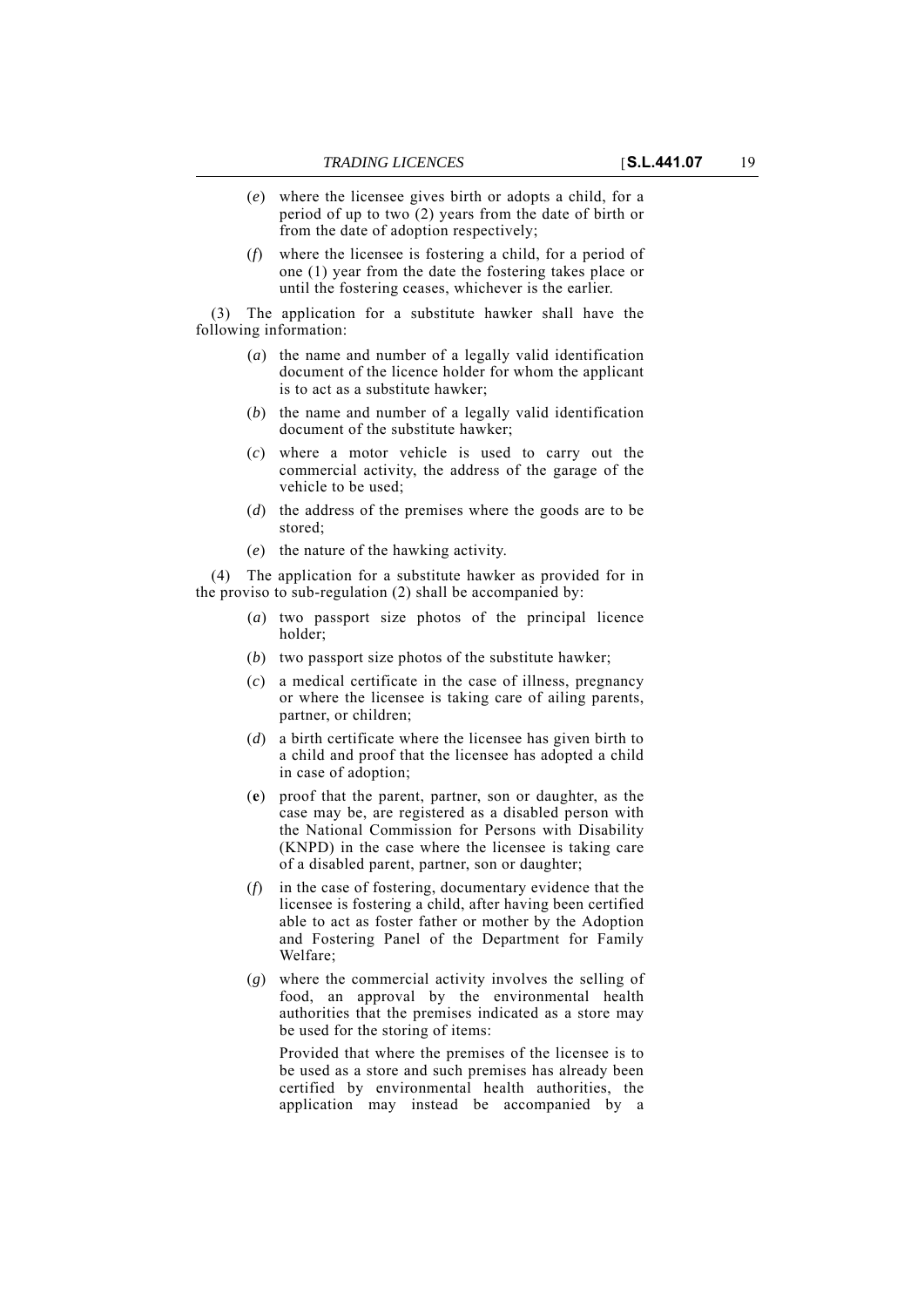- (*e*) where the licensee gives birth or adopts a child, for a period of up to two (2) years from the date of birth or from the date of adoption respectively;
- (*f*) where the licensee is fostering a child, for a period of one (1) year from the date the fostering takes place or until the fostering ceases, whichever is the earlier.

(3) The application for a substitute hawker shall have the following information:

- (*a*) the name and number of a legally valid identification document of the licence holder for whom the applicant is to act as a substitute hawker;
- (*b*) the name and number of a legally valid identification document of the substitute hawker;
- (*c*) where a motor vehicle is used to carry out the commercial activity, the address of the garage of the vehicle to be used;
- (*d*) the address of the premises where the goods are to be stored;
- (*e*) the nature of the hawking activity.

(4) The application for a substitute hawker as provided for in the proviso to sub-regulation (2) shall be accompanied by:

- (*a*) two passport size photos of the principal licence holder;
- (*b*) two passport size photos of the substitute hawker;
- (*c*) a medical certificate in the case of illness, pregnancy or where the licensee is taking care of ailing parents, partner, or children;
- (*d*) a birth certificate where the licensee has given birth to a child and proof that the licensee has adopted a child in case of adoption;
- (**e**) proof that the parent, partner, son or daughter, as the case may be, are registered as a disabled person with the National Commission for Persons with Disability (KNPD) in the case where the licensee is taking care of a disabled parent, partner, son or daughter;
- (*f*) in the case of fostering, documentary evidence that the licensee is fostering a child, after having been certified able to act as foster father or mother by the Adoption and Fostering Panel of the Department for Family Welfare;
- (*g*) where the commercial activity involves the selling of food, an approval by the environmental health authorities that the premises indicated as a store may be used for the storing of items:

Provided that where the premises of the licensee is to be used as a store and such premises has already been certified by environmental health authorities, the application may instead be accompanied by a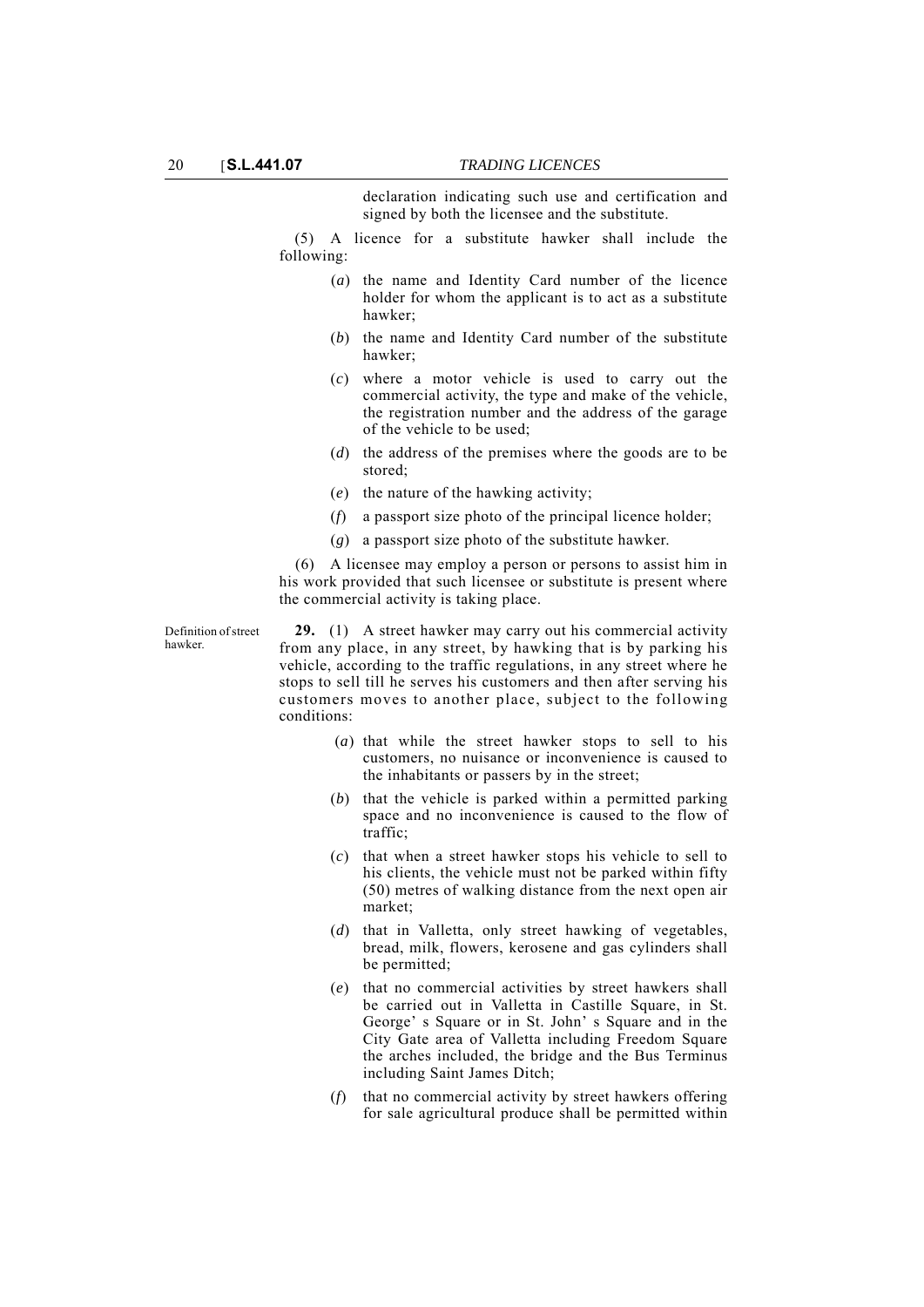declaration indicating such use and certification and signed by both the licensee and the substitute.

(5) A licence for a substitute hawker shall include the following:

- (*a*) the name and Identity Card number of the licence holder for whom the applicant is to act as a substitute hawker;
- (*b*) the name and Identity Card number of the substitute hawker;
- (*c*) where a motor vehicle is used to carry out the commercial activity, the type and make of the vehicle, the registration number and the address of the garage of the vehicle to be used;
- (*d*) the address of the premises where the goods are to be stored;
- (*e*) the nature of the hawking activity;
- (*f*) a passport size photo of the principal licence holder;
- (*g*) a passport size photo of the substitute hawker.

(6) A licensee may employ a person or persons to assist him in his work provided that such licensee or substitute is present where the commercial activity is taking place.

Definition of street hawker.

**29.** (1) A street hawker may carry out his commercial activity from any place, in any street, by hawking that is by parking his vehicle, according to the traffic regulations, in any street where he stops to sell till he serves his customers and then after serving his customers moves to another place, subject to the following conditions:

- (*a*) that while the street hawker stops to sell to his customers, no nuisance or inconvenience is caused to the inhabitants or passers by in the street;
- (*b*) that the vehicle is parked within a permitted parking space and no inconvenience is caused to the flow of traffic;
- (*c*) that when a street hawker stops his vehicle to sell to his clients, the vehicle must not be parked within fifty (50) metres of walking distance from the next open air market;
- (*d*) that in Valletta, only street hawking of vegetables, bread, milk, flowers, kerosene and gas cylinders shall be permitted;
- (*e*) that no commercial activities by street hawkers shall be carried out in Valletta in Castille Square, in St. George' s Square or in St. John' s Square and in the City Gate area of Valletta including Freedom Square the arches included, the bridge and the Bus Terminus including Saint James Ditch;
- (*f*) that no commercial activity by street hawkers offering for sale agricultural produce shall be permitted within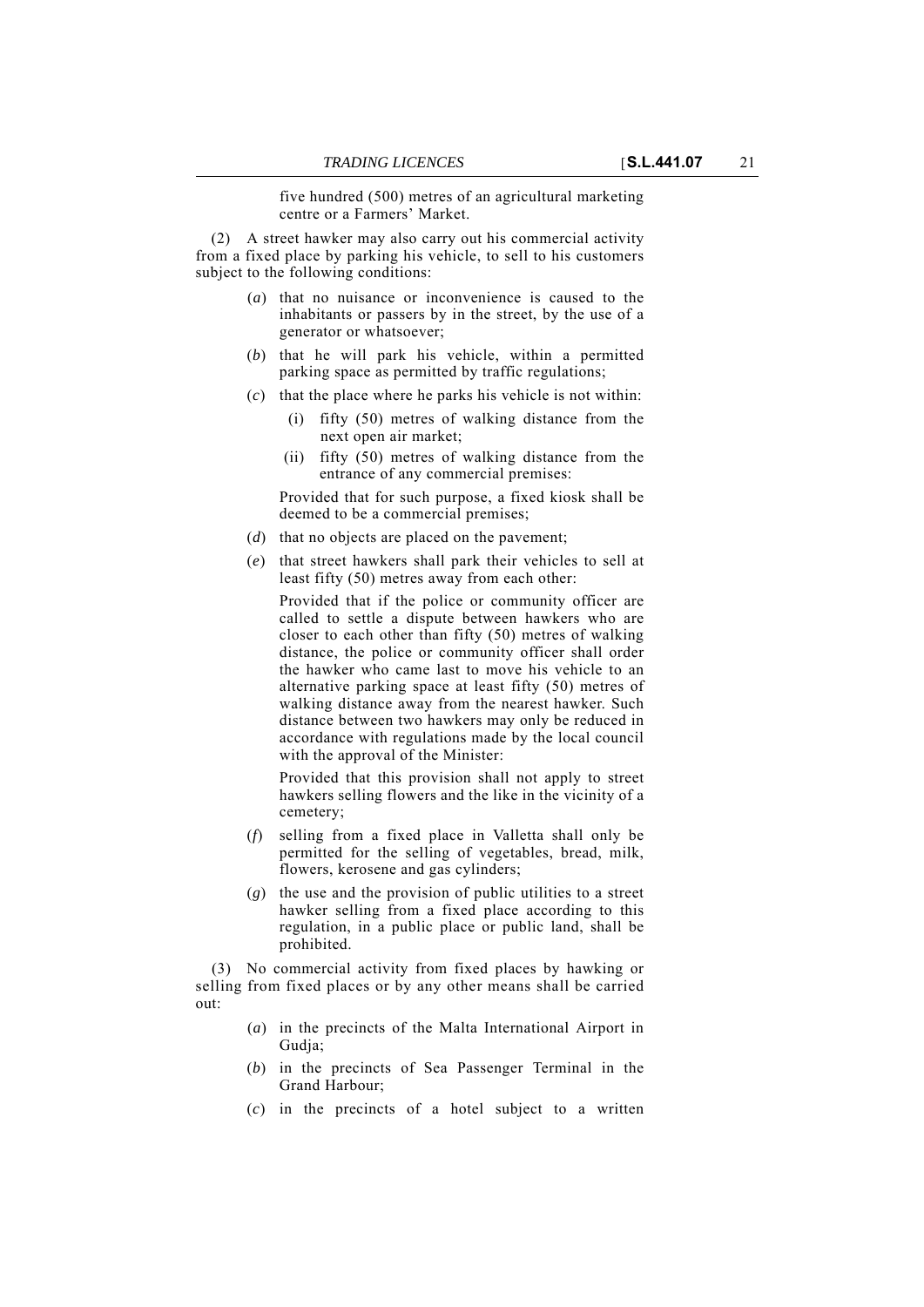five hundred (500) metres of an agricultural marketing centre or a Farmers' Market.

(2) A street hawker may also carry out his commercial activity from a fixed place by parking his vehicle, to sell to his customers subject to the following conditions:

- (*a*) that no nuisance or inconvenience is caused to the inhabitants or passers by in the street, by the use of a generator or whatsoever;
- (*b*) that he will park his vehicle, within a permitted parking space as permitted by traffic regulations;
- (*c*) that the place where he parks his vehicle is not within:
	- (i) fifty (50) metres of walking distance from the next open air market;
	- (ii) fifty (50) metres of walking distance from the entrance of any commercial premises:

Provided that for such purpose, a fixed kiosk shall be deemed to be a commercial premises;

- (*d*) that no objects are placed on the pavement;
- (*e*) that street hawkers shall park their vehicles to sell at least fifty (50) metres away from each other:

Provided that if the police or community officer are called to settle a dispute between hawkers who are closer to each other than fifty (50) metres of walking distance, the police or community officer shall order the hawker who came last to move his vehicle to an alternative parking space at least fifty (50) metres of walking distance away from the nearest hawker. Such distance between two hawkers may only be reduced in accordance with regulations made by the local council with the approval of the Minister:

Provided that this provision shall not apply to street hawkers selling flowers and the like in the vicinity of a cemetery;

- (*f*) selling from a fixed place in Valletta shall only be permitted for the selling of vegetables, bread, milk, flowers, kerosene and gas cylinders;
- (*g*) the use and the provision of public utilities to a street hawker selling from a fixed place according to this regulation, in a public place or public land, shall be prohibited.

(3) No commercial activity from fixed places by hawking or selling from fixed places or by any other means shall be carried out:

- (*a*) in the precincts of the Malta International Airport in Gudja;
- (*b*) in the precincts of Sea Passenger Terminal in the Grand Harbour;
- (*c*) in the precincts of a hotel subject to a written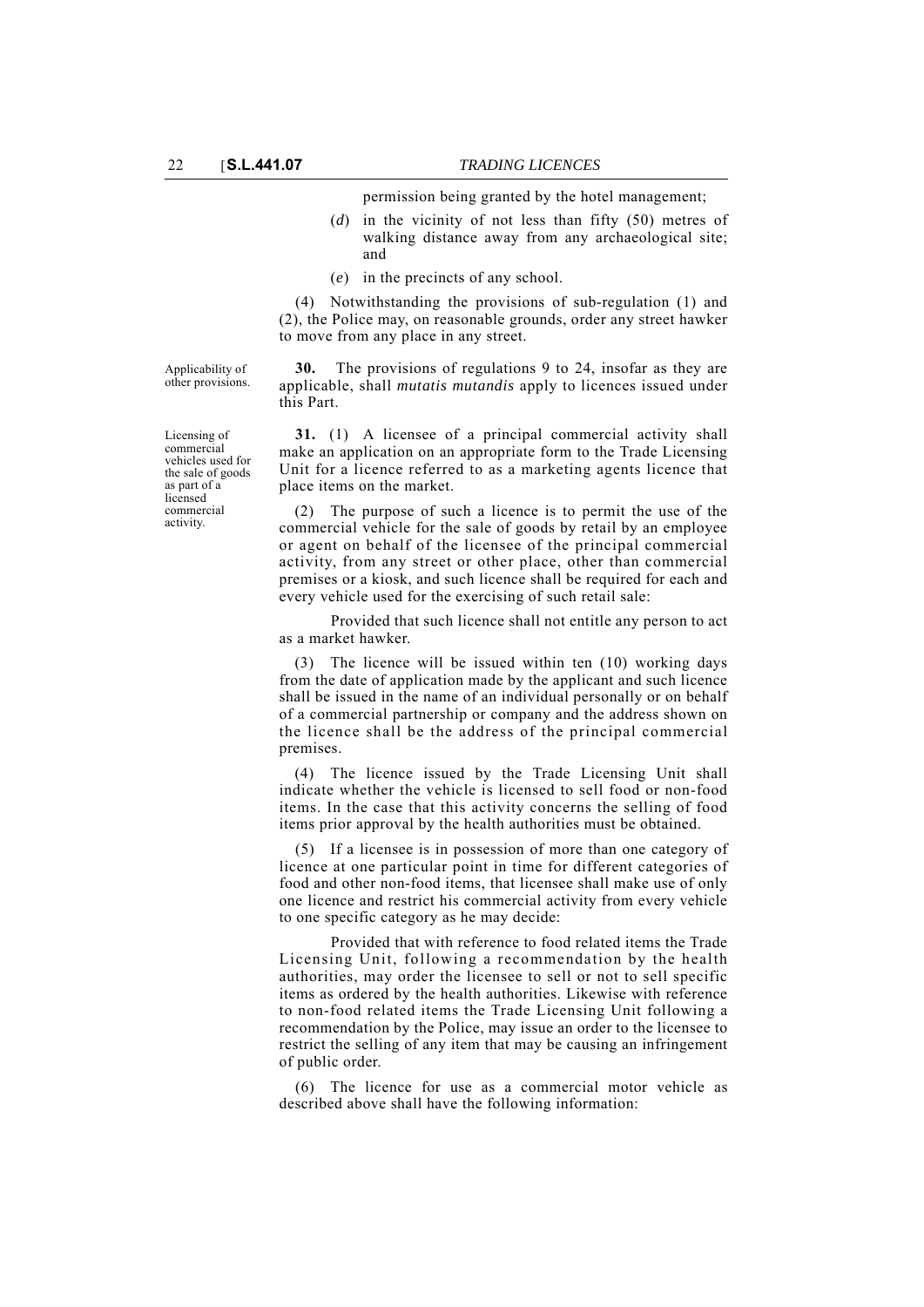permission being granted by the hotel management;

- (*d*) in the vicinity of not less than fifty (50) metres of walking distance away from any archaeological site; and
- (*e*) in the precincts of any school.

(4) Notwithstanding the provisions of sub-regulation (1) and (2), the Police may, on reasonable grounds, order any street hawker to move from any place in any street.

Applicability of other provisions.

Licensing of commercial vehicles used for the sale of goods as part of a licensed commercial activity.

**30.** The provisions of regulations 9 to 24, insofar as they are applicable, shall *mutatis mutandis* apply to licences issued under this Part.

**31.** (1) A licensee of a principal commercial activity shall make an application on an appropriate form to the Trade Licensing Unit for a licence referred to as a marketing agents licence that place items on the market.

(2) The purpose of such a licence is to permit the use of the commercial vehicle for the sale of goods by retail by an employee or agent on behalf of the licensee of the principal commercial activity, from any street or other place, other than commercial premises or a kiosk, and such licence shall be required for each and every vehicle used for the exercising of such retail sale:

Provided that such licence shall not entitle any person to act as a market hawker.

(3) The licence will be issued within ten (10) working days from the date of application made by the applicant and such licence shall be issued in the name of an individual personally or on behalf of a commercial partnership or company and the address shown on the licence shall be the address of the principal commercial premises.

(4) The licence issued by the Trade Licensing Unit shall indicate whether the vehicle is licensed to sell food or non-food items. In the case that this activity concerns the selling of food items prior approval by the health authorities must be obtained.

(5) If a licensee is in possession of more than one category of licence at one particular point in time for different categories of food and other non-food items, that licensee shall make use of only one licence and restrict his commercial activity from every vehicle to one specific category as he may decide:

Provided that with reference to food related items the Trade Licensing Unit, following a recommendation by the health authorities, may order the licensee to sell or not to sell specific items as ordered by the health authorities. Likewise with reference to non-food related items the Trade Licensing Unit following a recommendation by the Police, may issue an order to the licensee to restrict the selling of any item that may be causing an infringement of public order.

(6) The licence for use as a commercial motor vehicle as described above shall have the following information: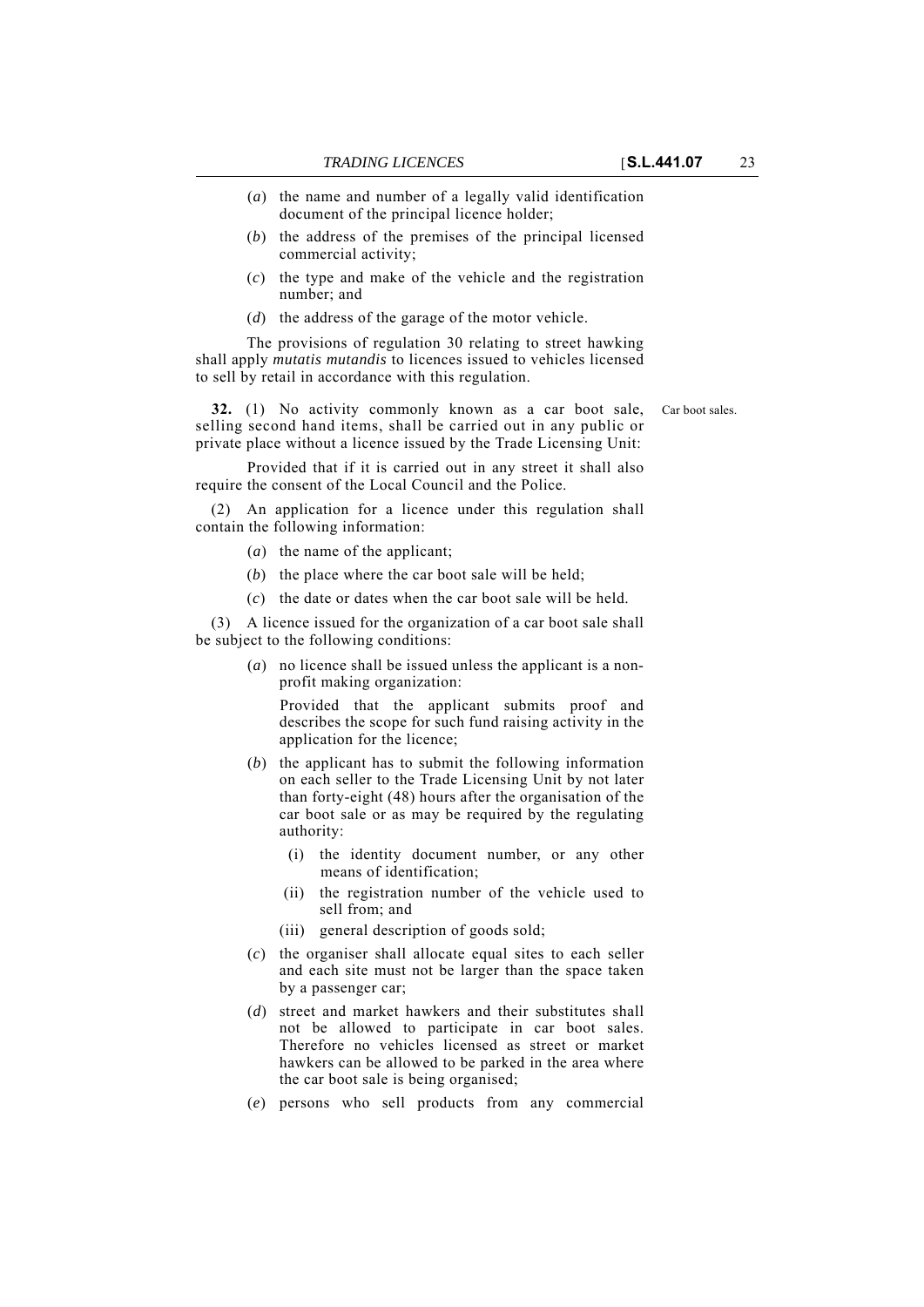- (*a*) the name and number of a legally valid identification document of the principal licence holder;
- (*b*) the address of the premises of the principal licensed commercial activity;
- (*c*) the type and make of the vehicle and the registration number; and
- (*d*) the address of the garage of the motor vehicle.

The provisions of regulation 30 relating to street hawking shall apply *mutatis mutandis* to licences issued to vehicles licensed to sell by retail in accordance with this regulation.

**32.** (1) No activity commonly known as a car boot sale, Car boot sales. selling second hand items, shall be carried out in any public or private place without a licence issued by the Trade Licensing Unit:

Provided that if it is carried out in any street it shall also require the consent of the Local Council and the Police.

(2) An application for a licence under this regulation shall contain the following information:

- (*a*) the name of the applicant;
- (*b*) the place where the car boot sale will be held;
- (*c*) the date or dates when the car boot sale will be held.

(3) A licence issued for the organization of a car boot sale shall be subject to the following conditions:

> (*a*) no licence shall be issued unless the applicant is a nonprofit making organization:

Provided that the applicant submits proof and describes the scope for such fund raising activity in the application for the licence;

- (*b*) the applicant has to submit the following information on each seller to the Trade Licensing Unit by not later than forty-eight (48) hours after the organisation of the car boot sale or as may be required by the regulating authority:
	- (i) the identity document number, or any other means of identification;
	- (ii) the registration number of the vehicle used to sell from; and
	- (iii) general description of goods sold;
- (*c*) the organiser shall allocate equal sites to each seller and each site must not be larger than the space taken by a passenger car;
- (*d*) street and market hawkers and their substitutes shall not be allowed to participate in car boot sales. Therefore no vehicles licensed as street or market hawkers can be allowed to be parked in the area where the car boot sale is being organised;
- (*e*) persons who sell products from any commercial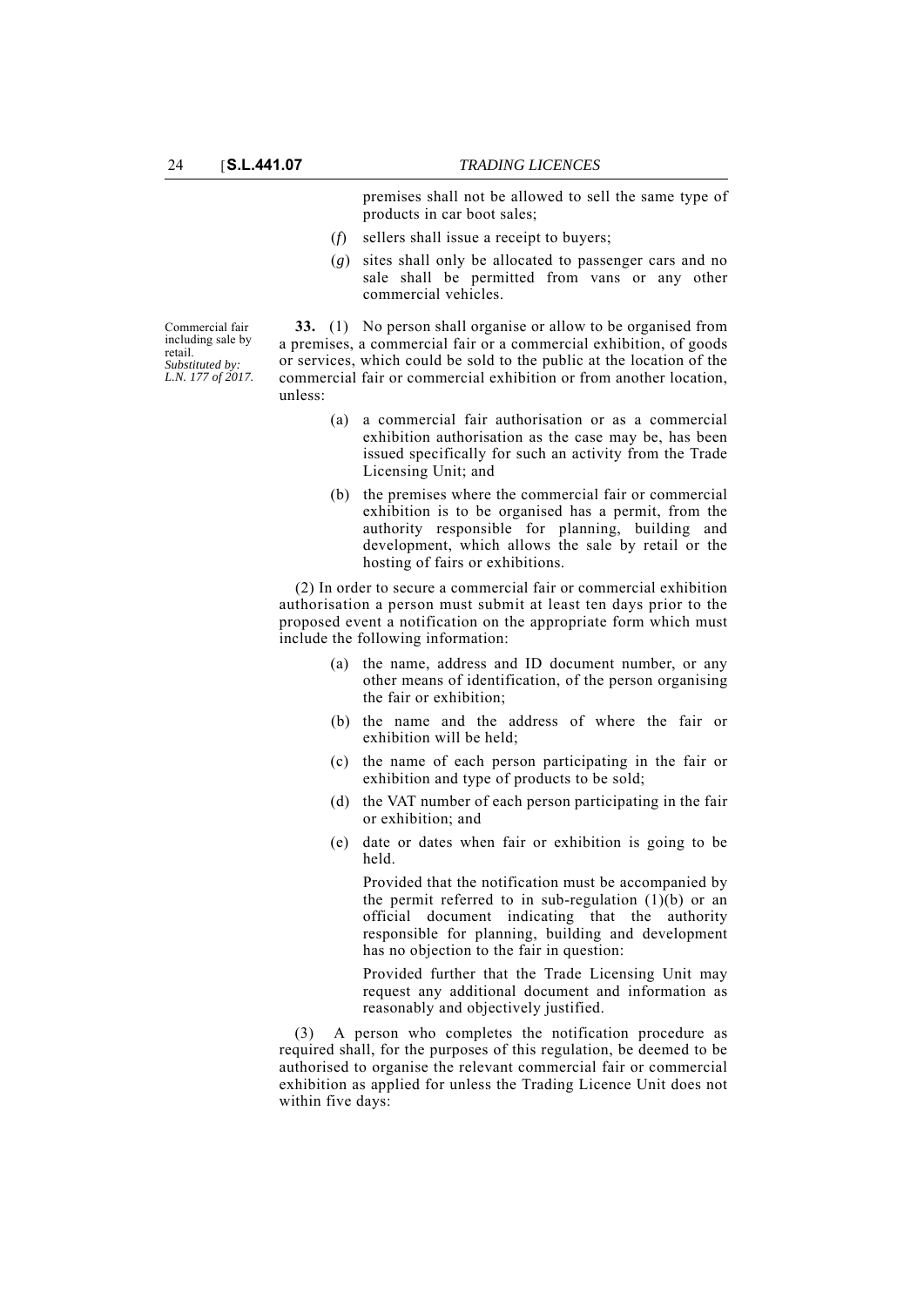premises shall not be allowed to sell the same type of products in car boot sales;

- (*f*) sellers shall issue a receipt to buyers;
- (*g*) sites shall only be allocated to passenger cars and no sale shall be permitted from vans or any other commercial vehicles.

Commercial fair including sale by retail. *Substituted by: L.N. 177 of 2017.*

**33.** (1) No person shall organise or allow to be organised from a premises, a commercial fair or a commercial exhibition, of goods or services, which could be sold to the public at the location of the commercial fair or commercial exhibition or from another location, unless:

- (a) a commercial fair authorisation or as a commercial exhibition authorisation as the case may be, has been issued specifically for such an activity from the Trade Licensing Unit; and
- (b) the premises where the commercial fair or commercial exhibition is to be organised has a permit, from the authority responsible for planning, building and development, which allows the sale by retail or the hosting of fairs or exhibitions.

(2) In order to secure a commercial fair or commercial exhibition authorisation a person must submit at least ten days prior to the proposed event a notification on the appropriate form which must include the following information:

- (a) the name, address and ID document number, or any other means of identification, of the person organising the fair or exhibition;
- (b) the name and the address of where the fair or exhibition will be held;
- (c) the name of each person participating in the fair or exhibition and type of products to be sold;
- (d) the VAT number of each person participating in the fair or exhibition; and
- (e) date or dates when fair or exhibition is going to be held.

Provided that the notification must be accompanied by the permit referred to in sub-regulation  $(1)(b)$  or an official document indicating that the authority responsible for planning, building and development has no objection to the fair in question:

Provided further that the Trade Licensing Unit may request any additional document and information as reasonably and objectively justified.

(3) A person who completes the notification procedure as required shall, for the purposes of this regulation, be deemed to be authorised to organise the relevant commercial fair or commercial exhibition as applied for unless the Trading Licence Unit does not within five days: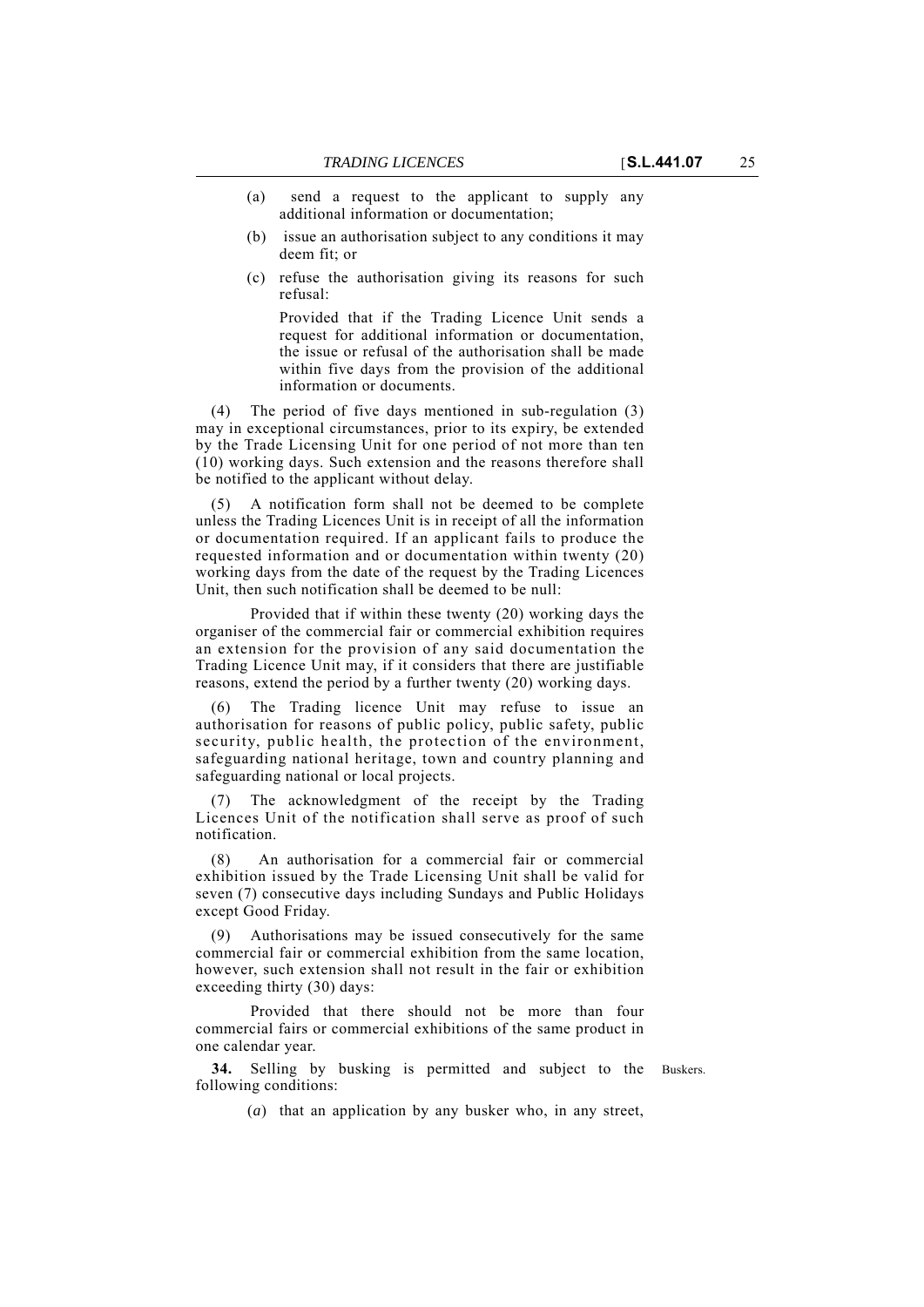- (a) send a request to the applicant to supply any additional information or documentation;
- (b) issue an authorisation subject to any conditions it may deem fit; or
- (c) refuse the authorisation giving its reasons for such refusal:

Provided that if the Trading Licence Unit sends a request for additional information or documentation, the issue or refusal of the authorisation shall be made within five days from the provision of the additional information or documents.

(4) The period of five days mentioned in sub-regulation (3) may in exceptional circumstances, prior to its expiry, be extended by the Trade Licensing Unit for one period of not more than ten (10) working days. Such extension and the reasons therefore shall be notified to the applicant without delay.

(5) A notification form shall not be deemed to be complete unless the Trading Licences Unit is in receipt of all the information or documentation required. If an applicant fails to produce the requested information and or documentation within twenty (20) working days from the date of the request by the Trading Licences Unit, then such notification shall be deemed to be null:

Provided that if within these twenty (20) working days the organiser of the commercial fair or commercial exhibition requires an extension for the provision of any said documentation the Trading Licence Unit may, if it considers that there are justifiable reasons, extend the period by a further twenty (20) working days.

(6) The Trading licence Unit may refuse to issue an authorisation for reasons of public policy, public safety, public security, public health, the protection of the environment, safeguarding national heritage, town and country planning and safeguarding national or local projects.

The acknowledgment of the receipt by the Trading Licences Unit of the notification shall serve as proof of such notification.

(8) An authorisation for a commercial fair or commercial exhibition issued by the Trade Licensing Unit shall be valid for seven (7) consecutive days including Sundays and Public Holidays except Good Friday.

Authorisations may be issued consecutively for the same commercial fair or commercial exhibition from the same location, however, such extension shall not result in the fair or exhibition exceeding thirty (30) days:

Provided that there should not be more than four commercial fairs or commercial exhibitions of the same product in one calendar year.

**34.** Selling by busking is permitted and subject to the Buskers. following conditions:

(*a*) that an application by any busker who, in any street,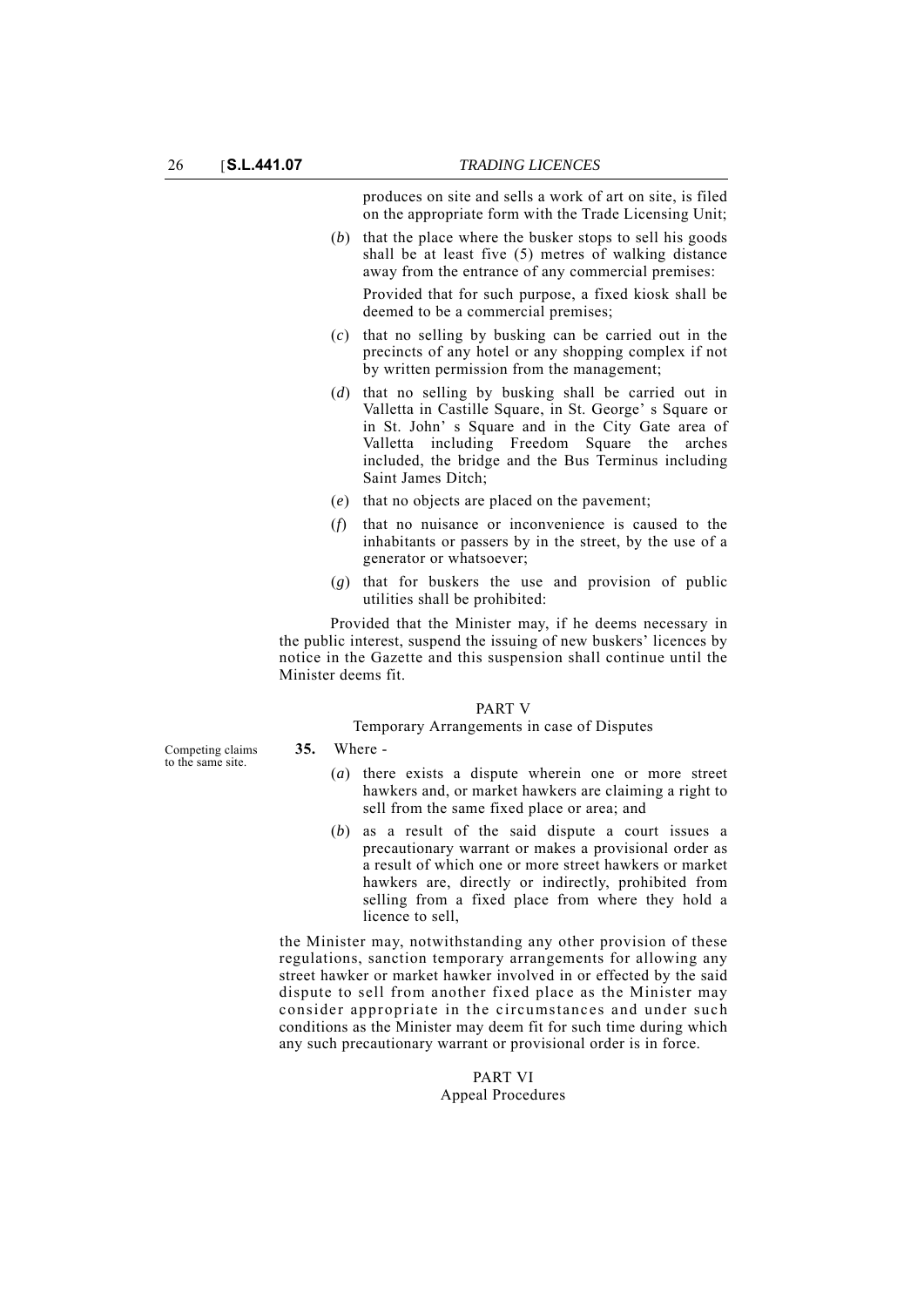produces on site and sells a work of art on site, is filed on the appropriate form with the Trade Licensing Unit;

(*b*) that the place where the busker stops to sell his goods shall be at least five (5) metres of walking distance away from the entrance of any commercial premises:

Provided that for such purpose, a fixed kiosk shall be deemed to be a commercial premises;

- (*c*) that no selling by busking can be carried out in the precincts of any hotel or any shopping complex if not by written permission from the management;
- (*d*) that no selling by busking shall be carried out in Valletta in Castille Square, in St. George' s Square or in St. John' s Square and in the City Gate area of Valletta including Freedom Square the arches included, the bridge and the Bus Terminus including Saint James Ditch;
- (*e*) that no objects are placed on the pavement;
- (*f*) that no nuisance or inconvenience is caused to the inhabitants or passers by in the street, by the use of a generator or whatsoever;
- (*g*) that for buskers the use and provision of public utilities shall be prohibited:

Provided that the Minister may, if he deems necessary in the public interest, suspend the issuing of new buskers' licences by notice in the Gazette and this suspension shall continue until the Minister deems fit.

#### PART V

#### Temporary Arrangements in case of Disputes

Competing claims to the same site.

**35.** Where -

- (*a*) there exists a dispute wherein one or more street hawkers and, or market hawkers are claiming a right to sell from the same fixed place or area; and
- (*b*) as a result of the said dispute a court issues a precautionary warrant or makes a provisional order as a result of which one or more street hawkers or market hawkers are, directly or indirectly, prohibited from selling from a fixed place from where they hold a licence to sell,

the Minister may, notwithstanding any other provision of these regulations, sanction temporary arrangements for allowing any street hawker or market hawker involved in or effected by the said dispute to sell from another fixed place as the Minister may consider appropriate in the circumstances and under such conditions as the Minister may deem fit for such time during which any such precautionary warrant or provisional order is in force.

### PART VI Appeal Procedures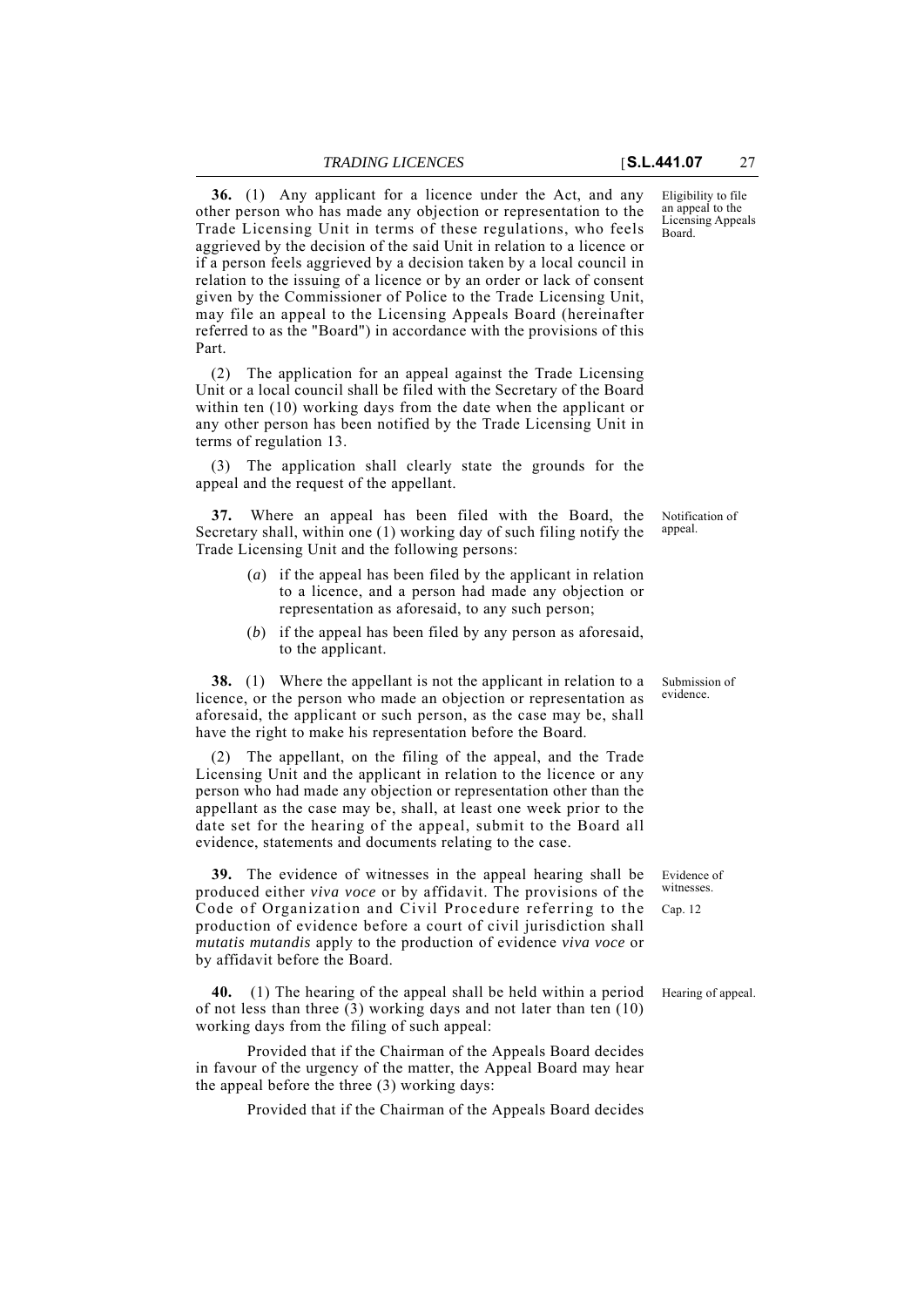Part.

**36.** (1) Any applicant for a licence under the Act, and any other person who has made any objection or representation to the Trade Licensing Unit in terms of these regulations, who feels aggrieved by the decision of the said Unit in relation to a licence or if a person feels aggrieved by a decision taken by a local council in relation to the issuing of a licence or by an order or lack of consent given by the Commissioner of Police to the Trade Licensing Unit, may file an appeal to the Licensing Appeals Board (hereinafter referred to as the "Board") in accordance with the provisions of this

(2) The application for an appeal against the Trade Licensing Unit or a local council shall be filed with the Secretary of the Board within ten (10) working days from the date when the applicant or any other person has been notified by the Trade Licensing Unit in terms of regulation 13.

(3) The application shall clearly state the grounds for the appeal and the request of the appellant.

**37.** Where an appeal has been filed with the Board, the Secretary shall, within one (1) working day of such filing notify the Trade Licensing Unit and the following persons:

- (*a*) if the appeal has been filed by the applicant in relation to a licence, and a person had made any objection or representation as aforesaid, to any such person;
- (*b*) if the appeal has been filed by any person as aforesaid, to the applicant.

**38.** (1) Where the appellant is not the applicant in relation to a licence, or the person who made an objection or representation as aforesaid, the applicant or such person, as the case may be, shall have the right to make his representation before the Board.

(2) The appellant, on the filing of the appeal, and the Trade Licensing Unit and the applicant in relation to the licence or any person who had made any objection or representation other than the appellant as the case may be, shall, at least one week prior to the date set for the hearing of the appeal, submit to the Board all evidence, statements and documents relating to the case.

**39.** The evidence of witnesses in the appeal hearing shall be produced either *viva voce* or by affidavit. The provisions of the Code of Organization and Civil Procedure referring to the production of evidence before a court of civil jurisdiction shall *mutatis mutandis* apply to the production of evidence *viva voce* or by affidavit before the Board.

**40.** (1) The hearing of the appeal shall be held within a period Hearing of appeal. of not less than three (3) working days and not later than ten (10) working days from the filing of such appeal:

Provided that if the Chairman of the Appeals Board decides in favour of the urgency of the matter, the Appeal Board may hear the appeal before the three (3) working days:

Provided that if the Chairman of the Appeals Board decides

Eligibility to file an appeal to the Licensing Appeals Board.

Notification of appeal.

Submission of evidence.

Evidence of witnesses Cap. 12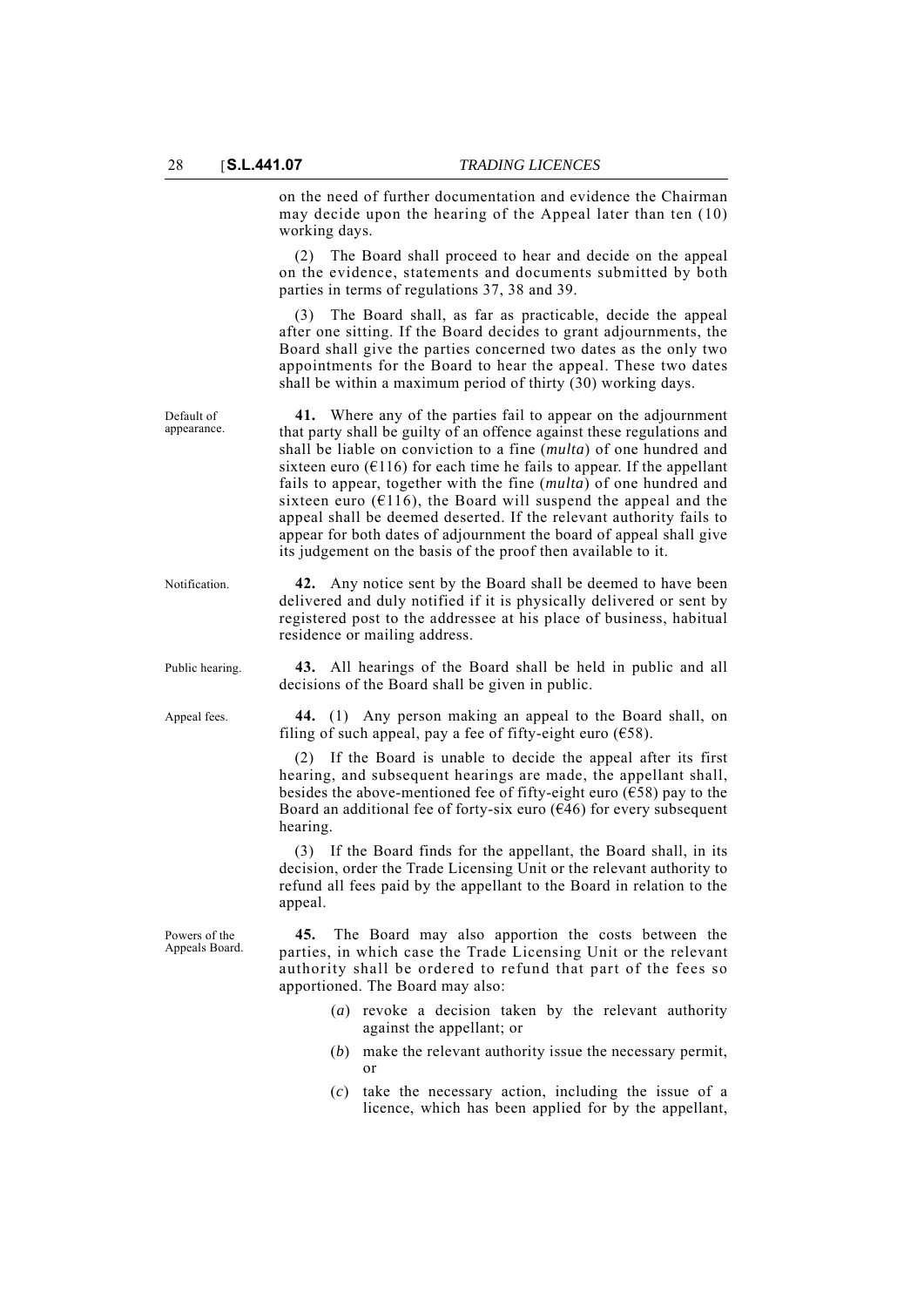Default of appearance. on the need of further documentation and evidence the Chairman may decide upon the hearing of the Appeal later than ten (10) working days.

(2) The Board shall proceed to hear and decide on the appeal on the evidence, statements and documents submitted by both parties in terms of regulations 37, 38 and 39.

(3) The Board shall, as far as practicable, decide the appeal after one sitting. If the Board decides to grant adjournments, the Board shall give the parties concerned two dates as the only two appointments for the Board to hear the appeal. These two dates shall be within a maximum period of thirty (30) working days.

**41.** Where any of the parties fail to appear on the adjournment that party shall be guilty of an offence against these regulations and shall be liable on conviction to a fine (*multa*) of one hundred and sixteen euro ( $E116$ ) for each time he fails to appear. If the appellant fails to appear, together with the fine (*multa*) of one hundred and sixteen euro ( $E116$ ), the Board will suspend the appeal and the appeal shall be deemed deserted. If the relevant authority fails to appear for both dates of adjournment the board of appeal shall give its judgement on the basis of the proof then available to it.

Notification. **42.** Any notice sent by the Board shall be deemed to have been delivered and duly notified if it is physically delivered or sent by registered post to the addressee at his place of business, habitual residence or mailing address.

Public hearing. **43.** All hearings of the Board shall be held in public and all decisions of the Board shall be given in public.

Appeal fees. **44.** (1) Any person making an appeal to the Board shall, on filing of such appeal, pay a fee of fifty-eight euro ( $\epsilon$ 58).

> (2) If the Board is unable to decide the appeal after its first hearing, and subsequent hearings are made, the appellant shall, besides the above-mentioned fee of fifty-eight euro ( $\epsilon$ 58) pay to the Board an additional fee of forty-six euro  $(646)$  for every subsequent hearing.

> (3) If the Board finds for the appellant, the Board shall, in its decision, order the Trade Licensing Unit or the relevant authority to refund all fees paid by the appellant to the Board in relation to the appeal.

Powers of the Appeals Board.

**45.** The Board may also apportion the costs between the parties, in which case the Trade Licensing Unit or the relevant authority shall be ordered to refund that part of the fees so apportioned. The Board may also:

- (*a*) revoke a decision taken by the relevant authority against the appellant; or
- (*b*) make the relevant authority issue the necessary permit, or
- (*c*) take the necessary action, including the issue of a licence, which has been applied for by the appellant,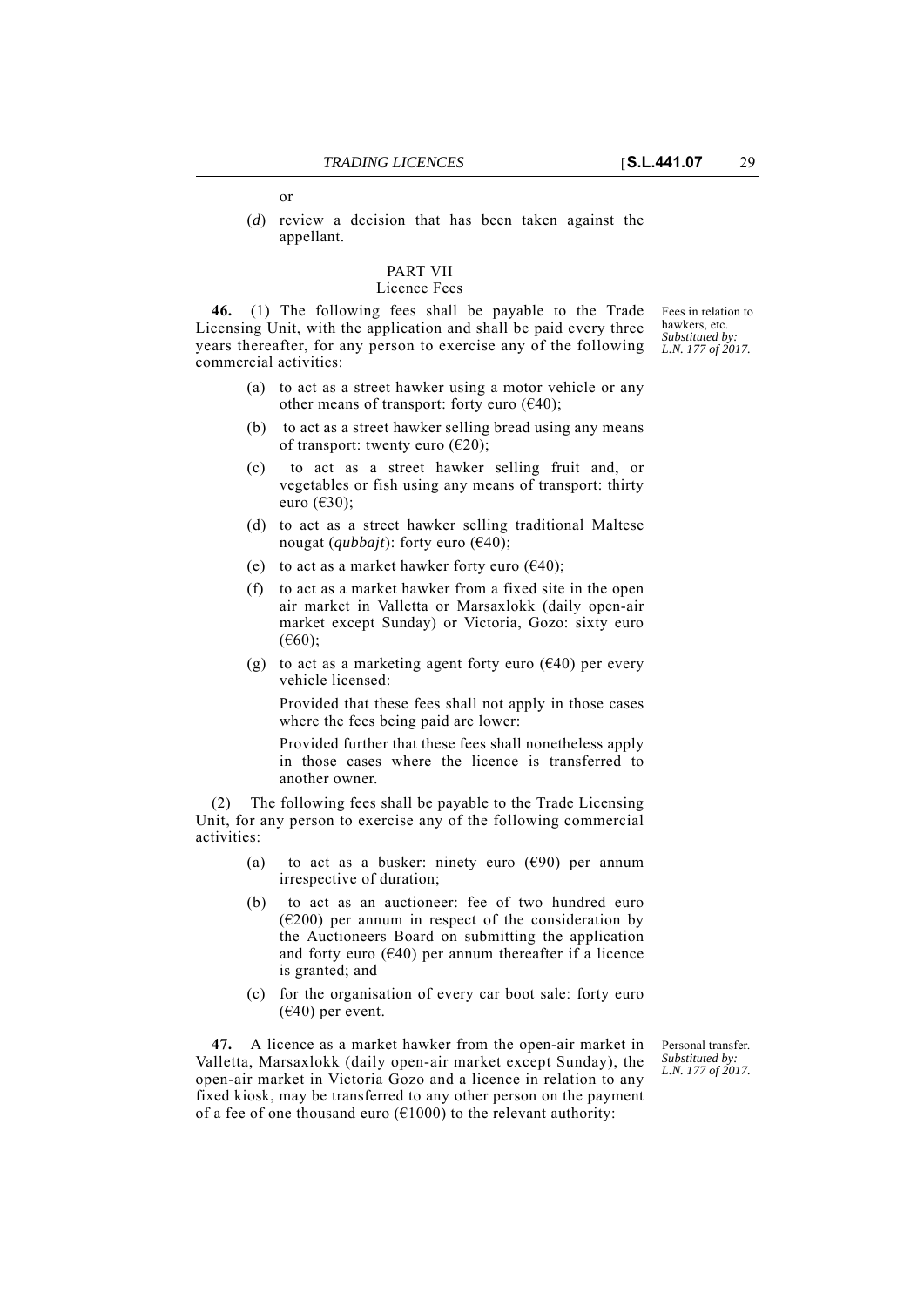or

(*d*) review a decision that has been taken against the appellant.

## PART VII

#### Licence Fees

**46.** (1) The following fees shall be payable to the Trade Licensing Unit, with the application and shall be paid every three years thereafter, for any person to exercise any of the following commercial activities:

- (a) to act as a street hawker using a motor vehicle or any other means of transport: forty euro  $(640)$ ;
- (b) to act as a street hawker selling bread using any means of transport: twenty euro ( $\epsilon$ 20);
- (c) to act as a street hawker selling fruit and, or vegetables or fish using any means of transport: thirty euro (€30);
- (d) to act as a street hawker selling traditional Maltese nougat (*qubbajt*): forty euro ( $\epsilon$ 40);
- (e) to act as a market hawker forty euro ( $\epsilon$ 40);
- (f) to act as a market hawker from a fixed site in the open air market in Valletta or Marsaxlokk (daily open-air market except Sunday) or Victoria, Gozo: sixty euro (€60);
- (g) to act as a marketing agent forty euro ( $\epsilon$ 40) per every vehicle licensed:

Provided that these fees shall not apply in those cases where the fees being paid are lower:

Provided further that these fees shall nonetheless apply in those cases where the licence is transferred to another owner.

(2) The following fees shall be payable to the Trade Licensing Unit, for any person to exercise any of the following commercial activities:

- (a) to act as a busker: ninety euro  $(690)$  per annum irrespective of duration;
- (b) to act as an auctioneer: fee of two hundred euro  $(6200)$  per annum in respect of the consideration by the Auctioneers Board on submitting the application and forty euro ( $E(40)$  per annum thereafter if a licence is granted; and
- (c) for the organisation of every car boot sale: forty euro  $(640)$  per event.

**47.** A licence as a market hawker from the open-air market in Valletta, Marsaxlokk (daily open-air market except Sunday), the open-air market in Victoria Gozo and a licence in relation to any fixed kiosk, may be transferred to any other person on the payment of a fee of one thousand euro ( $\epsilon$ 1000) to the relevant authority:

Personal transfer. *Substituted by: L.N. 177 of 2017.*

Fees in relation to hawkers, etc. *Substituted by: L.N. 177 of 2017.*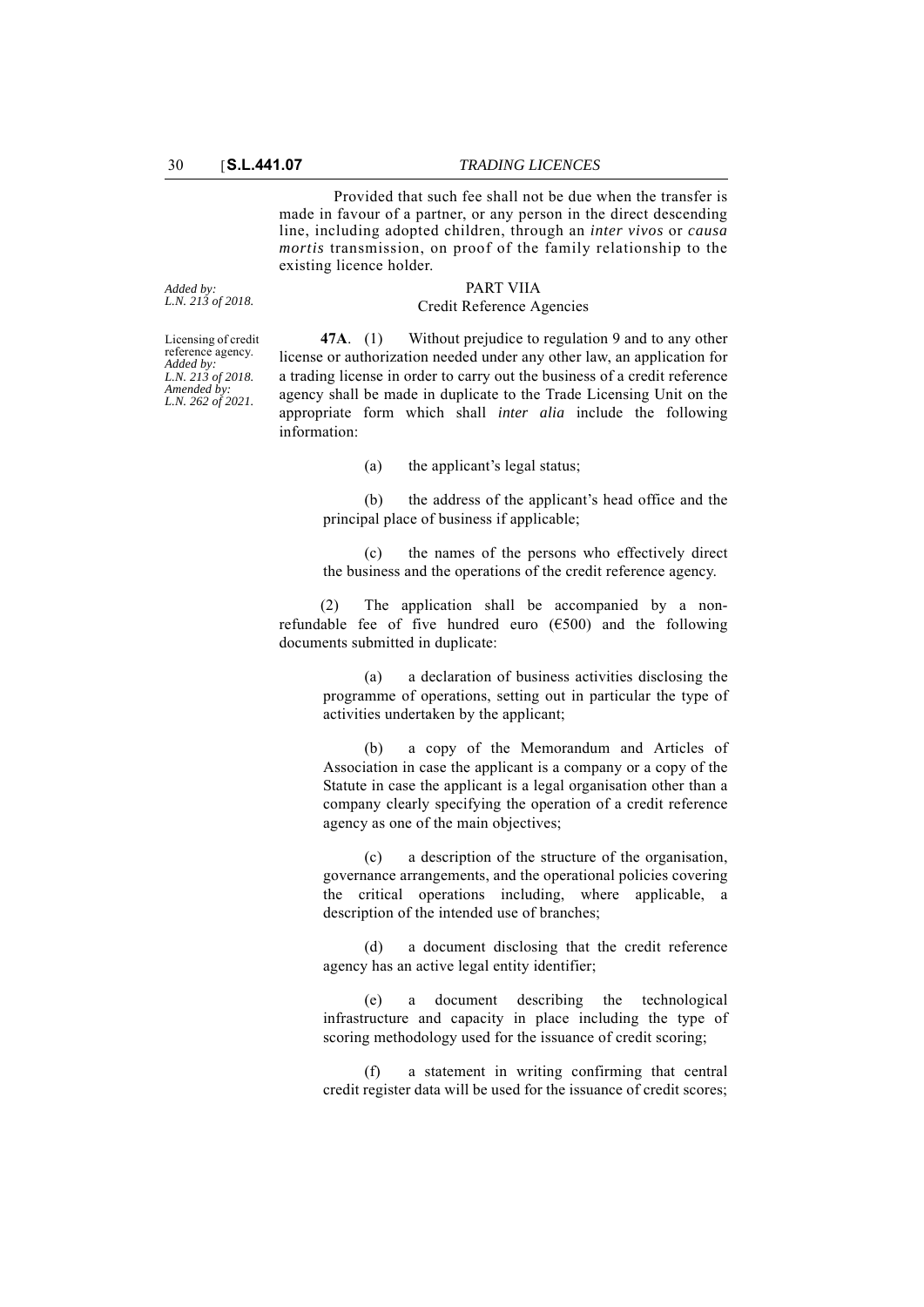Provided that such fee shall not be due when the transfer is made in favour of a partner, or any person in the direct descending line, including adopted children, through an *inter vivos* or *causa mortis* transmission, on proof of the family relationship to the existing licence holder.

> PART VIIA Credit Reference Agencies

*Added by: L.N. 213 of 2018.*

Licensing of credit reference agency. *Added by: L.N. 213 of 2018. Amended by: L.N. 262 of 2021.*

**47A**. (1) Without prejudice to regulation 9 and to any other license or authorization needed under any other law, an application for a trading license in order to carry out the business of a credit reference agency shall be made in duplicate to the Trade Licensing Unit on the appropriate form which shall *inter alia* include the following information:

(a) the applicant's legal status;

(b) the address of the applicant's head office and the principal place of business if applicable;

the names of the persons who effectively direct the business and the operations of the credit reference agency.

(2) The application shall be accompanied by a nonrefundable fee of five hundred euro (€500) and the following documents submitted in duplicate:

(a) a declaration of business activities disclosing the programme of operations, setting out in particular the type of activities undertaken by the applicant;

(b) a copy of the Memorandum and Articles of Association in case the applicant is a company or a copy of the Statute in case the applicant is a legal organisation other than a company clearly specifying the operation of a credit reference agency as one of the main objectives;

(c) a description of the structure of the organisation, governance arrangements, and the operational policies covering the critical operations including, where applicable, a description of the intended use of branches;

(d) a document disclosing that the credit reference agency has an active legal entity identifier;

(e) a document describing the technological infrastructure and capacity in place including the type of scoring methodology used for the issuance of credit scoring;

(f) a statement in writing confirming that central credit register data will be used for the issuance of credit scores;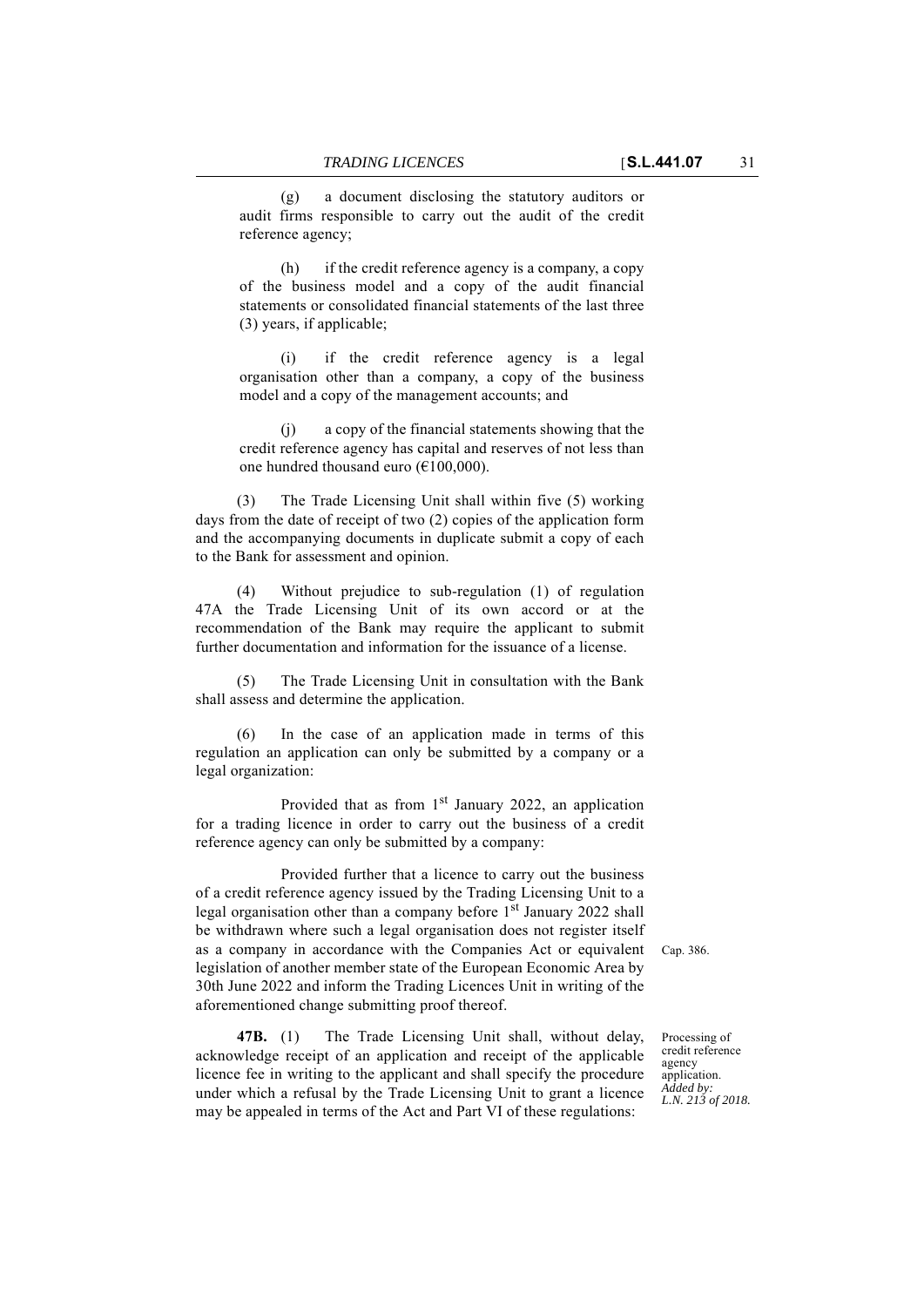(g) a document disclosing the statutory auditors or audit firms responsible to carry out the audit of the credit reference agency;

(h) if the credit reference agency is a company, a copy of the business model and a copy of the audit financial statements or consolidated financial statements of the last three (3) years, if applicable;

(i) if the credit reference agency is a legal organisation other than a company, a copy of the business model and a copy of the management accounts; and

(j) a copy of the financial statements showing that the credit reference agency has capital and reserves of not less than one hundred thousand euro (€100,000).

(3) The Trade Licensing Unit shall within five (5) working days from the date of receipt of two (2) copies of the application form and the accompanying documents in duplicate submit a copy of each to the Bank for assessment and opinion.

(4) Without prejudice to sub-regulation (1) of regulation 47A the Trade Licensing Unit of its own accord or at the recommendation of the Bank may require the applicant to submit further documentation and information for the issuance of a license.

(5) The Trade Licensing Unit in consultation with the Bank shall assess and determine the application.

(6) In the case of an application made in terms of this regulation an application can only be submitted by a company or a legal organization:

Provided that as from  $1<sup>st</sup>$  January 2022, an application for a trading licence in order to carry out the business of a credit reference agency can only be submitted by a company:

as a company in accordance with the Companies Act or equivalent Cap. 386. Provided further that a licence to carry out the business of a credit reference agency issued by the Trading Licensing Unit to a legal organisation other than a company before  $1<sup>st</sup>$  January 2022 shall be withdrawn where such a legal organisation does not register itself legislation of another member state of the European Economic Area by 30th June 2022 and inform the Trading Licences Unit in writing of the aforementioned change submitting proof thereof.

**47B.** (1) The Trade Licensing Unit shall, without delay, acknowledge receipt of an application and receipt of the applicable licence fee in writing to the applicant and shall specify the procedure under which a refusal by the Trade Licensing Unit to grant a licence may be appealed in terms of the Act and Part VI of these regulations:

Processing of credit reference agency application. *Added by: L.N. 213 of 2018.*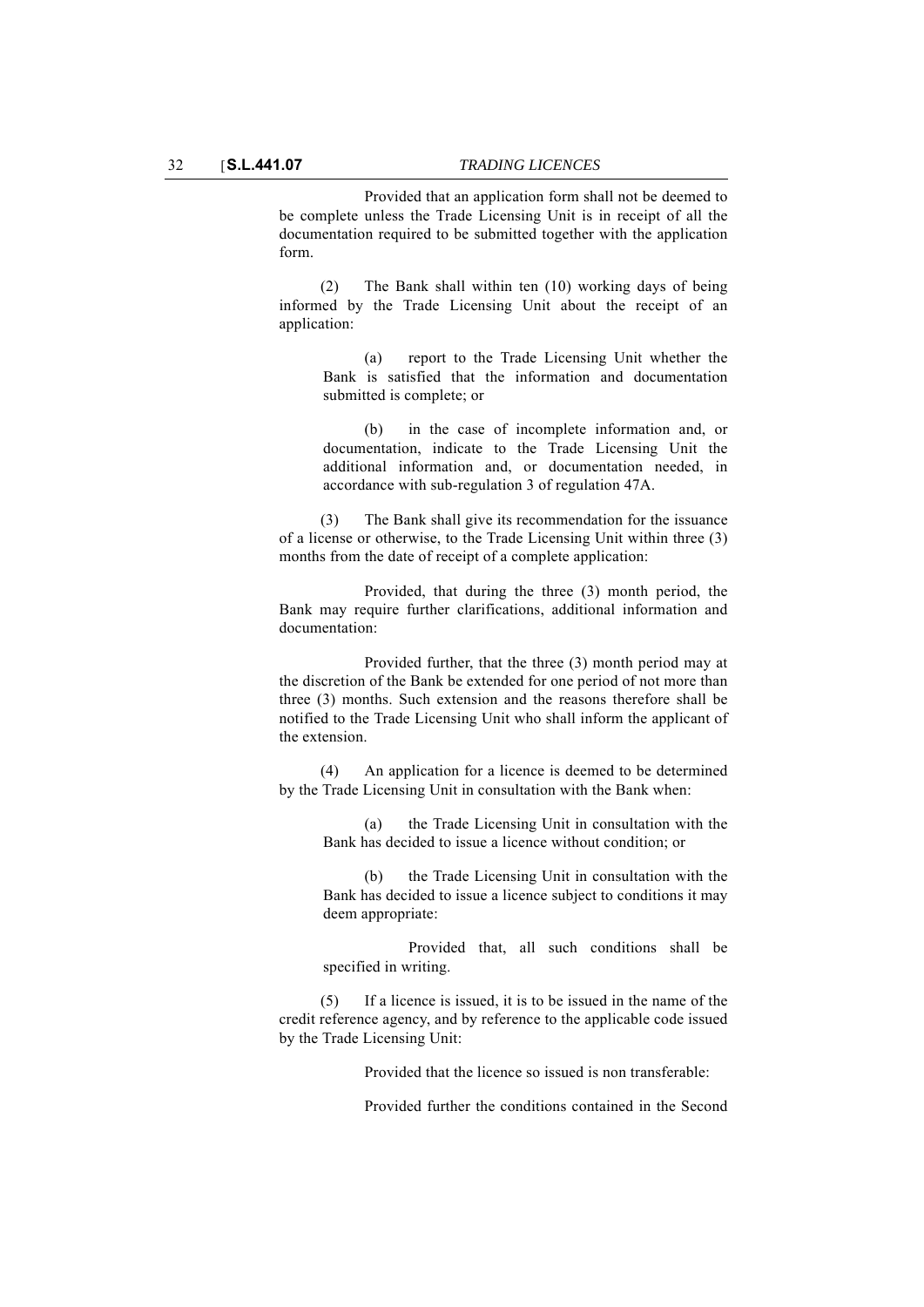Provided that an application form shall not be deemed to be complete unless the Trade Licensing Unit is in receipt of all the documentation required to be submitted together with the application form.

(2) The Bank shall within ten (10) working days of being informed by the Trade Licensing Unit about the receipt of an application:

(a) report to the Trade Licensing Unit whether the Bank is satisfied that the information and documentation submitted is complete; or

(b) in the case of incomplete information and, or documentation, indicate to the Trade Licensing Unit the additional information and, or documentation needed, in accordance with sub-regulation 3 of regulation 47A.

(3) The Bank shall give its recommendation for the issuance of a license or otherwise, to the Trade Licensing Unit within three (3) months from the date of receipt of a complete application:

Provided, that during the three (3) month period, the Bank may require further clarifications, additional information and documentation:

Provided further, that the three (3) month period may at the discretion of the Bank be extended for one period of not more than three (3) months. Such extension and the reasons therefore shall be notified to the Trade Licensing Unit who shall inform the applicant of the extension.

(4) An application for a licence is deemed to be determined by the Trade Licensing Unit in consultation with the Bank when:

(a) the Trade Licensing Unit in consultation with the Bank has decided to issue a licence without condition; or

(b) the Trade Licensing Unit in consultation with the Bank has decided to issue a licence subject to conditions it may deem appropriate:

Provided that, all such conditions shall be specified in writing.

(5) If a licence is issued, it is to be issued in the name of the credit reference agency, and by reference to the applicable code issued by the Trade Licensing Unit:

Provided that the licence so issued is non transferable:

Provided further the conditions contained in the Second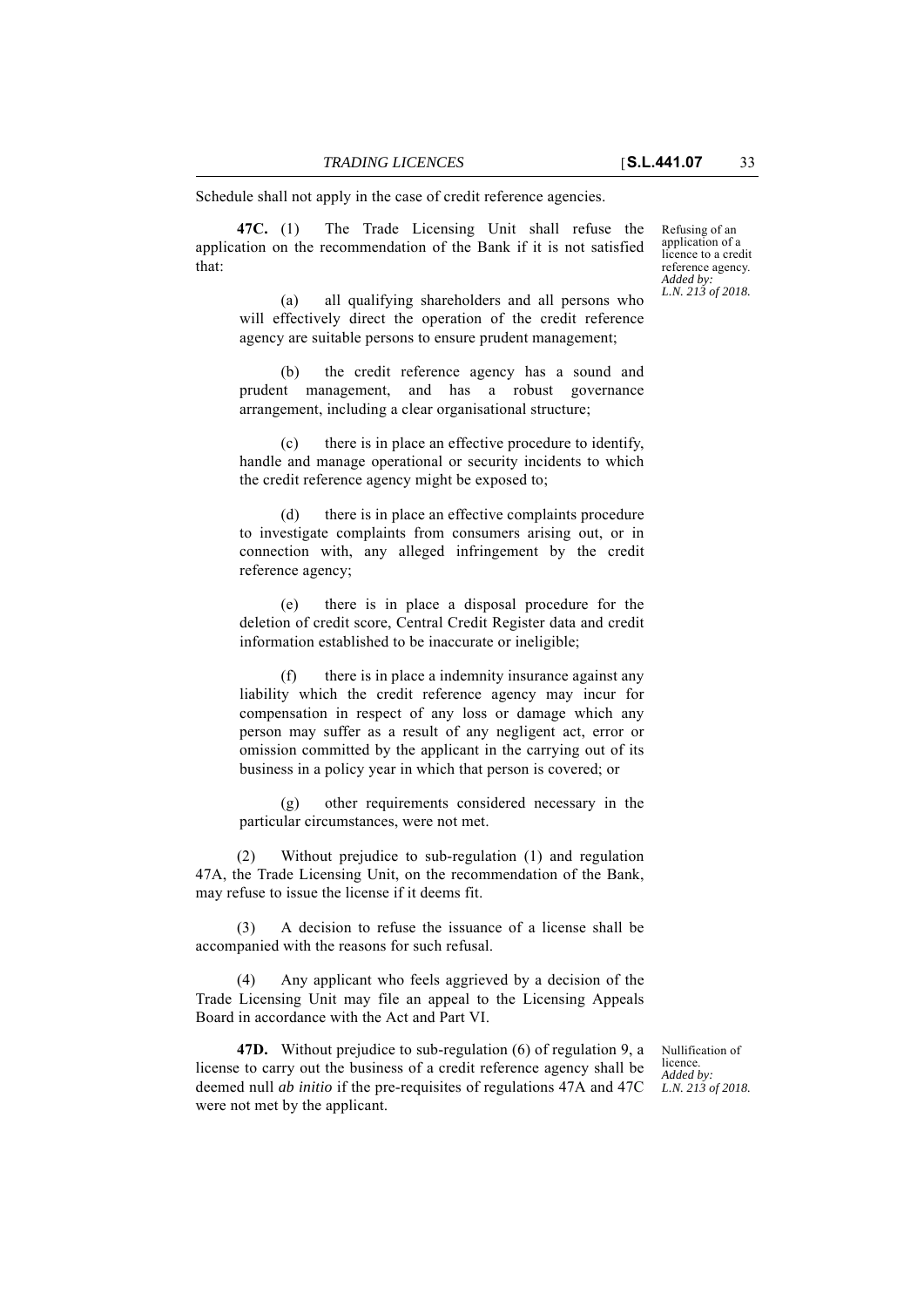Schedule shall not apply in the case of credit reference agencies.

**47C.** (1) The Trade Licensing Unit shall refuse the application on the recommendation of the Bank if it is not satisfied that:

Refusing of an application of a licence to a credit reference agency. *Added by: L.N. 213 of 2018.*

(a) all qualifying shareholders and all persons who will effectively direct the operation of the credit reference agency are suitable persons to ensure prudent management;

(b) the credit reference agency has a sound and prudent management, and has a robust governance arrangement, including a clear organisational structure;

there is in place an effective procedure to identify, handle and manage operational or security incidents to which the credit reference agency might be exposed to;

(d) there is in place an effective complaints procedure to investigate complaints from consumers arising out, or in connection with, any alleged infringement by the credit reference agency;

(e) there is in place a disposal procedure for the deletion of credit score, Central Credit Register data and credit information established to be inaccurate or ineligible;

(f) there is in place a indemnity insurance against any liability which the credit reference agency may incur for compensation in respect of any loss or damage which any person may suffer as a result of any negligent act, error or omission committed by the applicant in the carrying out of its business in a policy year in which that person is covered; or

(g) other requirements considered necessary in the particular circumstances, were not met.

(2) Without prejudice to sub-regulation (1) and regulation 47A, the Trade Licensing Unit, on the recommendation of the Bank, may refuse to issue the license if it deems fit.

(3) A decision to refuse the issuance of a license shall be accompanied with the reasons for such refusal.

(4) Any applicant who feels aggrieved by a decision of the Trade Licensing Unit may file an appeal to the Licensing Appeals Board in accordance with the Act and Part VI.

**47D.** Without prejudice to sub-regulation (6) of regulation 9, a license to carry out the business of a credit reference agency shall be deemed null *ab initio* if the pre-requisites of regulations 47A and 47C were not met by the applicant.

Nullification of licence. *Added by: L.N. 213 of 2018.*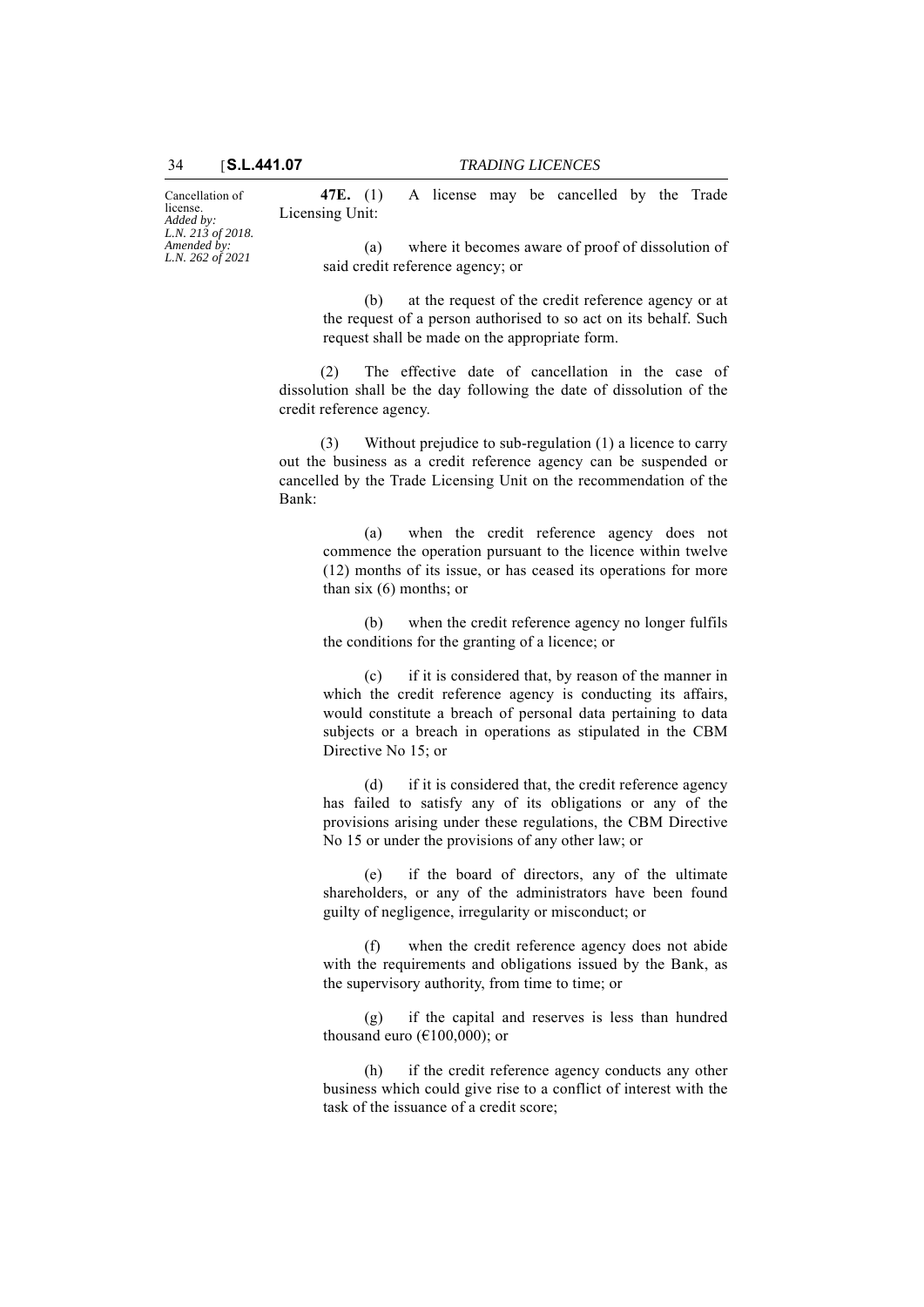Cancellation of license. *Added by: L.N. 213 of 2018. Amended by: L.N. 262 of 2021*

**47E.** (1) A license may be cancelled by the Trade Licensing Unit:

(a) where it becomes aware of proof of dissolution of said credit reference agency; or

(b) at the request of the credit reference agency or at the request of a person authorised to so act on its behalf. Such request shall be made on the appropriate form.

(2) The effective date of cancellation in the case of dissolution shall be the day following the date of dissolution of the credit reference agency.

(3) Without prejudice to sub-regulation (1) a licence to carry out the business as a credit reference agency can be suspended or cancelled by the Trade Licensing Unit on the recommendation of the Bank:

(a) when the credit reference agency does not commence the operation pursuant to the licence within twelve (12) months of its issue, or has ceased its operations for more than six (6) months; or

(b) when the credit reference agency no longer fulfils the conditions for the granting of a licence; or

(c) if it is considered that, by reason of the manner in which the credit reference agency is conducting its affairs, would constitute a breach of personal data pertaining to data subjects or a breach in operations as stipulated in the CBM Directive No 15; or

(d) if it is considered that, the credit reference agency has failed to satisfy any of its obligations or any of the provisions arising under these regulations, the CBM Directive No 15 or under the provisions of any other law; or

(e) if the board of directors, any of the ultimate shareholders, or any of the administrators have been found guilty of negligence, irregularity or misconduct; or

(f) when the credit reference agency does not abide with the requirements and obligations issued by the Bank, as the supervisory authority, from time to time; or

(g) if the capital and reserves is less than hundred thousand euro ( $E100,000$ ); or

(h) if the credit reference agency conducts any other business which could give rise to a conflict of interest with the task of the issuance of a credit score;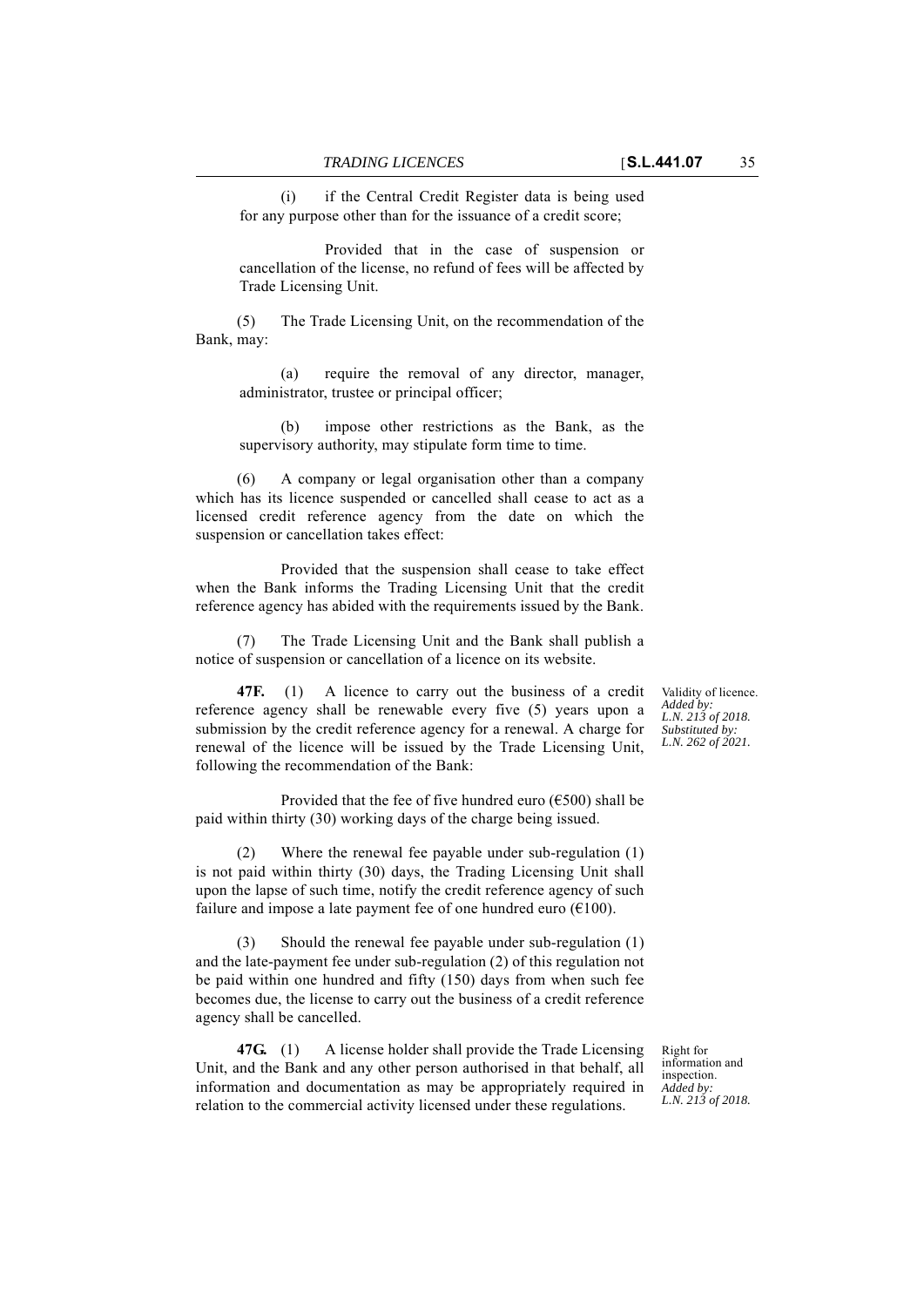(i) if the Central Credit Register data is being used for any purpose other than for the issuance of a credit score;

Provided that in the case of suspension or cancellation of the license, no refund of fees will be affected by Trade Licensing Unit.

(5) The Trade Licensing Unit, on the recommendation of the Bank, may:

(a) require the removal of any director, manager, administrator, trustee or principal officer;

(b) impose other restrictions as the Bank, as the supervisory authority, may stipulate form time to time.

(6) A company or legal organisation other than a company which has its licence suspended or cancelled shall cease to act as a licensed credit reference agency from the date on which the suspension or cancellation takes effect:

Provided that the suspension shall cease to take effect when the Bank informs the Trading Licensing Unit that the credit reference agency has abided with the requirements issued by the Bank.

(7) The Trade Licensing Unit and the Bank shall publish a notice of suspension or cancellation of a licence on its website.

**47F.** (1) A licence to carry out the business of a credit reference agency shall be renewable every five (5) years upon a submission by the credit reference agency for a renewal. A charge for renewal of the licence will be issued by the Trade Licensing Unit, following the recommendation of the Bank:

Provided that the fee of five hundred euro ( $\epsilon$ 500) shall be paid within thirty (30) working days of the charge being issued.

(2) Where the renewal fee payable under sub-regulation (1) is not paid within thirty (30) days, the Trading Licensing Unit shall upon the lapse of such time, notify the credit reference agency of such failure and impose a late payment fee of one hundred euro  $(6100)$ .

(3) Should the renewal fee payable under sub-regulation (1) and the late-payment fee under sub-regulation (2) of this regulation not be paid within one hundred and fifty (150) days from when such fee becomes due, the license to carry out the business of a credit reference agency shall be cancelled.

**47G.** (1) A license holder shall provide the Trade Licensing Unit, and the Bank and any other person authorised in that behalf, all information and documentation as may be appropriately required in relation to the commercial activity licensed under these regulations.

Right for information and inspection. *Added by: L.N. 213 of 2018.*

Validity of licence. *Added by: L.N. 213 of 2018. Substituted by: L.N. 262 of 2021.*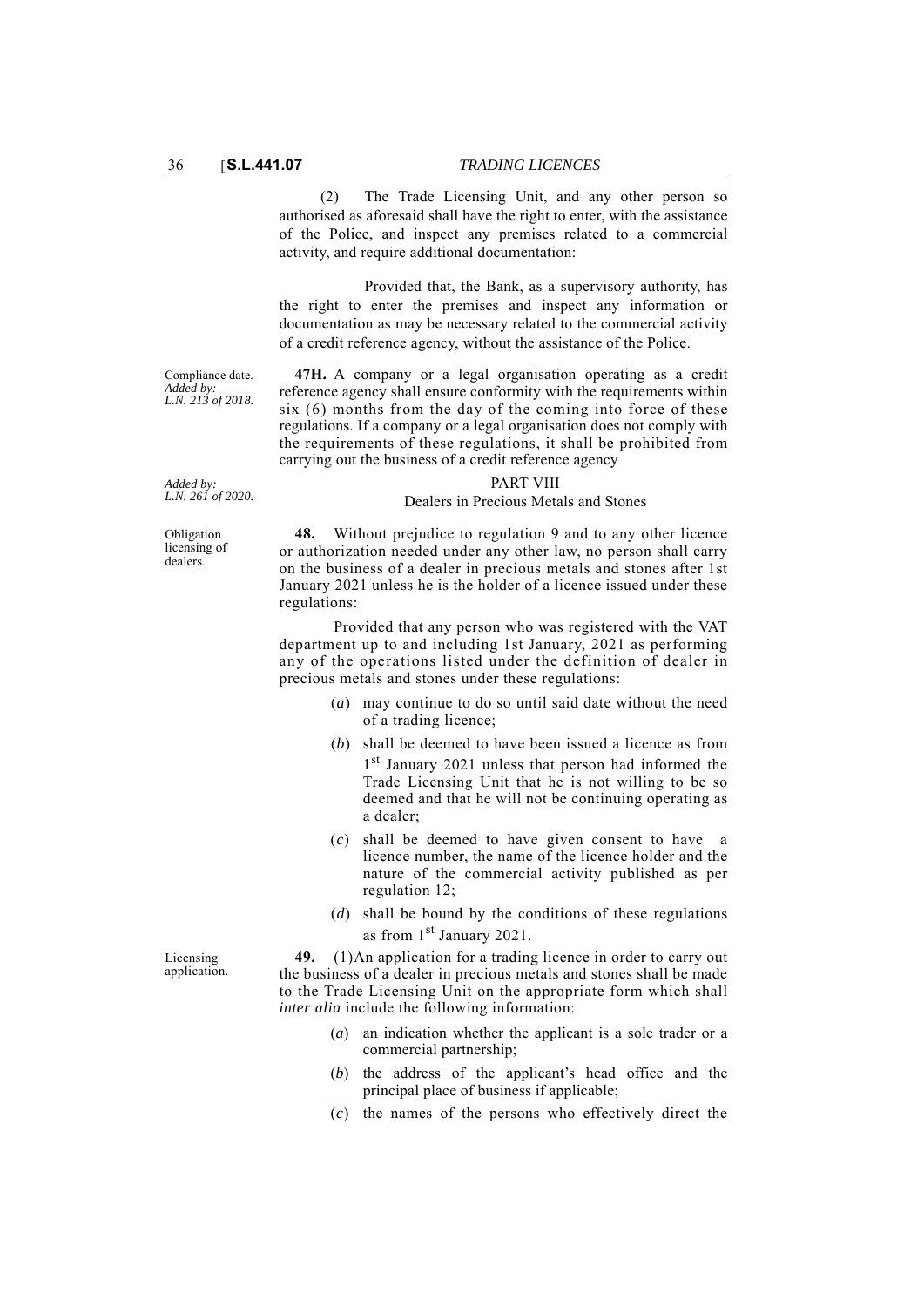(2) The Trade Licensing Unit, and any other person so authorised as aforesaid shall have the right to enter, with the assistance of the Police, and inspect any premises related to a commercial activity, and require additional documentation:

Provided that, the Bank, as a supervisory authority, has the right to enter the premises and inspect any information or documentation as may be necessary related to the commercial activity of a credit reference agency, without the assistance of the Police.

Compliance date. *Added by: L.N. 213 of 2018.*

**47H.** A company or a legal organisation operating as a credit reference agency shall ensure conformity with the requirements within six (6) months from the day of the coming into force of these regulations. If a company or a legal organisation does not comply with the requirements of these regulations, it shall be prohibited from carrying out the business of a credit reference agency

#### PART VIII

#### Dealers in Precious Metals and Stones

**48.** Without prejudice to regulation 9 and to any other licence or authorization needed under any other law, no person shall carry on the business of a dealer in precious metals and stones after 1st January 2021 unless he is the holder of a licence issued under these regulations:

Provided that any person who was registered with the VAT department up to and including 1st January, 2021 as performing any of the operations listed under the definition of dealer in precious metals and stones under these regulations:

- (*a*) may continue to do so until said date without the need of a trading licence;
- (*b*) shall be deemed to have been issued a licence as from 1<sup>st</sup> January 2021 unless that person had informed the Trade Licensing Unit that he is not willing to be so deemed and that he will not be continuing operating as a dealer;
- (*c*) shall be deemed to have given consent to have a licence number, the name of the licence holder and the nature of the commercial activity published as per regulation 12;
- (*d*) shall be bound by the conditions of these regulations as from 1<sup>st</sup> January 2021.

**49.** (1)An application for a trading licence in order to carry out the business of a dealer in precious metals and stones shall be made to the Trade Licensing Unit on the appropriate form which shall *inter alia* include the following information:

- (*a*) an indication whether the applicant is a sole trader or a commercial partnership;
- (*b*) the address of the applicant's head office and the principal place of business if applicable;
- (*c*) the names of the persons who effectively direct the

*Added by: L.N. 261 of 2020.*

Obligation licensing of dealers.

Licensing application.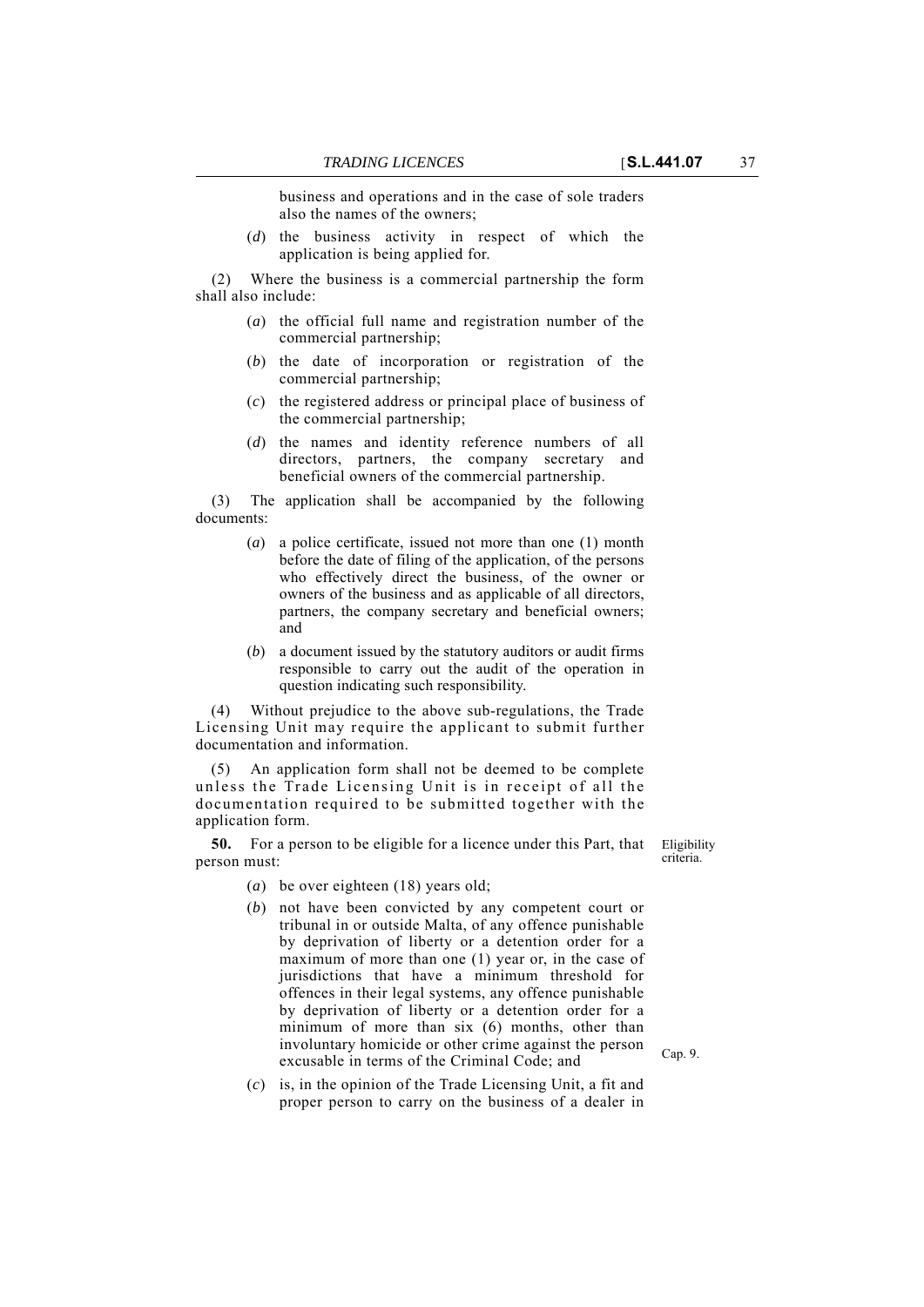business and operations and in the case of sole traders also the names of the owners;

(*d*) the business activity in respect of which the application is being applied for.

(2) Where the business is a commercial partnership the form shall also include:

- (*a*) the official full name and registration number of the commercial partnership;
- (*b*) the date of incorporation or registration of the commercial partnership;
- (*c*) the registered address or principal place of business of the commercial partnership;
- (*d*) the names and identity reference numbers of all directors, partners, the company secretary and beneficial owners of the commercial partnership.

(3) The application shall be accompanied by the following documents:

- (*a*) a police certificate, issued not more than one (1) month before the date of filing of the application, of the persons who effectively direct the business, of the owner or owners of the business and as applicable of all directors, partners, the company secretary and beneficial owners; and
- (*b*) a document issued by the statutory auditors or audit firms responsible to carry out the audit of the operation in question indicating such responsibility.

(4) Without prejudice to the above sub-regulations, the Trade Licensing Unit may require the applicant to submit further documentation and information.

(5) An application form shall not be deemed to be complete unless the Trade Licensing Unit is in receipt of all the documentation required to be submitted together with the application form.

**50.** For a person to be eligible for a licence under this Part, that person must:

Eligibility criteria.

- (*a*) be over eighteen (18) years old;
- (*b*) not have been convicted by any competent court or tribunal in or outside Malta, of any offence punishable by deprivation of liberty or a detention order for a maximum of more than one (1) year or, in the case of jurisdictions that have a minimum threshold for offences in their legal systems, any offence punishable by deprivation of liberty or a detention order for a minimum of more than six (6) months, other than involuntary homicide or other crime against the person excusable in terms of the Criminal Code; and
- (*c*) is, in the opinion of the Trade Licensing Unit, a fit and proper person to carry on the business of a dealer in

Cap. 9.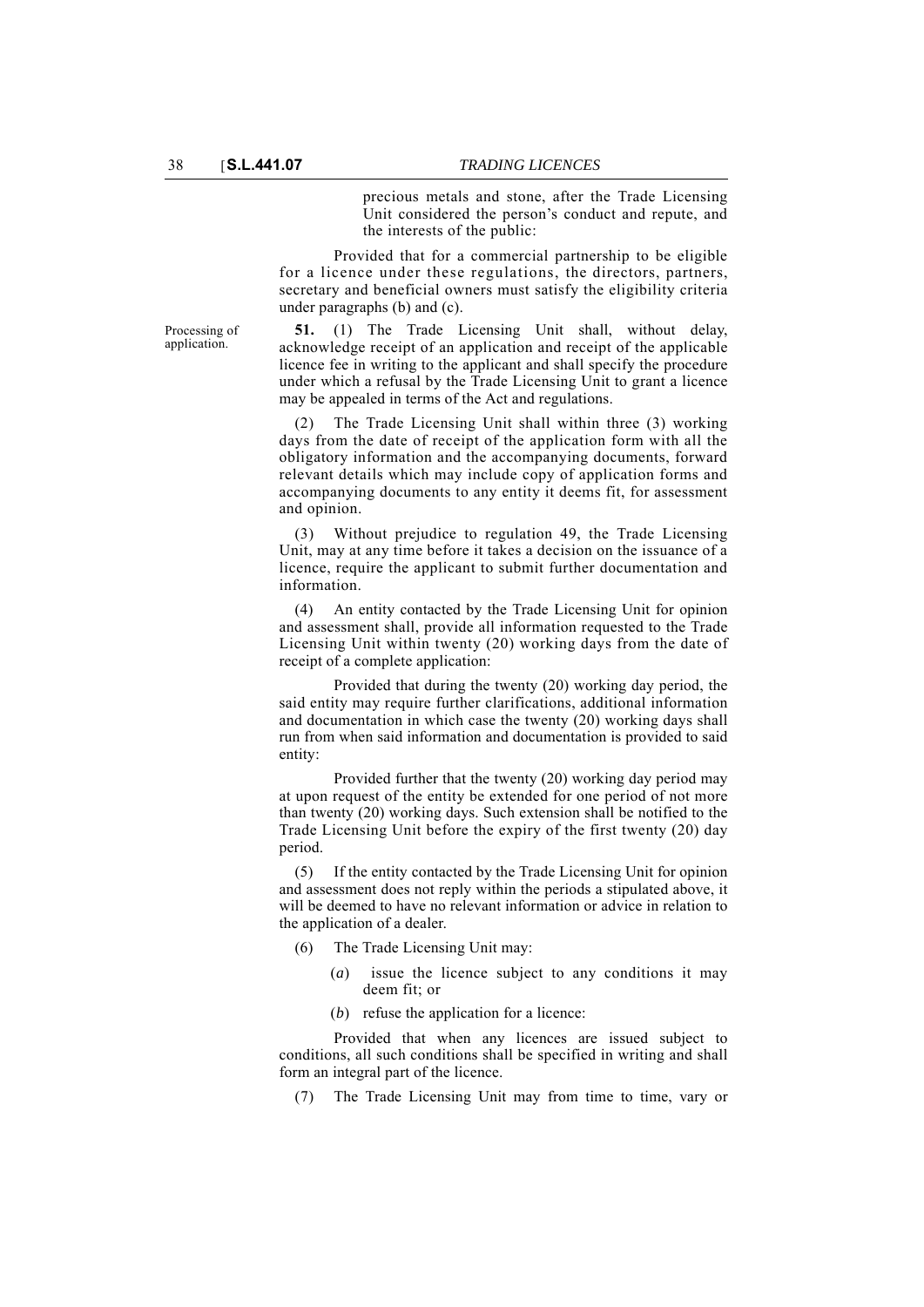precious metals and stone, after the Trade Licensing Unit considered the person's conduct and repute, and the interests of the public:

Provided that for a commercial partnership to be eligible for a licence under these regulations, the directors, partners, secretary and beneficial owners must satisfy the eligibility criteria under paragraphs (b) and (c).

Processing of application.

**51.** (1) The Trade Licensing Unit shall, without delay, acknowledge receipt of an application and receipt of the applicable licence fee in writing to the applicant and shall specify the procedure under which a refusal by the Trade Licensing Unit to grant a licence may be appealed in terms of the Act and regulations.

(2) The Trade Licensing Unit shall within three (3) working days from the date of receipt of the application form with all the obligatory information and the accompanying documents, forward relevant details which may include copy of application forms and accompanying documents to any entity it deems fit, for assessment and opinion.

(3) Without prejudice to regulation 49, the Trade Licensing Unit, may at any time before it takes a decision on the issuance of a licence, require the applicant to submit further documentation and information.

(4) An entity contacted by the Trade Licensing Unit for opinion and assessment shall, provide all information requested to the Trade Licensing Unit within twenty (20) working days from the date of receipt of a complete application:

Provided that during the twenty (20) working day period, the said entity may require further clarifications, additional information and documentation in which case the twenty (20) working days shall run from when said information and documentation is provided to said entity:

Provided further that the twenty (20) working day period may at upon request of the entity be extended for one period of not more than twenty (20) working days. Such extension shall be notified to the Trade Licensing Unit before the expiry of the first twenty (20) day period.

(5) If the entity contacted by the Trade Licensing Unit for opinion and assessment does not reply within the periods a stipulated above, it will be deemed to have no relevant information or advice in relation to the application of a dealer.

- (6) The Trade Licensing Unit may:
	- (*a*) issue the licence subject to any conditions it may deem fit; or
	- (*b*) refuse the application for a licence:

Provided that when any licences are issued subject to conditions, all such conditions shall be specified in writing and shall form an integral part of the licence.

(7) The Trade Licensing Unit may from time to time, vary or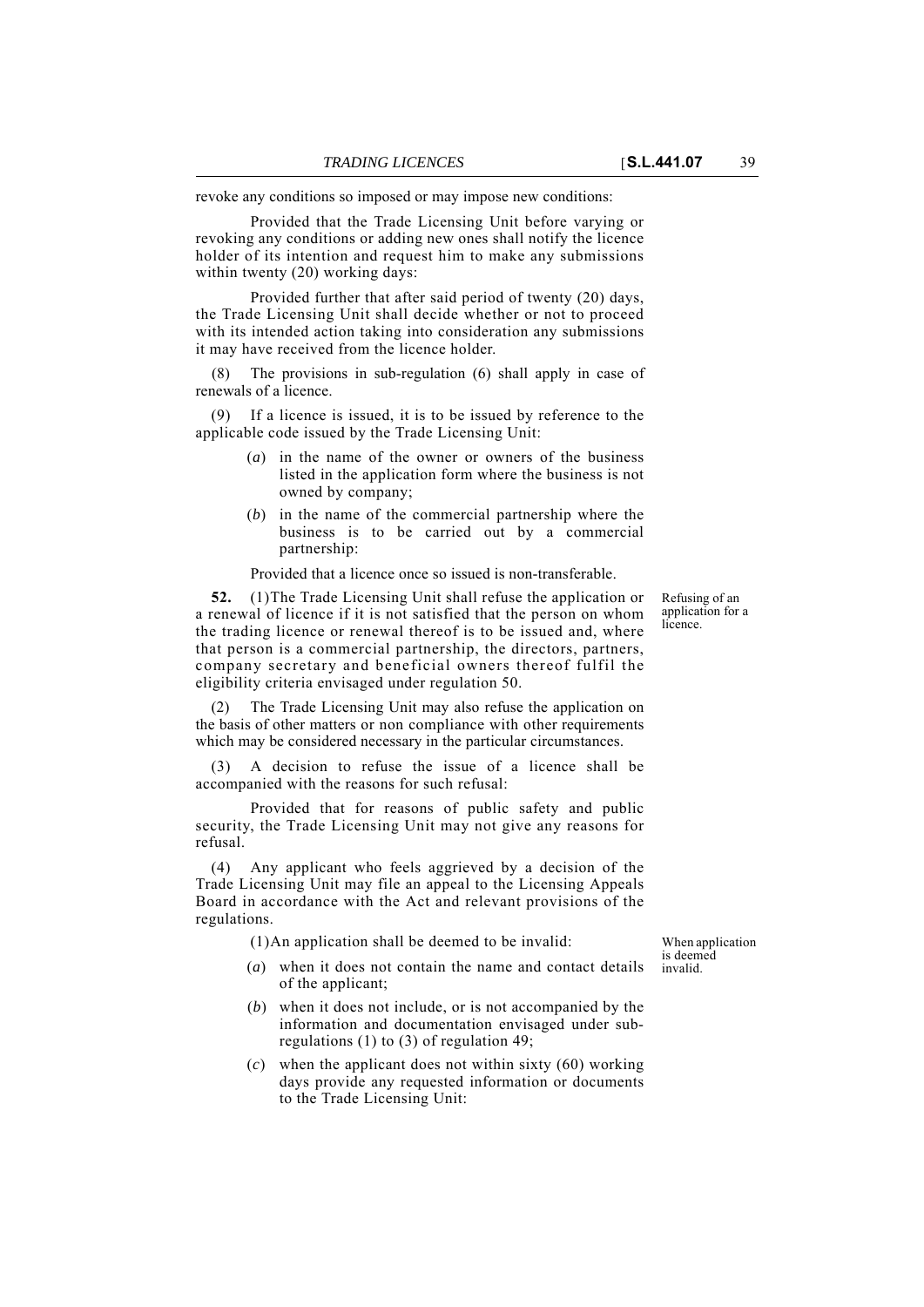revoke any conditions so imposed or may impose new conditions:

Provided that the Trade Licensing Unit before varying or revoking any conditions or adding new ones shall notify the licence holder of its intention and request him to make any submissions within twenty (20) working days:

Provided further that after said period of twenty (20) days, the Trade Licensing Unit shall decide whether or not to proceed with its intended action taking into consideration any submissions it may have received from the licence holder.

The provisions in sub-regulation (6) shall apply in case of renewals of a licence.

If a licence is issued, it is to be issued by reference to the applicable code issued by the Trade Licensing Unit:

- (*a*) in the name of the owner or owners of the business listed in the application form where the business is not owned by company;
- (*b*) in the name of the commercial partnership where the business is to be carried out by a commercial partnership:

Provided that a licence once so issued is non-transferable.

**52.** (1)The Trade Licensing Unit shall refuse the application or a renewal of licence if it is not satisfied that the person on whom the trading licence or renewal thereof is to be issued and, where that person is a commercial partnership, the directors, partners, company secretary and beneficial owners thereof fulfil the eligibility criteria envisaged under regulation 50.

(2) The Trade Licensing Unit may also refuse the application on the basis of other matters or non compliance with other requirements which may be considered necessary in the particular circumstances.

(3) A decision to refuse the issue of a licence shall be accompanied with the reasons for such refusal:

Provided that for reasons of public safety and public security, the Trade Licensing Unit may not give any reasons for refusal.

Any applicant who feels aggrieved by a decision of the Trade Licensing Unit may file an appeal to the Licensing Appeals Board in accordance with the Act and relevant provisions of the regulations.

(1)An application shall be deemed to be invalid:

- (*a*) when it does not contain the name and contact details of the applicant;
- (*b*) when it does not include, or is not accompanied by the information and documentation envisaged under subregulations (1) to (3) of regulation 49;
- (*c*) when the applicant does not within sixty (60) working days provide any requested information or documents to the Trade Licensing Unit:

When application is deemed invalid.

Refusing of an application for a licence.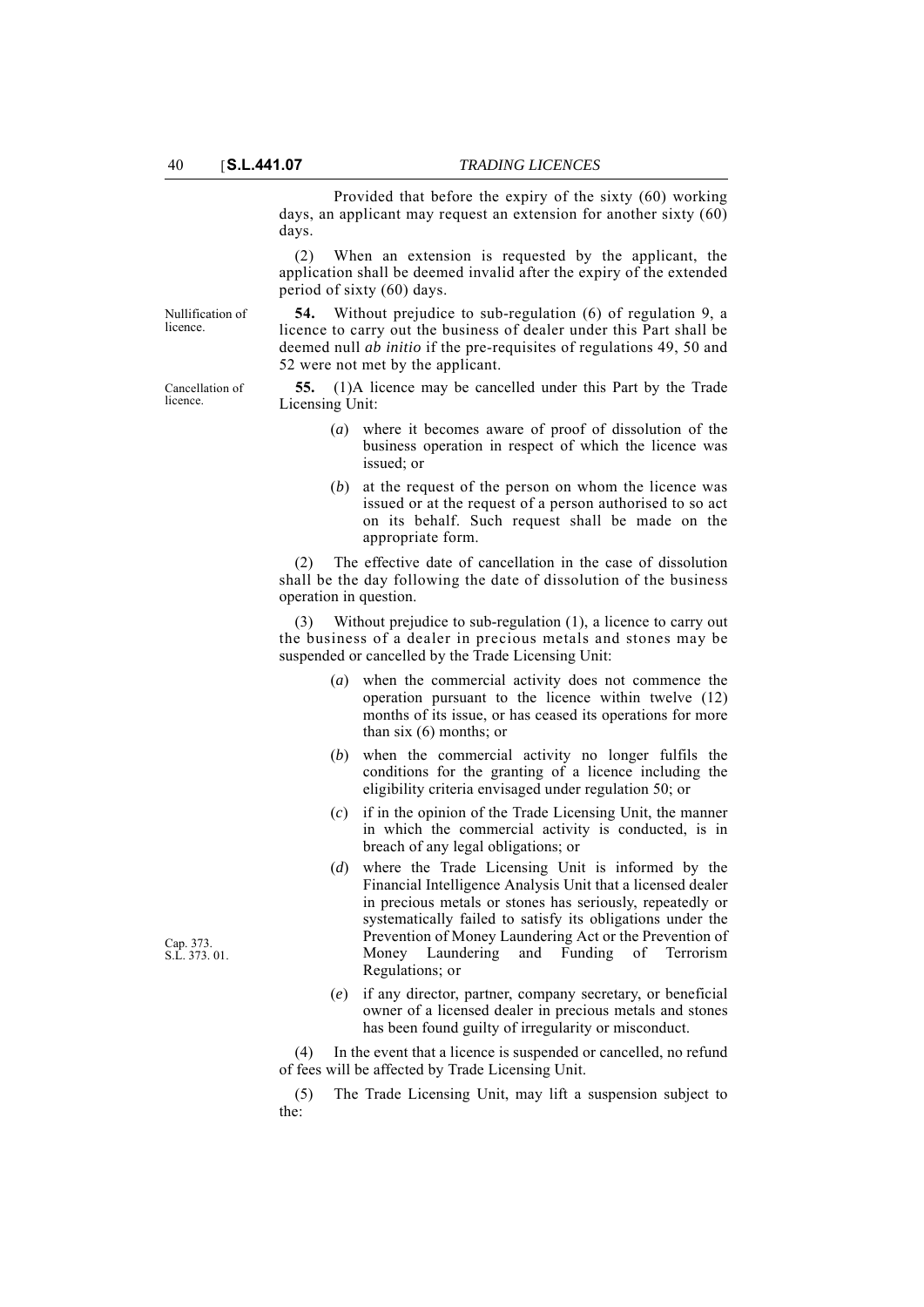Provided that before the expiry of the sixty (60) working days, an applicant may request an extension for another sixty (60) days.

(2) When an extension is requested by the applicant, the application shall be deemed invalid after the expiry of the extended period of sixty (60) days.

licence.

**54.** Without prejudice to sub-regulation (6) of regulation 9, a licence to carry out the business of dealer under this Part shall be deemed null *ab initio* if the pre-requisites of regulations 49, 50 and 52 were not met by the applicant.

**55.** (1)A licence may be cancelled under this Part by the Trade Licensing Unit:

- (*a*) where it becomes aware of proof of dissolution of the business operation in respect of which the licence was issued; or
- (*b*) at the request of the person on whom the licence was issued or at the request of a person authorised to so act on its behalf. Such request shall be made on the appropriate form.

(2) The effective date of cancellation in the case of dissolution shall be the day following the date of dissolution of the business operation in question.

Without prejudice to sub-regulation  $(1)$ , a licence to carry out the business of a dealer in precious metals and stones may be suspended or cancelled by the Trade Licensing Unit:

- (*a*) when the commercial activity does not commence the operation pursuant to the licence within twelve (12) months of its issue, or has ceased its operations for more than six (6) months; or
- (*b*) when the commercial activity no longer fulfils the conditions for the granting of a licence including the eligibility criteria envisaged under regulation 50; or
- (*c*) if in the opinion of the Trade Licensing Unit, the manner in which the commercial activity is conducted, is in breach of any legal obligations; or
- (*d*) where the Trade Licensing Unit is informed by the Financial Intelligence Analysis Unit that a licensed dealer in precious metals or stones has seriously, repeatedly or systematically failed to satisfy its obligations under the Prevention of Money Laundering Act or the Prevention of Money Laundering and Funding of Terrorism Regulations; or
- (*e*) if any director, partner, company secretary, or beneficial owner of a licensed dealer in precious metals and stones has been found guilty of irregularity or misconduct.

(4) In the event that a licence is suspended or cancelled, no refund of fees will be affected by Trade Licensing Unit.

(5) The Trade Licensing Unit, may lift a suspension subject to the:

Cap. 373. S.L. 373. 01.

Nullification of

Cancellation of licence.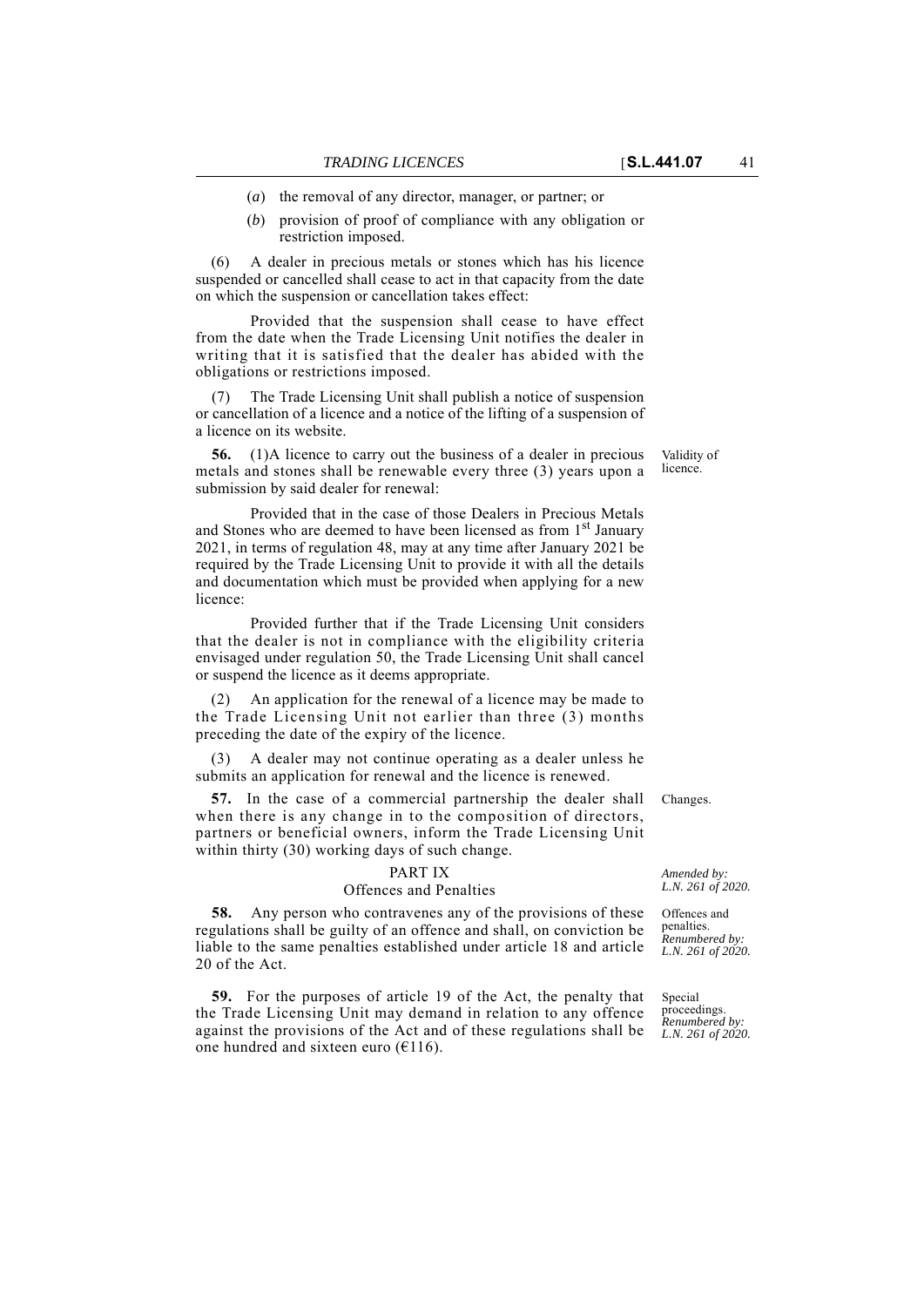(*b*) provision of proof of compliance with any obligation or restriction imposed.

(6) A dealer in precious metals or stones which has his licence suspended or cancelled shall cease to act in that capacity from the date on which the suspension or cancellation takes effect:

Provided that the suspension shall cease to have effect from the date when the Trade Licensing Unit notifies the dealer in writing that it is satisfied that the dealer has abided with the obligations or restrictions imposed.

(7) The Trade Licensing Unit shall publish a notice of suspension or cancellation of a licence and a notice of the lifting of a suspension of a licence on its website.

**56.** (1)A licence to carry out the business of a dealer in precious metals and stones shall be renewable every three (3) years upon a submission by said dealer for renewal:

Provided that in the case of those Dealers in Precious Metals and Stones who are deemed to have been licensed as from 1<sup>st</sup> January 2021, in terms of regulation 48, may at any time after January 2021 be required by the Trade Licensing Unit to provide it with all the details and documentation which must be provided when applying for a new licence:

Provided further that if the Trade Licensing Unit considers that the dealer is not in compliance with the eligibility criteria envisaged under regulation 50, the Trade Licensing Unit shall cancel or suspend the licence as it deems appropriate.

An application for the renewal of a licence may be made to the Trade Licensing Unit not earlier than three (3) months preceding the date of the expiry of the licence.

A dealer may not continue operating as a dealer unless he submits an application for renewal and the licence is renewed.

**57.** In the case of a commercial partnership the dealer shall Changes. when there is any change in to the composition of directors, partners or beneficial owners, inform the Trade Licensing Unit within thirty (30) working days of such change.

#### PART IX

## Offences and Penalties

**58.** Any person who contravenes any of the provisions of these regulations shall be guilty of an offence and shall, on conviction be liable to the same penalties established under article 18 and article 20 of the Act.

**59.** For the purposes of article 19 of the Act, the penalty that the Trade Licensing Unit may demand in relation to any offence against the provisions of the Act and of these regulations shall be one hundred and sixteen euro  $(£116)$ .

Validity of licence.

*Amended by: L.N. 261 of 2020.*

Offences and penalties. *Renumbered by: L.N. 261 of 2020.*

Special proceedings. *Renumbered by: L.N. 261 of 2020.*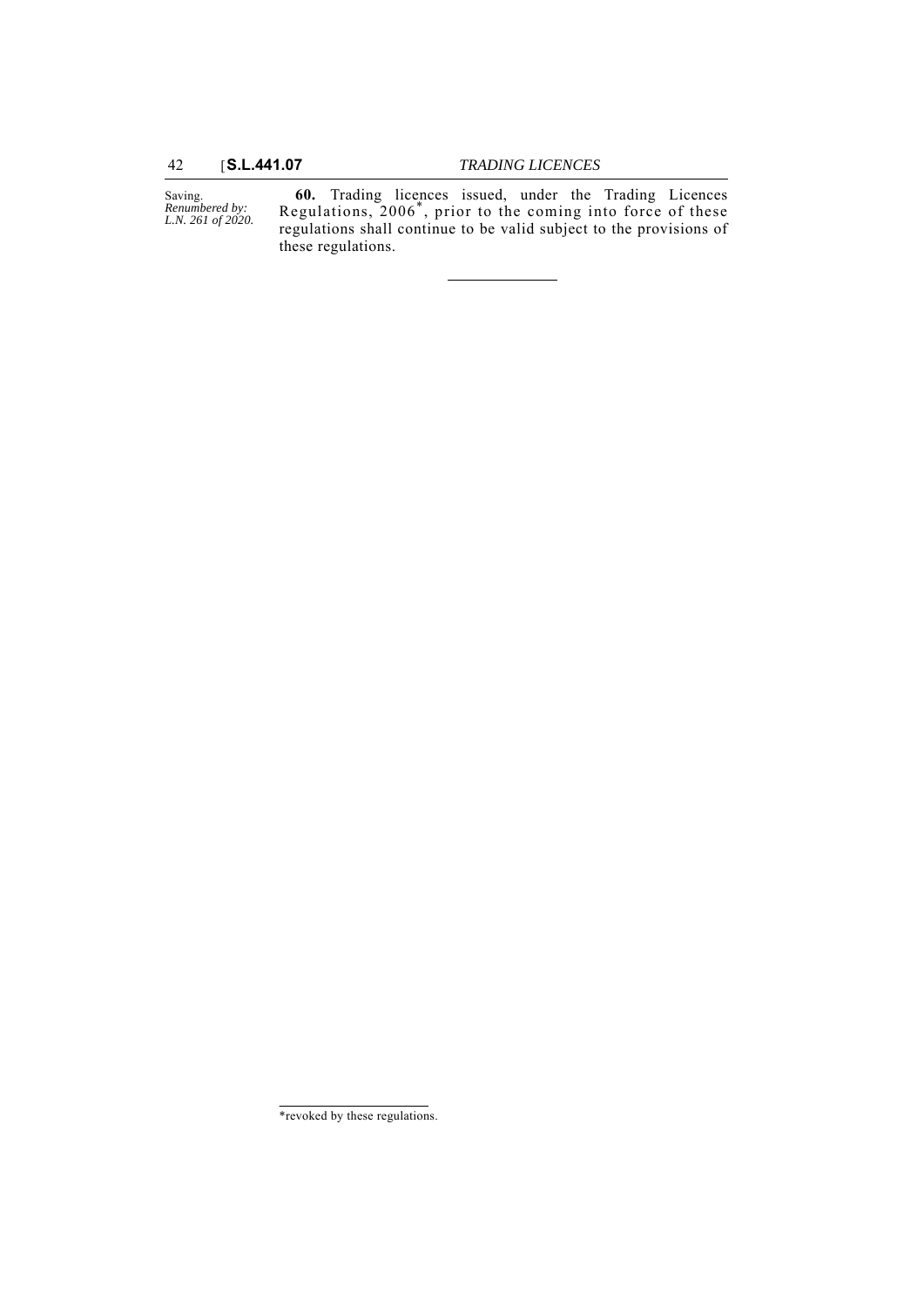42 [**S.L.441.07** *TRADING LICENCES*

Saving. *Renumbered by: L.N. 261 of 2020.*

**60.** Trading licences issued, under the Trading Licences Regulations, 2006\*, prior to the coming into force of these regulations shall continue to be valid subject to the provisions of these regulations.

<sup>\*</sup>revoked by these regulations.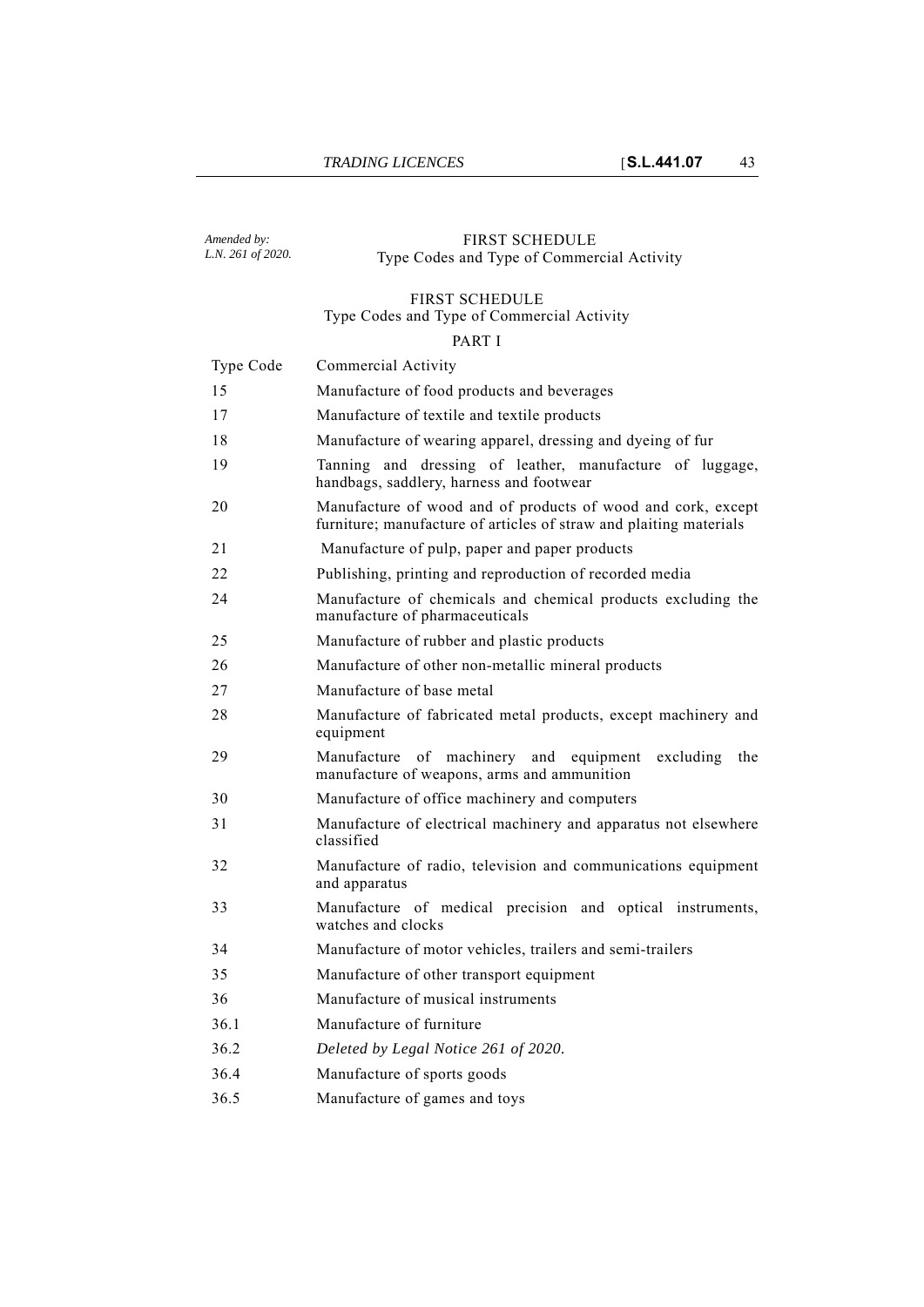#### *Amended by: L.N. 261 of 2020.* FIRST SCHEDULE Type Codes and Type of Commercial Activity

## FIRST SCHEDULE Type Codes and Type of Commercial Activity

## PART I

| Type Code | Commercial Activity                                                                                                                |
|-----------|------------------------------------------------------------------------------------------------------------------------------------|
| 15        | Manufacture of food products and beverages                                                                                         |
| 17        | Manufacture of textile and textile products                                                                                        |
| 18        | Manufacture of wearing apparel, dressing and dyeing of fur                                                                         |
| 19        | Tanning and dressing of leather, manufacture of luggage,<br>handbags, saddlery, harness and footwear                               |
| 20        | Manufacture of wood and of products of wood and cork, except<br>furniture; manufacture of articles of straw and plaiting materials |
| 21        | Manufacture of pulp, paper and paper products                                                                                      |
| 22        | Publishing, printing and reproduction of recorded media                                                                            |
| 24        | Manufacture of chemicals and chemical products excluding the<br>manufacture of pharmaceuticals                                     |
| 25        | Manufacture of rubber and plastic products                                                                                         |
| 26        | Manufacture of other non-metallic mineral products                                                                                 |
| 27        | Manufacture of base metal                                                                                                          |
| 28        | Manufacture of fabricated metal products, except machinery and<br>equipment                                                        |
| 29        | Manufacture of machinery and equipment<br>excluding<br>the<br>manufacture of weapons, arms and ammunition                          |
| 30        | Manufacture of office machinery and computers                                                                                      |
| 31        | Manufacture of electrical machinery and apparatus not elsewhere<br>classified                                                      |
| 32        | Manufacture of radio, television and communications equipment<br>and apparatus                                                     |
| 33        | Manufacture of medical precision and optical instruments,<br>watches and clocks                                                    |
| 34        | Manufacture of motor vehicles, trailers and semi-trailers                                                                          |
| 35        | Manufacture of other transport equipment                                                                                           |
| 36        | Manufacture of musical instruments                                                                                                 |
| 36.1      | Manufacture of furniture                                                                                                           |
| 36.2      | Deleted by Legal Notice 261 of 2020.                                                                                               |
| 36.4      | Manufacture of sports goods                                                                                                        |
|           |                                                                                                                                    |

36.5 Manufacture of games and toys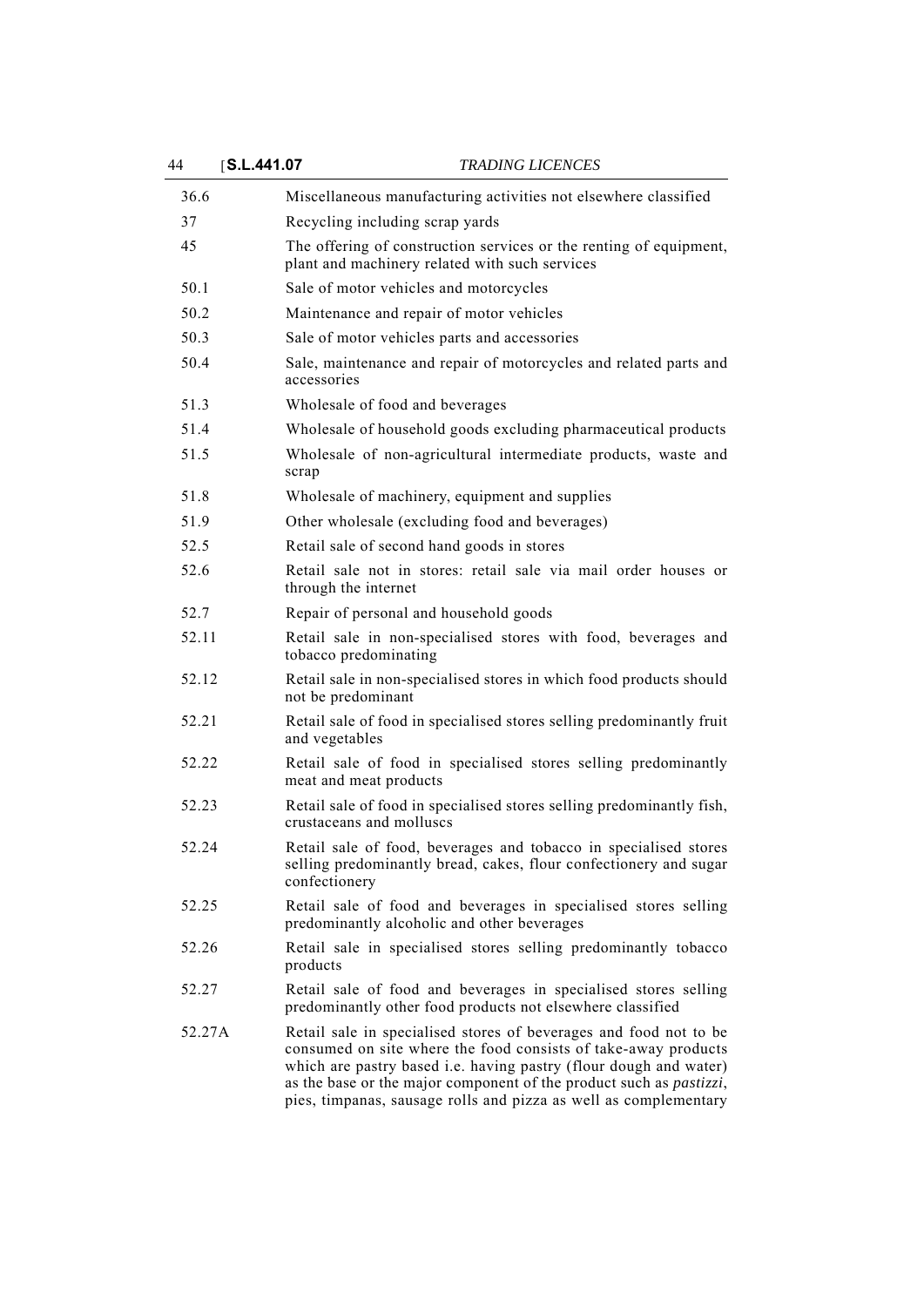| 44     | S.L.441.07 |                                                            | <i>TRADING LICENCES</i>                                                                                                                                                                                                                                                                                                                                     |
|--------|------------|------------------------------------------------------------|-------------------------------------------------------------------------------------------------------------------------------------------------------------------------------------------------------------------------------------------------------------------------------------------------------------------------------------------------------------|
| 36.6   |            |                                                            | Miscellaneous manufacturing activities not elsewhere classified                                                                                                                                                                                                                                                                                             |
| 37     |            | Recycling including scrap yards                            |                                                                                                                                                                                                                                                                                                                                                             |
| 45     |            | plant and machinery related with such services             | The offering of construction services or the renting of equipment,                                                                                                                                                                                                                                                                                          |
| 50.1   |            | Sale of motor vehicles and motorcycles                     |                                                                                                                                                                                                                                                                                                                                                             |
| 50.2   |            | Maintenance and repair of motor vehicles                   |                                                                                                                                                                                                                                                                                                                                                             |
| 50.3   |            | Sale of motor vehicles parts and accessories               |                                                                                                                                                                                                                                                                                                                                                             |
| 50.4   |            | accessories                                                | Sale, maintenance and repair of motorcycles and related parts and                                                                                                                                                                                                                                                                                           |
| 51.3   |            | Wholesale of food and beverages                            |                                                                                                                                                                                                                                                                                                                                                             |
| 51.4   |            |                                                            | Wholesale of household goods excluding pharmaceutical products                                                                                                                                                                                                                                                                                              |
| 51.5   |            | scrap                                                      | Wholesale of non-agricultural intermediate products, waste and                                                                                                                                                                                                                                                                                              |
| 51.8   |            | Wholesale of machinery, equipment and supplies             |                                                                                                                                                                                                                                                                                                                                                             |
| 51.9   |            | Other wholesale (excluding food and beverages)             |                                                                                                                                                                                                                                                                                                                                                             |
| 52.5   |            | Retail sale of second hand goods in stores                 |                                                                                                                                                                                                                                                                                                                                                             |
| 52.6   |            | through the internet                                       | Retail sale not in stores: retail sale via mail order houses or                                                                                                                                                                                                                                                                                             |
| 52.7   |            | Repair of personal and household goods                     |                                                                                                                                                                                                                                                                                                                                                             |
| 52.11  |            | tobacco predominating                                      | Retail sale in non-specialised stores with food, beverages and                                                                                                                                                                                                                                                                                              |
| 52.12  |            | not be predominant                                         | Retail sale in non-specialised stores in which food products should                                                                                                                                                                                                                                                                                         |
| 52.21  |            | and vegetables                                             | Retail sale of food in specialised stores selling predominantly fruit                                                                                                                                                                                                                                                                                       |
| 52.22  |            | meat and meat products                                     | Retail sale of food in specialised stores selling predominantly                                                                                                                                                                                                                                                                                             |
| 52.23  |            | crustaceans and molluscs                                   | Retail sale of food in specialised stores selling predominantly fish,                                                                                                                                                                                                                                                                                       |
| 52.24  |            | confectionery                                              | Retail sale of food, beverages and tobacco in specialised stores<br>selling predominantly bread, cakes, flour confectionery and sugar                                                                                                                                                                                                                       |
| 52.25  |            | predominantly alcoholic and other beverages                | Retail sale of food and beverages in specialised stores selling                                                                                                                                                                                                                                                                                             |
| 52.26  |            | products                                                   | Retail sale in specialised stores selling predominantly tobacco                                                                                                                                                                                                                                                                                             |
| 52.27  |            | predominantly other food products not elsewhere classified | Retail sale of food and beverages in specialised stores selling                                                                                                                                                                                                                                                                                             |
| 52.27A |            |                                                            | Retail sale in specialised stores of beverages and food not to be<br>consumed on site where the food consists of take-away products<br>which are pastry based i.e. having pastry (flour dough and water)<br>as the base or the major component of the product such as <i>pastizzi</i> ,<br>pies, timpanas, sausage rolls and pizza as well as complementary |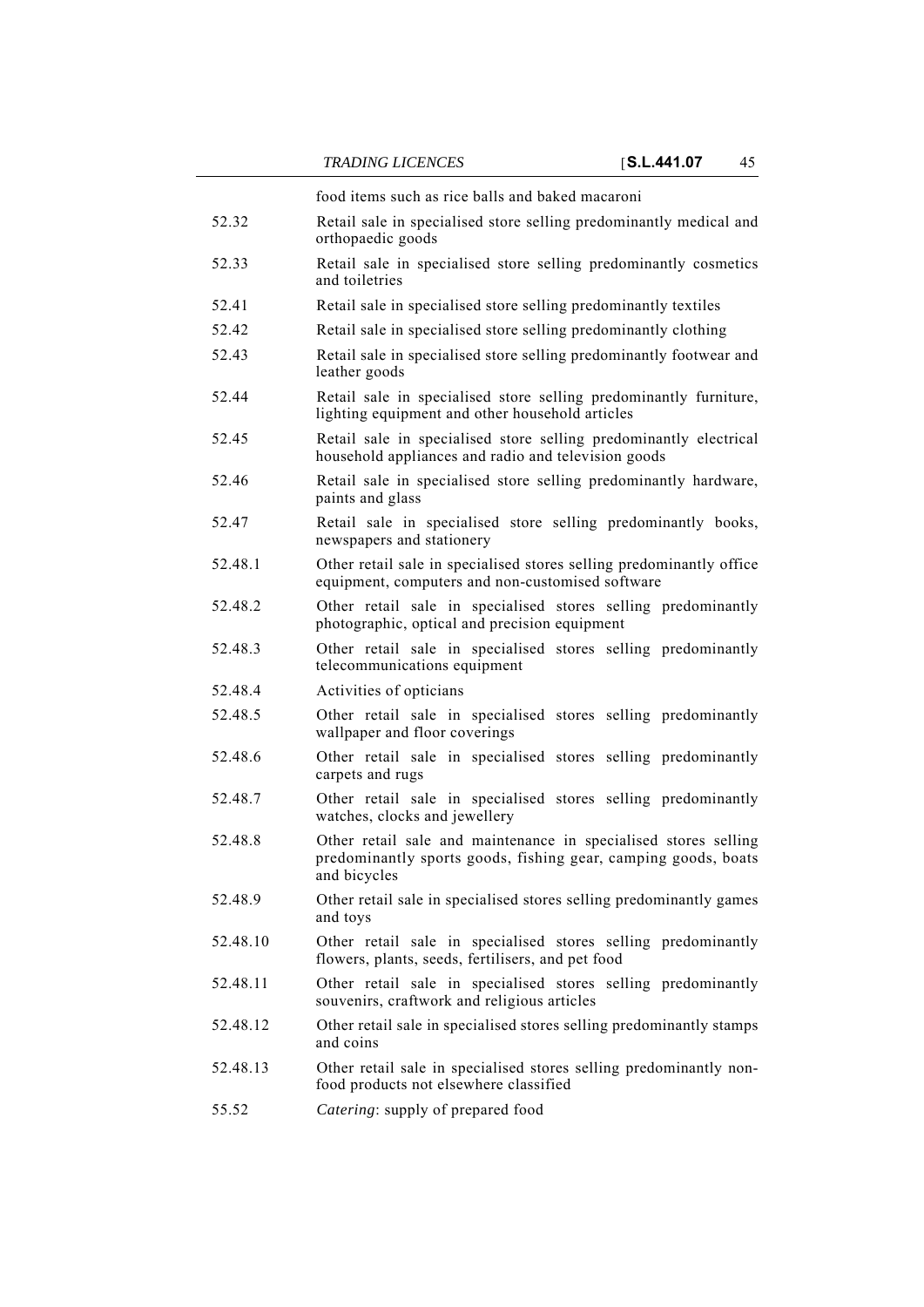food items such as rice balls and baked macaroni

- 52.32 Retail sale in specialised store selling predominantly medical and orthopaedic goods
- 52.33 Retail sale in specialised store selling predominantly cosmetics and toiletries
- 52.41 Retail sale in specialised store selling predominantly textiles
- 52.42 Retail sale in specialised store selling predominantly clothing
- 52.43 Retail sale in specialised store selling predominantly footwear and leather goods
- 52.44 Retail sale in specialised store selling predominantly furniture, lighting equipment and other household articles
- 52.45 Retail sale in specialised store selling predominantly electrical household appliances and radio and television goods
- 52.46 Retail sale in specialised store selling predominantly hardware, paints and glass
- 52.47 Retail sale in specialised store selling predominantly books, newspapers and stationery
- 52.48.1 Other retail sale in specialised stores selling predominantly office equipment, computers and non-customised software
- 52.48.2 Other retail sale in specialised stores selling predominantly photographic, optical and precision equipment
- 52.48.3 Other retail sale in specialised stores selling predominantly telecommunications equipment
- 52.48.4 Activities of opticians
- 52.48.5 Other retail sale in specialised stores selling predominantly wallpaper and floor coverings
- 52.48.6 Other retail sale in specialised stores selling predominantly carpets and rugs
- 52.48.7 Other retail sale in specialised stores selling predominantly watches, clocks and jewellery
- 52.48.8 Other retail sale and maintenance in specialised stores selling predominantly sports goods, fishing gear, camping goods, boats and bicycles
- 52.48.9 Other retail sale in specialised stores selling predominantly games and toys
- 52.48.10 Other retail sale in specialised stores selling predominantly flowers, plants, seeds, fertilisers, and pet food
- 52.48.11 Other retail sale in specialised stores selling predominantly souvenirs, craftwork and religious articles
- 52.48.12 Other retail sale in specialised stores selling predominantly stamps and coins
- 52.48.13 Other retail sale in specialised stores selling predominantly nonfood products not elsewhere classified
- 55.52 *Catering*: supply of prepared food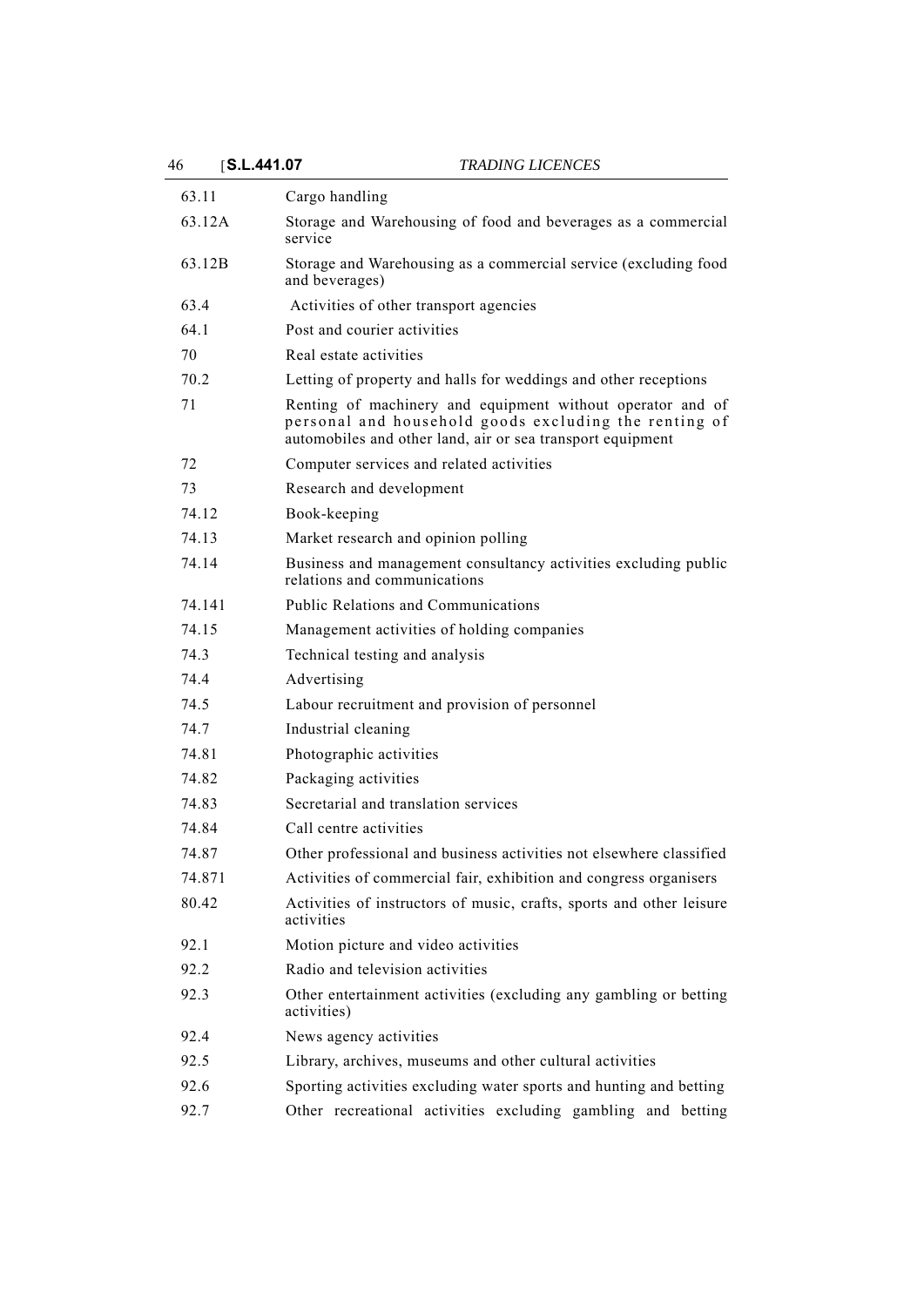46 [**S.L.441.07** *TRADING LICENCES*

| 63.11  | Cargo handling                                                                                                                                                                    |
|--------|-----------------------------------------------------------------------------------------------------------------------------------------------------------------------------------|
| 63.12A | Storage and Warehousing of food and beverages as a commercial                                                                                                                     |
|        | service                                                                                                                                                                           |
| 63.12B | Storage and Warehousing as a commercial service (excluding food<br>and beverages)                                                                                                 |
| 63.4   | Activities of other transport agencies                                                                                                                                            |
| 64.1   | Post and courier activities                                                                                                                                                       |
| 70     | Real estate activities                                                                                                                                                            |
| 70.2   | Letting of property and halls for weddings and other receptions                                                                                                                   |
| 71     | Renting of machinery and equipment without operator and of<br>personal and household goods excluding the renting of<br>automobiles and other land, air or sea transport equipment |
| 72     | Computer services and related activities                                                                                                                                          |
| 73     | Research and development                                                                                                                                                          |
| 74.12  | Book-keeping                                                                                                                                                                      |
| 74.13  | Market research and opinion polling                                                                                                                                               |
| 74.14  | Business and management consultancy activities excluding public<br>relations and communications                                                                                   |
| 74.141 | Public Relations and Communications                                                                                                                                               |
| 74.15  | Management activities of holding companies                                                                                                                                        |
| 74.3   | Technical testing and analysis                                                                                                                                                    |
| 74.4   | Advertising                                                                                                                                                                       |
| 74.5   | Labour recruitment and provision of personnel                                                                                                                                     |
| 74.7   | Industrial cleaning                                                                                                                                                               |
| 74.81  | Photographic activities                                                                                                                                                           |
| 74.82  | Packaging activities                                                                                                                                                              |
| 74.83  | Secretarial and translation services                                                                                                                                              |
| 74.84  | Call centre activities                                                                                                                                                            |
| 74.87  | Other professional and business activities not elsewhere classified                                                                                                               |
| 74.871 | Activities of commercial fair, exhibition and congress organisers                                                                                                                 |
| 80.42  | Activities of instructors of music, crafts, sports and other leisure<br>activities                                                                                                |
| 92.1   | Motion picture and video activities                                                                                                                                               |
| 92.2   | Radio and television activities                                                                                                                                                   |
| 92.3   | Other entertainment activities (excluding any gambling or betting<br>activities)                                                                                                  |
| 92.4   | News agency activities                                                                                                                                                            |
| 92.5   | Library, archives, museums and other cultural activities                                                                                                                          |
| 92.6   | Sporting activities excluding water sports and hunting and betting                                                                                                                |
| 92.7   | Other recreational activities excluding gambling and betting                                                                                                                      |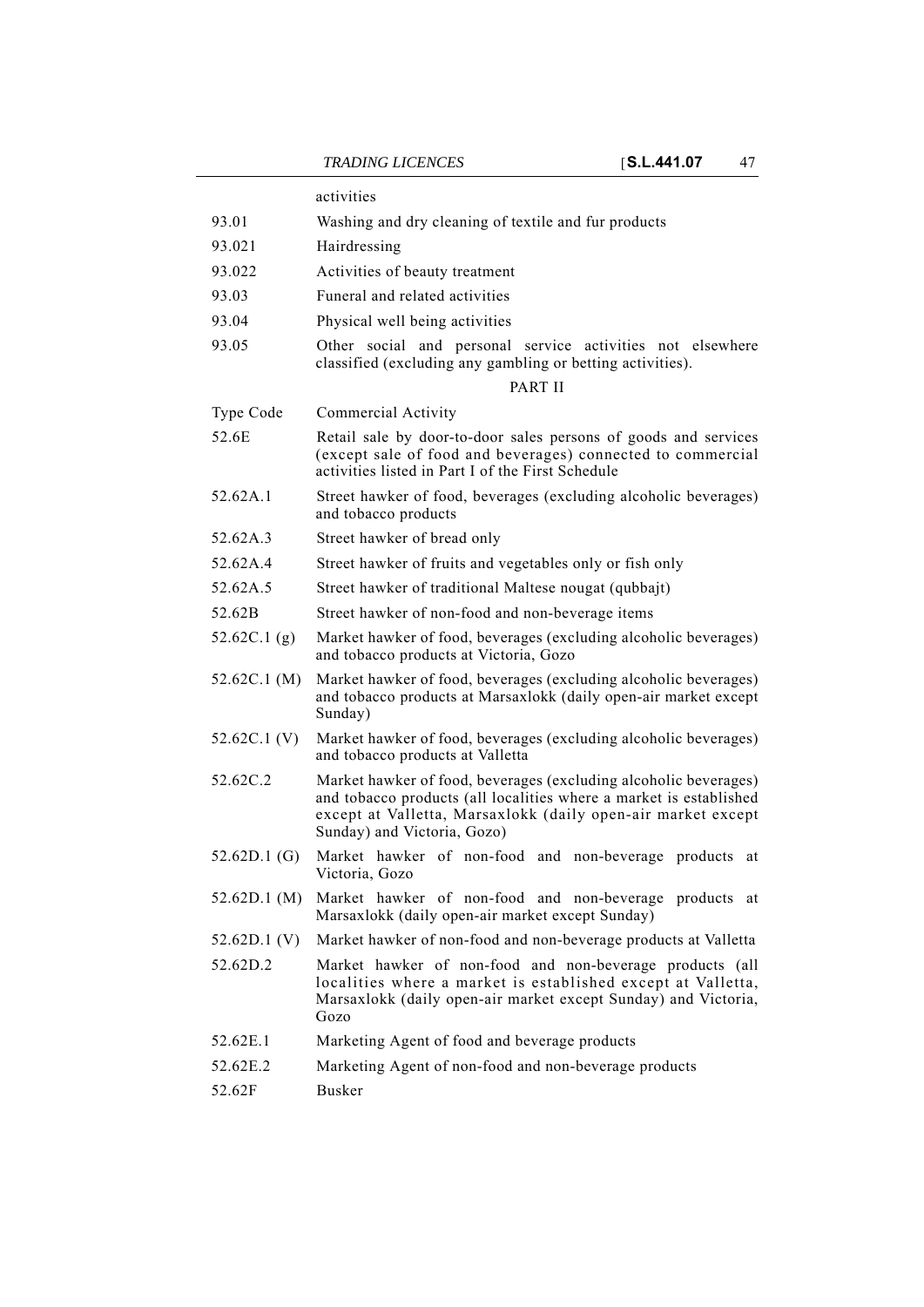|                | activities                                                                                                                                                                                                                            |
|----------------|---------------------------------------------------------------------------------------------------------------------------------------------------------------------------------------------------------------------------------------|
| 93.01          | Washing and dry cleaning of textile and fur products                                                                                                                                                                                  |
| 93.021         | Hairdressing                                                                                                                                                                                                                          |
| 93.022         | Activities of beauty treatment                                                                                                                                                                                                        |
| 93.03          | Funeral and related activities                                                                                                                                                                                                        |
| 93.04          | Physical well being activities                                                                                                                                                                                                        |
| 93.05          | Other social and personal service activities not elsewhere<br>classified (excluding any gambling or betting activities).<br>PART II                                                                                                   |
| Type Code      | Commercial Activity                                                                                                                                                                                                                   |
| 52.6E          | Retail sale by door-to-door sales persons of goods and services<br>(except sale of food and beverages) connected to commercial<br>activities listed in Part I of the First Schedule                                                   |
| 52.62A.1       | Street hawker of food, beverages (excluding alcoholic beverages)<br>and tobacco products                                                                                                                                              |
| 52.62A.3       | Street hawker of bread only                                                                                                                                                                                                           |
| 52.62A.4       | Street hawker of fruits and vegetables only or fish only                                                                                                                                                                              |
| 52.62A.5       | Street hawker of traditional Maltese nougat (qubbajt)                                                                                                                                                                                 |
| 52.62B         | Street hawker of non-food and non-beverage items                                                                                                                                                                                      |
| 52.62C.1 $(g)$ | Market hawker of food, beverages (excluding alcoholic beverages)<br>and tobacco products at Victoria, Gozo                                                                                                                            |
| 52.62C.1 (M)   | Market hawker of food, beverages (excluding alcoholic beverages)<br>and tobacco products at Marsaxlokk (daily open-air market except<br>Sunday)                                                                                       |
| 52.62C.1 (V)   | Market hawker of food, beverages (excluding alcoholic beverages)<br>and tobacco products at Valletta                                                                                                                                  |
| 52.62C.2       | Market hawker of food, beverages (excluding alcoholic beverages)<br>and tobacco products (all localities where a market is established<br>except at Valletta, Marsaxlokk (daily open-air market except<br>Sunday) and Victoria, Gozo) |
| 52.62D.1 (G)   | Market hawker of non-food and non-beverage products at<br>Victoria, Gozo                                                                                                                                                              |
| 52.62D.1 (M)   | Market hawker of non-food and non-beverage products at<br>Marsaxlokk (daily open-air market except Sunday)                                                                                                                            |
| 52.62D.1 (V)   | Market hawker of non-food and non-beverage products at Valletta                                                                                                                                                                       |
| 52.62D.2       | Market hawker of non-food and non-beverage products (all<br>localities where a market is established except at Valletta,<br>Marsaxlokk (daily open-air market except Sunday) and Victoria,<br>Gozo                                    |
| 52.62E.1       | Marketing Agent of food and beverage products                                                                                                                                                                                         |
| 52.62E.2       | Marketing Agent of non-food and non-beverage products                                                                                                                                                                                 |
| 52.62F         | <b>Busker</b>                                                                                                                                                                                                                         |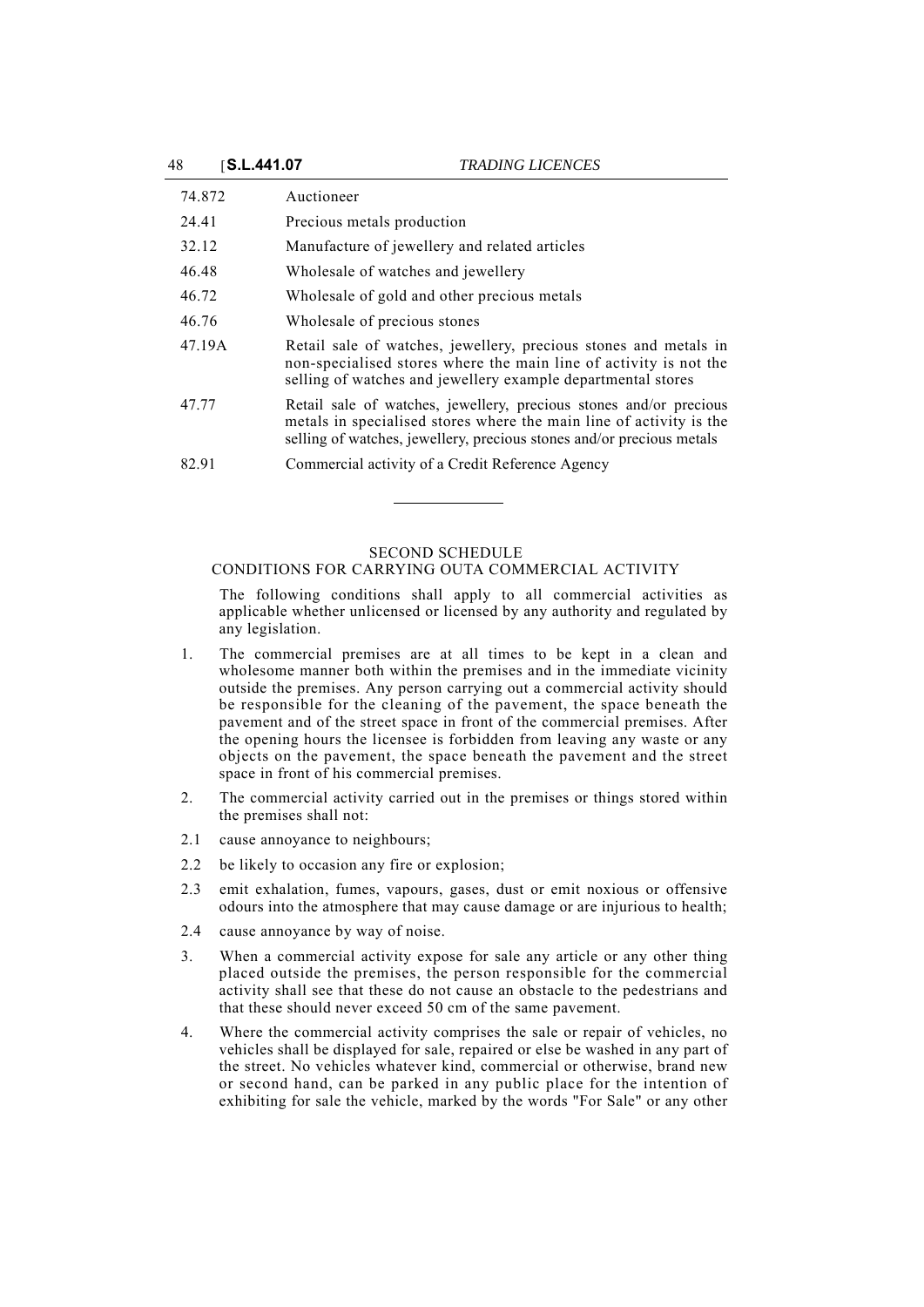| 74.872 | Auctioneer                                                                                                                                                                                                         |
|--------|--------------------------------------------------------------------------------------------------------------------------------------------------------------------------------------------------------------------|
| 24.41  | Precious metals production                                                                                                                                                                                         |
| 32.12  | Manufacture of jewellery and related articles                                                                                                                                                                      |
| 46.48  | Wholesale of watches and jewellery                                                                                                                                                                                 |
| 46.72  | Wholesale of gold and other precious metals                                                                                                                                                                        |
| 46.76  | Wholesale of precious stones                                                                                                                                                                                       |
| 47.19A | Retail sale of watches, jewellery, precious stones and metals in<br>non-specialised stores where the main line of activity is not the<br>selling of watches and jewellery example departmental stores              |
| 47.77  | Retail sale of watches, jewellery, precious stones and/or precious<br>metals in specialised stores where the main line of activity is the<br>selling of watches, jewellery, precious stones and/or precious metals |
| 82.91  | Commercial activity of a Credit Reference Agency                                                                                                                                                                   |

## SECOND SCHEDULE

CONDITIONS FOR CARRYING OUTA COMMERCIAL ACTIVITY

The following conditions shall apply to all commercial activities as applicable whether unlicensed or licensed by any authority and regulated by any legislation.

- 1. The commercial premises are at all times to be kept in a clean and wholesome manner both within the premises and in the immediate vicinity outside the premises. Any person carrying out a commercial activity should be responsible for the cleaning of the pavement, the space beneath the pavement and of the street space in front of the commercial premises. After the opening hours the licensee is forbidden from leaving any waste or any objects on the pavement, the space beneath the pavement and the street space in front of his commercial premises.
- 2. The commercial activity carried out in the premises or things stored within the premises shall not:
- 2.1 cause annoyance to neighbours;
- 2.2 be likely to occasion any fire or explosion;
- 2.3 emit exhalation, fumes, vapours, gases, dust or emit noxious or offensive odours into the atmosphere that may cause damage or are injurious to health;
- 2.4 cause annoyance by way of noise.
- 3. When a commercial activity expose for sale any article or any other thing placed outside the premises, the person responsible for the commercial activity shall see that these do not cause an obstacle to the pedestrians and that these should never exceed 50 cm of the same pavement.
- 4. Where the commercial activity comprises the sale or repair of vehicles, no vehicles shall be displayed for sale, repaired or else be washed in any part of the street. No vehicles whatever kind, commercial or otherwise, brand new or second hand, can be parked in any public place for the intention of exhibiting for sale the vehicle, marked by the words "For Sale" or any other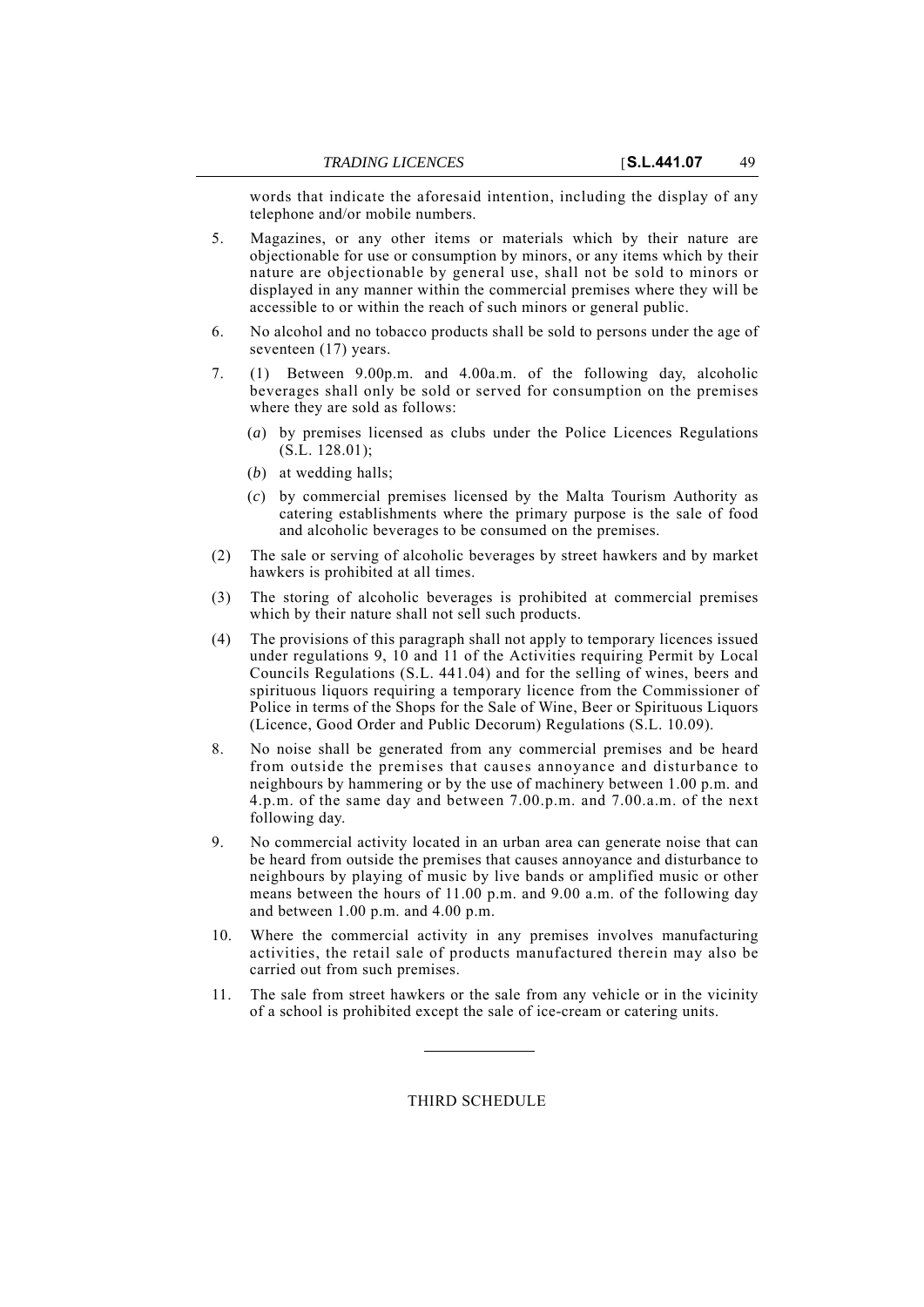words that indicate the aforesaid intention, including the display of any telephone and/or mobile numbers.

- 5. Magazines, or any other items or materials which by their nature are objectionable for use or consumption by minors, or any items which by their nature are objectionable by general use, shall not be sold to minors or displayed in any manner within the commercial premises where they will be accessible to or within the reach of such minors or general public.
- 6. No alcohol and no tobacco products shall be sold to persons under the age of seventeen (17) years.
- 7. (1) Between 9.00p.m. and 4.00a.m. of the following day, alcoholic beverages shall only be sold or served for consumption on the premises where they are sold as follows:
	- (*a*) by premises licensed as clubs under the Police Licences Regulations (S.L. 128.01);
	- (*b*) at wedding halls;
	- (*c*) by commercial premises licensed by the Malta Tourism Authority as catering establishments where the primary purpose is the sale of food and alcoholic beverages to be consumed on the premises.
- (2) The sale or serving of alcoholic beverages by street hawkers and by market hawkers is prohibited at all times.
- (3) The storing of alcoholic beverages is prohibited at commercial premises which by their nature shall not sell such products.
- (4) The provisions of this paragraph shall not apply to temporary licences issued under regulations 9, 10 and 11 of the Activities requiring Permit by Local Councils Regulations (S.L. 441.04) and for the selling of wines, beers and spirituous liquors requiring a temporary licence from the Commissioner of Police in terms of the Shops for the Sale of Wine, Beer or Spirituous Liquors (Licence, Good Order and Public Decorum) Regulations (S.L. 10.09).
- 8. No noise shall be generated from any commercial premises and be heard from outside the premises that causes annoyance and disturbance to neighbours by hammering or by the use of machinery between 1.00 p.m. and 4.p.m. of the same day and between 7.00.p.m. and 7.00.a.m. of the next following day.
- 9. No commercial activity located in an urban area can generate noise that can be heard from outside the premises that causes annoyance and disturbance to neighbours by playing of music by live bands or amplified music or other means between the hours of 11.00 p.m. and 9.00 a.m. of the following day and between 1.00 p.m. and 4.00 p.m.
- 10. Where the commercial activity in any premises involves manufacturing activities, the retail sale of products manufactured therein may also be carried out from such premises.
- 11. The sale from street hawkers or the sale from any vehicle or in the vicinity of a school is prohibited except the sale of ice-cream or catering units.

## THIRD SCHEDULE